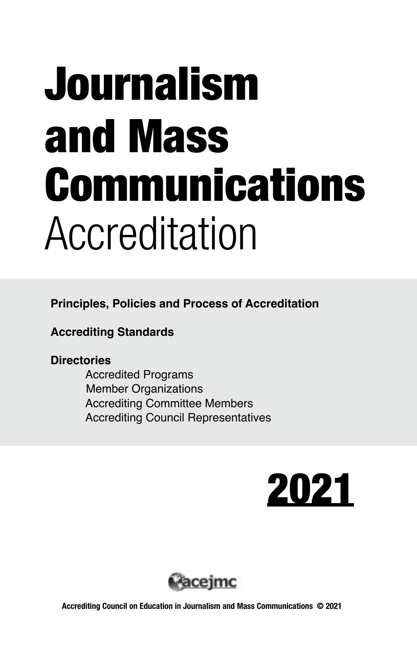# Journalism and Mass Communications Accreditation

**Principles, Policies and Process of Accreditation**

**Accrediting Standards**

#### **Directories**

 Accredited Programs Member Organizations Accrediting Committee Members Accrediting Council Representatives



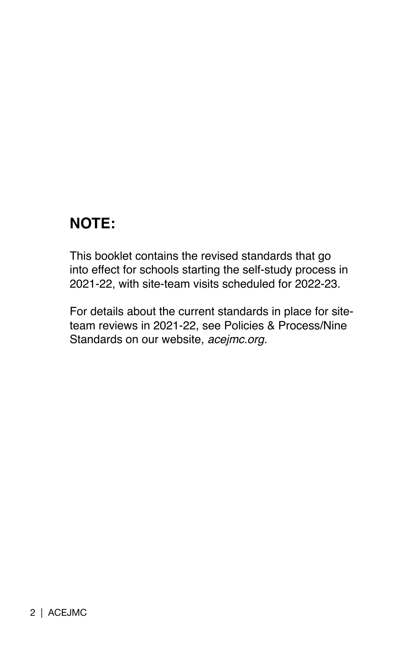### **NOTE:**

This booklet contains the revised standards that go into effect for schools starting the self-study process in 2021-22, with site-team visits scheduled for 2022-23.

For details about the current standards in place for siteteam reviews in 2021-22, see Policies & Process/Nine Standards on our website, *acejmc.org.*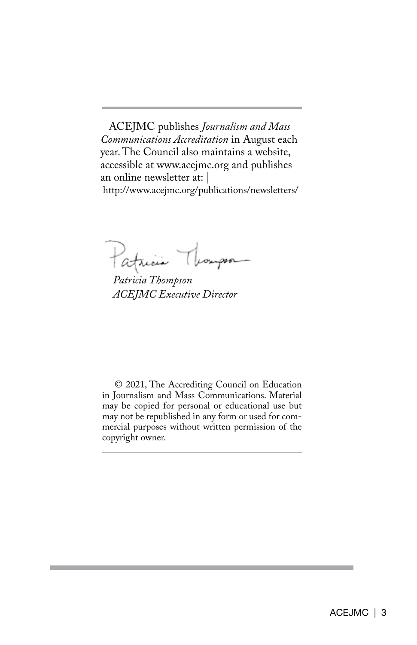ACEJMC publishes *Journalism and Mass Communications Accreditation* in August each year. The Council also maintains a website, accessible at www.acejmc.org and publishes an online newsletter at: | http://www.acejmc.org/publications/newsletters/

Thompson Patricia

*Patricia Thompson ACEJMC Executive Director*

© 2021, The Accrediting Council on Education in Journalism and Mass Communications. Material may be copied for personal or educational use but may not be republished in any form or used for commercial purposes without written permission of the copyright owner.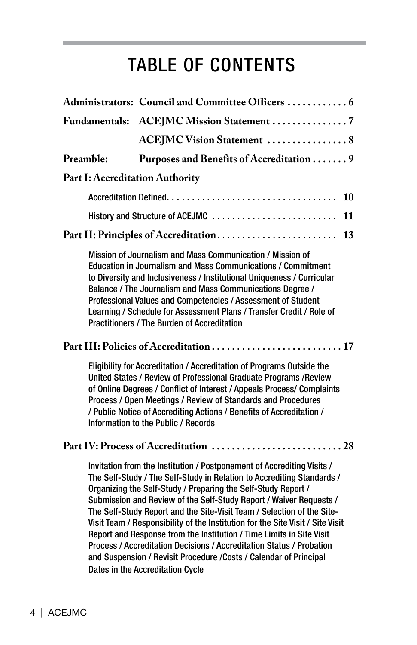## TABLE OF CONTENTS

|                                        | Administrators: Council and Committee Officers  6                                                                                                                                                                                                                                                                                                                                                                                                                                                                                                                                                                                                                                                                    |
|----------------------------------------|----------------------------------------------------------------------------------------------------------------------------------------------------------------------------------------------------------------------------------------------------------------------------------------------------------------------------------------------------------------------------------------------------------------------------------------------------------------------------------------------------------------------------------------------------------------------------------------------------------------------------------------------------------------------------------------------------------------------|
|                                        | Fundamentals: ACEJMC Mission Statement 7                                                                                                                                                                                                                                                                                                                                                                                                                                                                                                                                                                                                                                                                             |
|                                        | <b>ACEJMC Vision Statement  8</b>                                                                                                                                                                                                                                                                                                                                                                                                                                                                                                                                                                                                                                                                                    |
| Preamble:                              | Purposes and Benefits of Accreditation  9                                                                                                                                                                                                                                                                                                                                                                                                                                                                                                                                                                                                                                                                            |
| <b>Part I: Accreditation Authority</b> |                                                                                                                                                                                                                                                                                                                                                                                                                                                                                                                                                                                                                                                                                                                      |
|                                        | 10                                                                                                                                                                                                                                                                                                                                                                                                                                                                                                                                                                                                                                                                                                                   |
|                                        | History and Structure of ACEJMC<br>11                                                                                                                                                                                                                                                                                                                                                                                                                                                                                                                                                                                                                                                                                |
|                                        | Part II: Principles of Accreditation<br>13                                                                                                                                                                                                                                                                                                                                                                                                                                                                                                                                                                                                                                                                           |
|                                        | Mission of Journalism and Mass Communication / Mission of<br><b>Education in Journalism and Mass Communications / Commitment</b><br>to Diversity and Inclusiveness / Institutional Uniqueness / Curricular<br>Balance / The Journalism and Mass Communications Degree /<br>Professional Values and Competencies / Assessment of Student<br>Learning / Schedule for Assessment Plans / Transfer Credit / Role of<br><b>Practitioners / The Burden of Accreditation</b>                                                                                                                                                                                                                                                |
|                                        |                                                                                                                                                                                                                                                                                                                                                                                                                                                                                                                                                                                                                                                                                                                      |
|                                        | Eligibility for Accreditation / Accreditation of Programs Outside the<br>United States / Review of Professional Graduate Programs / Review<br>of Online Degrees / Conflict of Interest / Appeals Process/ Complaints<br>Process / Open Meetings / Review of Standards and Procedures<br>/ Public Notice of Accrediting Actions / Benefits of Accreditation /<br>Information to the Public / Records                                                                                                                                                                                                                                                                                                                  |
|                                        |                                                                                                                                                                                                                                                                                                                                                                                                                                                                                                                                                                                                                                                                                                                      |
|                                        | Invitation from the Institution / Postponement of Accrediting Visits /<br>The Self-Study / The Self-Study in Relation to Accrediting Standards /<br>Organizing the Self-Study / Preparing the Self-Study Report /<br>Submission and Review of the Self-Study Report / Waiver Requests /<br>The Self-Study Report and the Site-Visit Team / Selection of the Site-<br>Visit Team / Responsibility of the Institution for the Site Visit / Site Visit<br>Report and Response from the Institution / Time Limits in Site Visit<br>Process / Accreditation Decisions / Accreditation Status / Probation<br>and Suspension / Revisit Procedure / Costs / Calendar of Principal<br><b>Dates in the Accreditation Cycle</b> |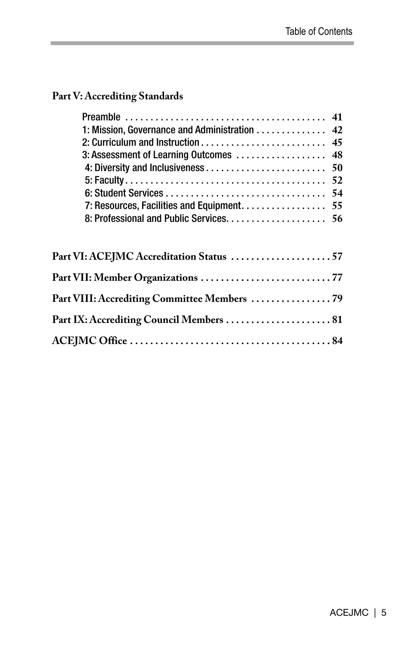#### **Part V: Accrediting Standards**

| 1: Mission, Governance and Administration 42 |  |
|----------------------------------------------|--|
|                                              |  |
|                                              |  |
|                                              |  |
|                                              |  |
|                                              |  |
| 7: Resources, Facilities and Equipment. 55   |  |
|                                              |  |
| Part VI: ACEJMC Accreditation Status 57      |  |
|                                              |  |
|                                              |  |
| Part VIII: Accrediting Committee Members  79 |  |
|                                              |  |
|                                              |  |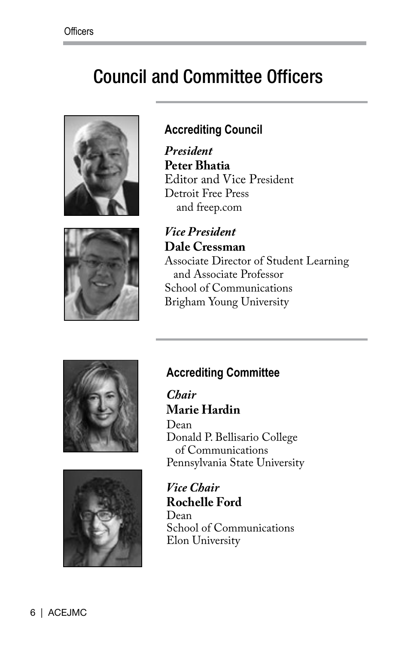## Council and Committee Officers





*President* **Peter Bhatia** Editor and Vice President Detroit Free Press and freep.com



*Vice President* **Dale Cressman** Associate Director of Student Learning and Associate Professor School of Communications Brigham Young University





#### **Accrediting Committee**

*Chair* **Marie Hardin**

Dean Donald P. Bellisario College of Communications Pennsylvania State University

*Vice Chair* **Rochelle Ford** Dean School of Communications Elon University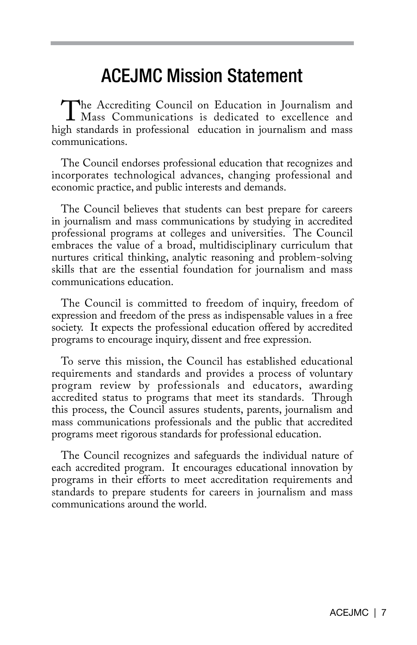## ACEJMC Mission Statement

The Accrediting Council on Education in Journalism and<br>Mass Communications is dedicated to excellence and<br>oh standards in professional education in iournalism and mass high standards in professional education in journalism and mass communications.

The Council endorses professional education that recognizes and incorporates technological advances, changing professional and economic practice, and public interests and demands.

The Council believes that students can best prepare for careers in journalism and mass communications by studying in accredited professional programs at colleges and universities. The Council embraces the value of a broad, multidisciplinary curriculum that nurtures critical thinking, analytic reasoning and problem-solving skills that are the essential foundation for journalism and mass communications education.

The Council is committed to freedom of inquiry, freedom of expression and freedom of the press as indispensable values in a free society. It expects the professional education offered by accredited programs to encourage inquiry, dissent and free expression.

To serve this mission, the Council has established educational requirements and standards and provides a process of voluntary program review by professionals and educators, awarding accredited status to programs that meet its standards. Through this process, the Council assures students, parents, journalism and mass communications professionals and the public that accredited programs meet rigorous standards for professional education.

The Council recognizes and safeguards the individual nature of each accredited program. It encourages educational innovation by programs in their efforts to meet accreditation requirements and standards to prepare students for careers in journalism and mass communications around the world.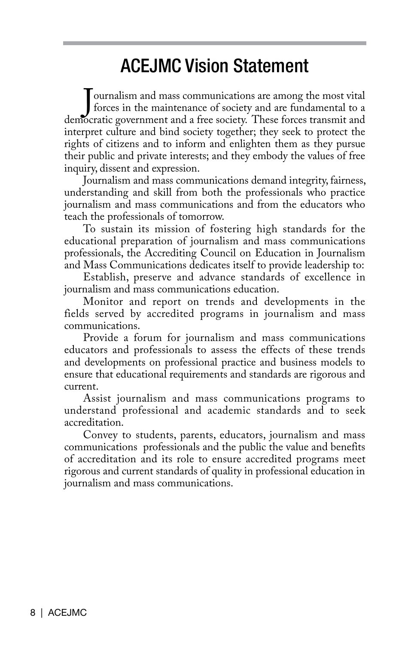## ACEJMC Vision Statement

ournalism and mass communications are among the most vital<br>forces in the maintenance of society and are fundamental to a<br>democratic government and a free society. These forces transmit and ournalism and mass communications are among the most vital forces in the maintenance of society and are fundamental to a interpret culture and bind society together; they seek to protect the rights of citizens and to inform and enlighten them as they pursue their public and private interests; and they embody the values of free inquiry, dissent and expression.

Journalism and mass communications demand integrity, fairness, understanding and skill from both the professionals who practice journalism and mass communications and from the educators who teach the professionals of tomorrow.

To sustain its mission of fostering high standards for the educational preparation of journalism and mass communications professionals, the Accrediting Council on Education in Journalism and Mass Communications dedicates itself to provide leadership to:

Establish, preserve and advance standards of excellence in journalism and mass communications education.

Monitor and report on trends and developments in the fields served by accredited programs in journalism and mass communications.

Provide a forum for journalism and mass communications educators and professionals to assess the effects of these trends and developments on professional practice and business models to ensure that educational requirements and standards are rigorous and current.

Assist journalism and mass communications programs to understand professional and academic standards and to seek accreditation.

Convey to students, parents, educators, journalism and mass communications professionals and the public the value and benefits of accreditation and its role to ensure accredited programs meet rigorous and current standards of quality in professional education in journalism and mass communications.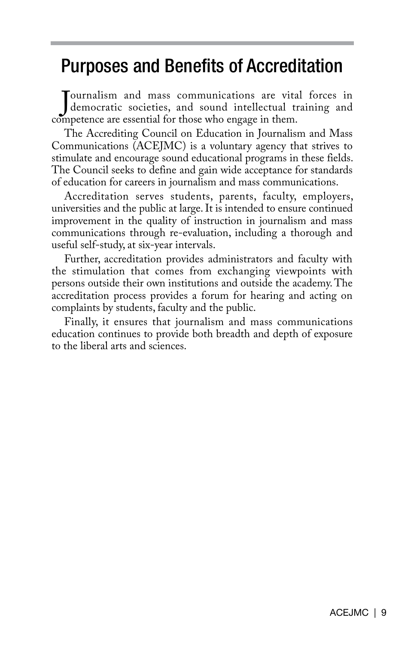## Purposes and Benefits of Accreditation

Journalism and mass communications are vita<br>democratic societies, and sound intellectual ticompetence are essential for those who engage in them. ournalism and mass communications are vital forces in democratic societies, and sound intellectual training and

The Accrediting Council on Education in Journalism and Mass Communications (ACEJMC) is a voluntary agency that strives to stimulate and encourage sound educational programs in these fields. The Council seeks to define and gain wide acceptance for standards of education for careers in journalism and mass communications.

Accreditation serves students, parents, faculty, employers, universities and the public at large. It is intended to ensure continued improvement in the quality of instruction in journalism and mass communications through re-evaluation, including a thorough and useful self-study, at six-year intervals.

Further, accreditation provides administrators and faculty with the stimulation that comes from exchanging viewpoints with persons outside their own institutions and outside the academy. The accreditation process provides a forum for hearing and acting on complaints by students, faculty and the public.

Finally, it ensures that journalism and mass communications education continues to provide both breadth and depth of exposure to the liberal arts and sciences.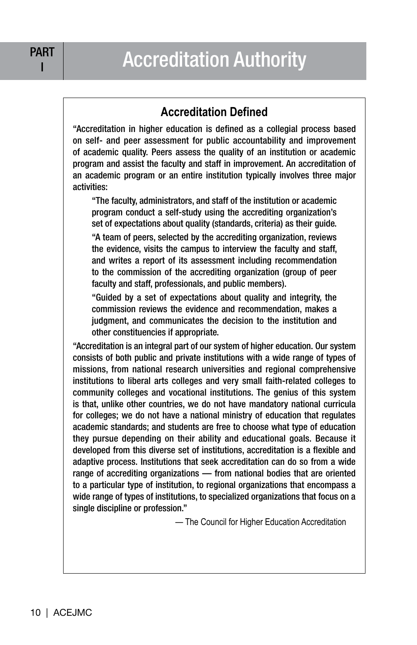#### **Accreditation Defined**

"Accreditation in higher education is defined as a collegial process based on self- and peer assessment for public accountability and improvement of academic quality. Peers assess the quality of an institution or academic program and assist the faculty and staff in improvement. An accreditation of an academic program or an entire institution typically involves three major activities:

"The faculty, administrators, and staff of the institution or academic program conduct a self-study using the accrediting organization's set of expectations about quality (standards, criteria) as their guide.

"A team of peers, selected by the accrediting organization, reviews the evidence, visits the campus to interview the faculty and staff, and writes a report of its assessment including recommendation to the commission of the accrediting organization (group of peer faculty and staff, professionals, and public members).

"Guided by a set of expectations about quality and integrity, the commission reviews the evidence and recommendation, makes a judgment, and communicates the decision to the institution and other constituencies if appropriate.

"Accreditation is an integral part of our system of higher education. Our system consists of both public and private institutions with a wide range of types of missions, from national research universities and regional comprehensive institutions to liberal arts colleges and very small faith-related colleges to community colleges and vocational institutions. The genius of this system is that, unlike other countries, we do not have mandatory national curricula for colleges; we do not have a national ministry of education that regulates academic standards; and students are free to choose what type of education they pursue depending on their ability and educational goals. Because it developed from this diverse set of institutions, accreditation is a flexible and adaptive process. Institutions that seek accreditation can do so from a wide range of accrediting organizations — from national bodies that are oriented to a particular type of institution, to regional organizations that encompass a wide range of types of institutions, to specialized organizations that focus on a single discipline or profession."

— The Council for Higher Education Accreditation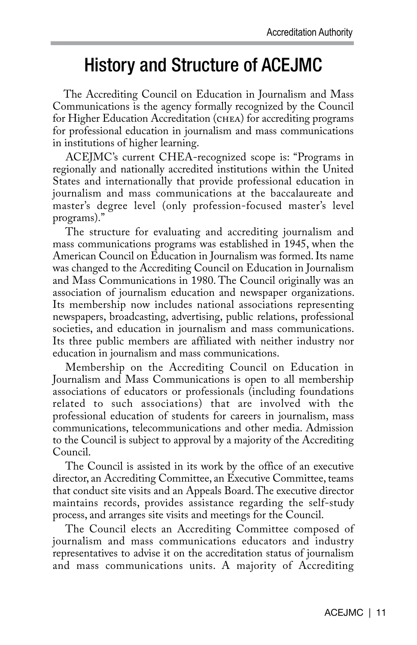## History and Structure of ACEJMC

 The Accrediting Council on Education in Journalism and Mass Communications is the agency formally recognized by the Council for Higher Education Accreditation (chea) for accrediting programs for professional education in journalism and mass communications in institutions of higher learning.

 ACEJMC's current CHEA-recognized scope is: "Programs in regionally and nationally accredited institutions within the United States and internationally that provide professional education in journalism and mass communications at the baccalaureate and master's degree level (only profession-focused master's level programs)."

The structure for evaluating and accrediting journalism and mass communications programs was established in 1945, when the American Council on Education in Journalism was formed. Its name was changed to the Accrediting Council on Education in Journalism and Mass Communications in 1980. The Council originally was an association of journalism education and newspaper organizations. Its membership now includes national associations representing newspapers, broadcasting, advertising, public relations, professional societies, and education in journalism and mass communications. Its three public members are affiliated with neither industry nor education in journalism and mass communications.

Membership on the Accrediting Council on Education in Journalism and Mass Communications is open to all membership associations of educators or professionals (including foundations related to such associations) that are involved with the professional education of students for careers in journalism, mass communications, telecommunications and other media. Admission to the Council is subject to approval by a majority of the Accrediting Council.

The Council is assisted in its work by the office of an executive director, an Accrediting Committee, an Executive Committee, teams that conduct site visits and an Appeals Board. The executive director maintains records, provides assistance regarding the self-study process, and arranges site visits and meetings for the Council.

The Council elects an Accrediting Committee composed of journalism and mass communications educators and industry representatives to advise it on the accreditation status of journalism and mass communications units. A majority of Accrediting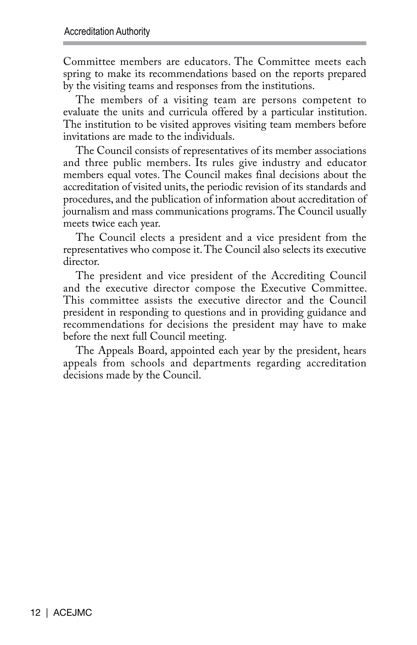Committee members are educators. The Committee meets each spring to make its recommendations based on the reports prepared by the visiting teams and responses from the institutions.

The members of a visiting team are persons competent to evaluate the units and curricula offered by a particular institution. The institution to be visited approves visiting team members before invitations are made to the individuals.

The Council consists of representatives of its member associations and three public members. Its rules give industry and educator members equal votes. The Council makes final decisions about the accreditation of visited units, the periodic revision of its standards and procedures, and the publication of information about accreditation of journalism and mass communications programs. The Council usually meets twice each year.

The Council elects a president and a vice president from the representatives who compose it. The Council also selects its executive director.

The president and vice president of the Accrediting Council and the executive director compose the Executive Committee. This committee assists the executive director and the Council president in responding to questions and in providing guidance and recommendations for decisions the president may have to make before the next full Council meeting.

The Appeals Board, appointed each year by the president, hears appeals from schools and departments regarding accreditation decisions made by the Council.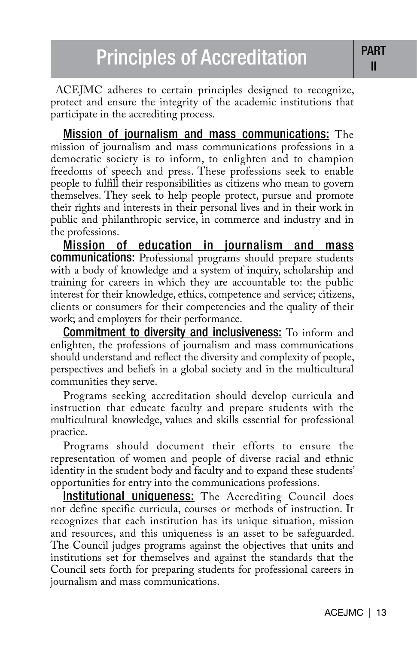ACEJMC adheres to certain principles designed to recognize, protect and ensure the integrity of the academic institutions that participate in the accrediting process.

Mission of journalism and mass communications: The mission of journalism and mass communications professions in a democratic society is to inform, to enlighten and to champion freedoms of speech and press. These professions seek to enable people to fulfill their responsibilities as citizens who mean to govern themselves. They seek to help people protect, pursue and promote their rights and interests in their personal lives and in their work in public and philanthropic service, in commerce and industry and in the professions.

Mission of education in journalism and mass **communications:** Professional programs should prepare students with a body of knowledge and a system of inquiry, scholarship and training for careers in which they are accountable to: the public interest for their knowledge, ethics, competence and service; citizens, clients or consumers for their competencies and the quality of their work; and employers for their performance.

Commitment to diversity and inclusiveness: To inform and enlighten, the professions of journalism and mass communications should understand and reflect the diversity and complexity of people, perspectives and beliefs in a global society and in the multicultural communities they serve.

Programs seeking accreditation should develop curricula and instruction that educate faculty and prepare students with the multicultural knowledge, values and skills essential for professional practice.

Programs should document their efforts to ensure the representation of women and people of diverse racial and ethnic identity in the student body and faculty and to expand these students' opportunities for entry into the communications professions.

**Institutional uniqueness:** The Accrediting Council does not define specific curricula, courses or methods of instruction. It recognizes that each institution has its unique situation, mission and resources, and this uniqueness is an asset to be safeguarded. The Council judges programs against the objectives that units and institutions set for themselves and against the standards that the Council sets forth for preparing students for professional careers in journalism and mass communications.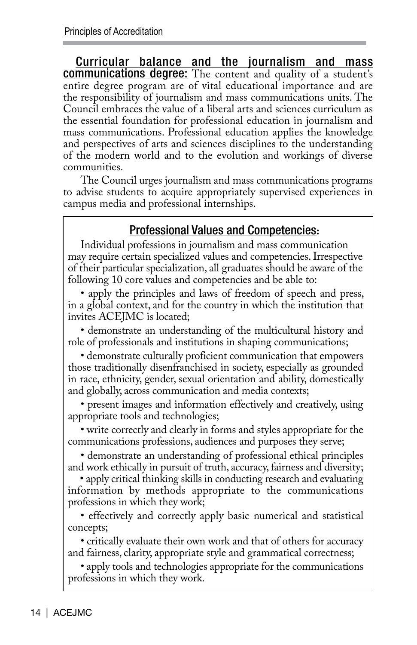Curricular balance and the journalism and mass communications degree: The content and quality of a student's entire degree program are of vital educational importance and are the responsibility of journalism and mass communications units. The Council embraces the value of a liberal arts and sciences curriculum as the essential foundation for professional education in journalism and mass communications. Professional education applies the knowledge and perspectives of arts and sciences disciplines to the understanding of the modern world and to the evolution and workings of diverse communities.

 The Council urges journalism and mass communications programs to advise students to acquire appropriately supervised experiences in campus media and professional internships.

#### Professional Values and Competencies**:**

Individual professions in journalism and mass communication may require certain specialized values and competencies. Irrespective of their particular specialization, all graduates should be aware of the following 10 core values and competencies and be able to:

• apply the principles and laws of freedom of speech and press, in a global context, and for the country in which the institution that invites ACEJMC is located;

• demonstrate an understanding of the multicultural history and role of professionals and institutions in shaping communications;

• demonstrate culturally proficient communication that empowers those traditionally disenfranchised in society, especially as grounded in race, ethnicity, gender, sexual orientation and ability, domestically and globally, across communication and media contexts;

• present images and information effectively and creatively, using appropriate tools and technologies;

• write correctly and clearly in forms and styles appropriate for the communications professions, audiences and purposes they serve;

• demonstrate an understanding of professional ethical principles and work ethically in pursuit of truth, accuracy, fairness and diversity;

• apply critical thinking skills in conducting research and evaluating information by methods appropriate to the communications professions in which they work;

• effectively and correctly apply basic numerical and statistical concepts;

• critically evaluate their own work and that of others for accuracy and fairness, clarity, appropriate style and grammatical correctness;

• apply tools and technologies appropriate for the communications professions in which they work.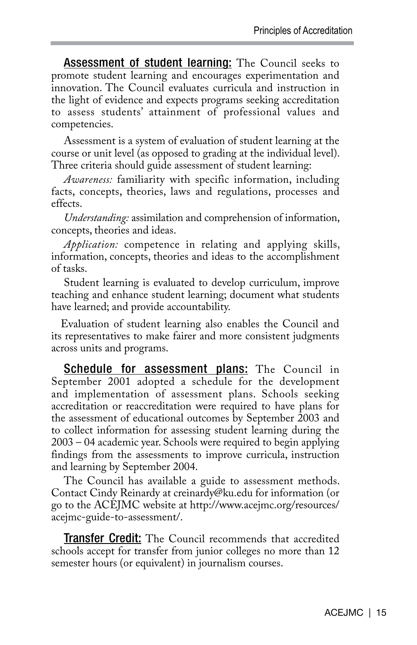**Assessment of student learning:** The Council seeks to promote student learning and encourages experimentation and innovation. The Council evaluates curricula and instruction in the light of evidence and expects programs seeking accreditation to assess students' attainment of professional values and competencies.

Assessment is a system of evaluation of student learning at the course or unit level (as opposed to grading at the individual level). Three criteria should guide assessment of student learning:

*Awareness:* familiarity with specific information, including facts, concepts, theories, laws and regulations, processes and effects.

*Understanding:* assimilation and comprehension of information, concepts, theories and ideas.

*Application:* competence in relating and applying skills, information, concepts, theories and ideas to the accomplishment of tasks.

Student learning is evaluated to develop curriculum, improve teaching and enhance student learning; document what students have learned; and provide accountability.

Evaluation of student learning also enables the Council and its representatives to make fairer and more consistent judgments across units and programs.

Schedule for assessment plans: The Council in September 2001 adopted a schedule for the development and implementation of assessment plans. Schools seeking accreditation or reaccreditation were required to have plans for the assessment of educational outcomes by September 2003 and to collect information for assessing student learning during the 2003 – 04 academic year. Schools were required to begin applying findings from the assessments to improve curricula, instruction and learning by September 2004.

The Council has available a guide to assessment methods. Contact Cindy Reinardy at creinardy@ku.edu for information (or go to the ACEJMC website at http://www.acejmc.org/resources/ acejmc-guide-to-assessment/.

Transfer Credit: The Council recommends that accredited schools accept for transfer from junior colleges no more than 12 semester hours (or equivalent) in journalism courses.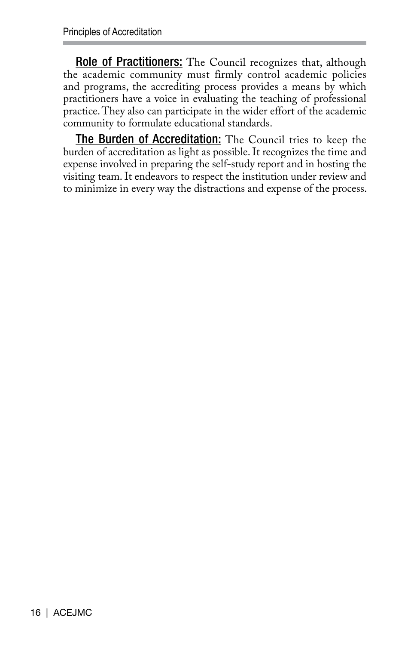Role of Practitioners: The Council recognizes that, although the academic community must firmly control academic policies and programs, the accrediting process provides a means by which practitioners have a voice in evaluating the teaching of professional practice. They also can participate in the wider effort of the academic community to formulate educational standards.

The Burden of Accreditation: The Council tries to keep the burden of accreditation as light as possible. It recognizes the time and expense involved in preparing the self-study report and in hosting the visiting team. It endeavors to respect the institution under review and to minimize in every way the distractions and expense of the process.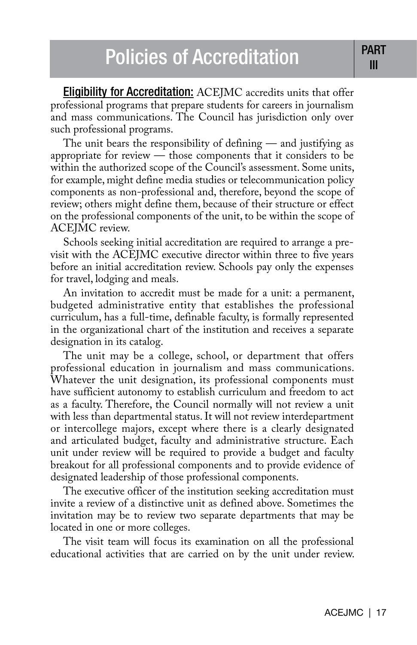Eligibility for Accreditation: ACEJMC accredits units that offer professional programs that prepare students for careers in journalism and mass communications. The Council has jurisdiction only over such professional programs.

The unit bears the responsibility of defining — and justifying as appropriate for review — those components that it considers to be within the authorized scope of the Council's assessment. Some units, for example, might define media studies or telecommunication policy components as non-professional and, therefore, beyond the scope of review; others might define them, because of their structure or effect on the professional components of the unit, to be within the scope of ACEJMC review.

Schools seeking initial accreditation are required to arrange a previsit with the ACEJMC executive director within three to five years before an initial accreditation review. Schools pay only the expenses for travel, lodging and meals.

An invitation to accredit must be made for a unit: a permanent, budgeted administrative entity that establishes the professional curriculum, has a full-time, definable faculty, is formally represented in the organizational chart of the institution and receives a separate designation in its catalog.

The unit may be a college, school, or department that offers professional education in journalism and mass communications. Whatever the unit designation, its professional components must have sufficient autonomy to establish curriculum and freedom to act as a faculty. Therefore, the Council normally will not review a unit with less than departmental status. It will not review interdepartment or intercollege majors, except where there is a clearly designated and articulated budget, faculty and administrative structure. Each unit under review will be required to provide a budget and faculty breakout for all professional components and to provide evidence of designated leadership of those professional components.

The executive officer of the institution seeking accreditation must invite a review of a distinctive unit as defined above. Sometimes the invitation may be to review two separate departments that may be located in one or more colleges.

The visit team will focus its examination on all the professional educational activities that are carried on by the unit under review.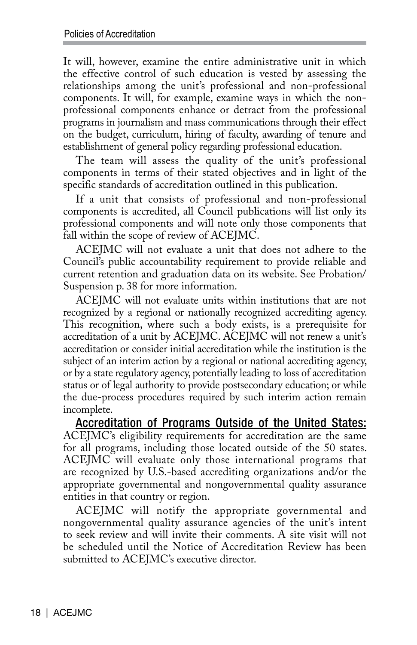It will, however, examine the entire administrative unit in which the effective control of such education is vested by assessing the relationships among the unit's professional and non-professional components. It will, for example, examine ways in which the nonprofessional components enhance or detract from the professional programs in journalism and mass communications through their effect on the budget, curriculum, hiring of faculty, awarding of tenure and establishment of general policy regarding professional education.

The team will assess the quality of the unit's professional components in terms of their stated objectives and in light of the specific standards of accreditation outlined in this publication.

If a unit that consists of professional and non-professional components is accredited, all Council publications will list only its professional components and will note only those components that fall within the scope of review of ACEJMC.

ACEJMC will not evaluate a unit that does not adhere to the Council's public accountability requirement to provide reliable and current retention and graduation data on its website. See Probation/ Suspension p. 38 for more information.

ACEJMC will not evaluate units within institutions that are not recognized by a regional or nationally recognized accrediting agency. This recognition, where such a body exists, is a prerequisite for accreditation of a unit by ACEJMC. ACEJMC will not renew a unit's accreditation or consider initial accreditation while the institution is the subject of an interim action by a regional or national accrediting agency, or by a state regulatory agency, potentially leading to loss of accreditation status or of legal authority to provide postsecondary education; or while the due-process procedures required by such interim action remain incomplete.

Accreditation of Programs Outside of the United States: ACEJMC's eligibility requirements for accreditation are the same for all programs, including those located outside of the 50 states. ACEJMC will evaluate only those international programs that are recognized by U.S.-based accrediting organizations and/or the appropriate governmental and nongovernmental quality assurance entities in that country or region.

ACEJMC will notify the appropriate governmental and nongovernmental quality assurance agencies of the unit's intent to seek review and will invite their comments. A site visit will not be scheduled until the Notice of Accreditation Review has been submitted to ACEJMC's executive director.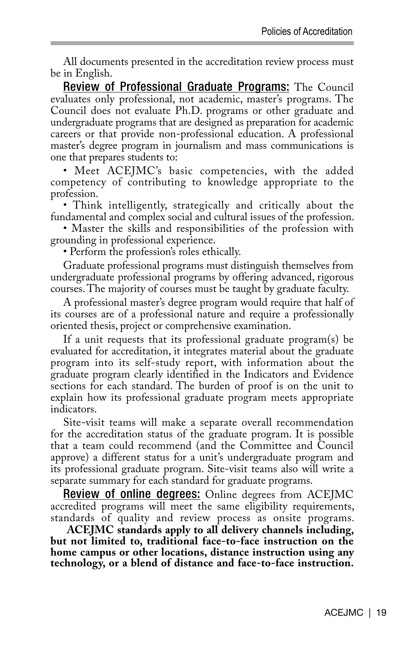All documents presented in the accreditation review process must be in English.

Review of Professional Graduate Programs: The Council evaluates only professional, not academic, master's programs. The Council does not evaluate Ph.D. programs or other graduate and undergraduate programs that are designed as preparation for academic careers or that provide non-professional education. A professional master's degree program in journalism and mass communications is one that prepares students to:

• Meet ACEJMC's basic competencies, with the added competency of contributing to knowledge appropriate to the profession.

• Think intelligently, strategically and critically about the fundamental and complex social and cultural issues of the profession.

• Master the skills and responsibilities of the profession with grounding in professional experience.

• Perform the profession's roles ethically.

Graduate professional programs must distinguish themselves from undergraduate professional programs by offering advanced, rigorous courses. The majority of courses must be taught by graduate faculty.

A professional master's degree program would require that half of its courses are of a professional nature and require a professionally oriented thesis, project or comprehensive examination.

If a unit requests that its professional graduate program(s) be evaluated for accreditation, it integrates material about the graduate program into its self-study report, with information about the graduate program clearly identified in the Indicators and Evidence sections for each standard. The burden of proof is on the unit to explain how its professional graduate program meets appropriate indicators.

Site-visit teams will make a separate overall recommendation for the accreditation status of the graduate program. It is possible that a team could recommend (and the Committee and Council approve) a different status for a unit's undergraduate program and its professional graduate program. Site-visit teams also will write a separate summary for each standard for graduate programs.

**Review of online degrees:** Online degrees from ACEJMC accredited programs will meet the same eligibility requirements, standards of quality and review process as onsite programs.

 **ACEJMC standards apply to all delivery channels including, but not limited to, traditional face-to-face instruction on the home campus or other locations, distance instruction using any technology, or a blend of distance and face-to-face instruction.**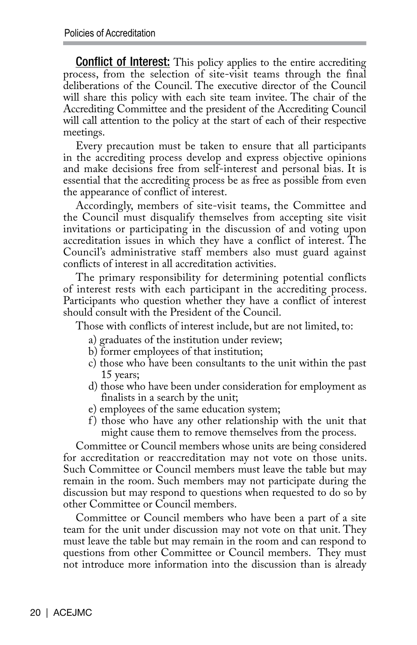Conflict of Interest: This policy applies to the entire accrediting process, from the selection of site-visit teams through the final deliberations of the Council. The executive director of the Council will share this policy with each site team invitee. The chair of the Accrediting Committee and the president of the Accrediting Council will call attention to the policy at the start of each of their respective meetings.

Every precaution must be taken to ensure that all participants in the accrediting process develop and express objective opinions and make decisions free from self-interest and personal bias. It is essential that the accrediting process be as free as possible from even the appearance of conflict of interest.

Accordingly, members of site-visit teams, the Committee and the Council must disqualify themselves from accepting site visit invitations or participating in the discussion of and voting upon accreditation issues in which they have a conflict of interest. The Council's administrative staff members also must guard against conflicts of interest in all accreditation activities.

The primary responsibility for determining potential conflicts of interest rests with each participant in the accrediting process. Participants who question whether they have a conflict of interest should consult with the President of the Council.

Those with conflicts of interest include, but are not limited, to:

- a) graduates of the institution under review;
- b) former employees of that institution;
- c) those who have been consultants to the unit within the past 15 years;
- d) those who have been under consideration for employment as finalists in a search by the unit;
- e) employees of the same education system;
- f) those who have any other relationship with the unit that might cause them to remove themselves from the process.

Committee or Council members whose units are being considered for accreditation or reaccreditation may not vote on those units. Such Committee or Council members must leave the table but may remain in the room. Such members may not participate during the discussion but may respond to questions when requested to do so by other Committee or Council members.

Committee or Council members who have been a part of a site team for the unit under discussion may not vote on that unit. They must leave the table but may remain in the room and can respond to questions from other Committee or Council members. They must not introduce more information into the discussion than is already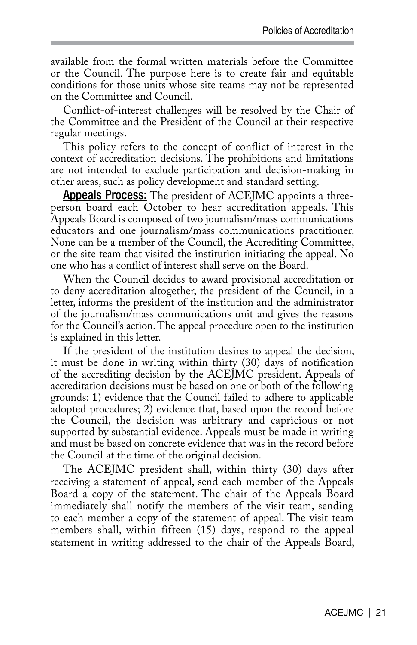available from the formal written materials before the Committee or the Council. The purpose here is to create fair and equitable conditions for those units whose site teams may not be represented on the Committee and Council.

Conflict-of-interest challenges will be resolved by the Chair of the Committee and the President of the Council at their respective regular meetings.

This policy refers to the concept of conflict of interest in the context of accreditation decisions. The prohibitions and limitations are not intended to exclude participation and decision-making in other areas, such as policy development and standard setting.

**Appeals Process:** The president of ACEJMC appoints a threeperson board each October to hear accreditation appeals. This Appeals Board is composed of two journalism/mass communications educators and one journalism/mass communications practitioner. None can be a member of the Council, the Accrediting Committee, or the site team that visited the institution initiating the appeal. No one who has a conflict of interest shall serve on the Board.

When the Council decides to award provisional accreditation or to deny accreditation altogether, the president of the Council, in a letter, informs the president of the institution and the administrator of the journalism/mass communications unit and gives the reasons for the Council's action. The appeal procedure open to the institution is explained in this letter.

If the president of the institution desires to appeal the decision, it must be done in writing within thirty (30) days of notification of the accrediting decision by the ACEJMC president. Appeals of accreditation decisions must be based on one or both of the following grounds: 1) evidence that the Council failed to adhere to applicable adopted procedures; 2) evidence that, based upon the record before the Council, the decision was arbitrary and capricious or not supported by substantial evidence. Appeals must be made in writing and must be based on concrete evidence that was in the record before the Council at the time of the original decision.

The ACEJMC president shall, within thirty (30) days after receiving a statement of appeal, send each member of the Appeals Board a copy of the statement. The chair of the Appeals Board immediately shall notify the members of the visit team, sending to each member a copy of the statement of appeal. The visit team members shall, within fifteen (15) days, respond to the appeal statement in writing addressed to the chair of the Appeals Board,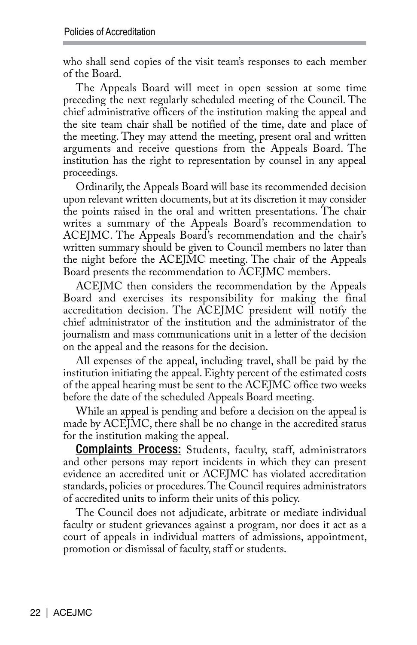who shall send copies of the visit team's responses to each member of the Board.

The Appeals Board will meet in open session at some time preceding the next regularly scheduled meeting of the Council. The chief administrative officers of the institution making the appeal and the site team chair shall be notified of the time, date and place of the meeting. They may attend the meeting, present oral and written arguments and receive questions from the Appeals Board. The institution has the right to representation by counsel in any appeal proceedings.

Ordinarily, the Appeals Board will base its recommended decision upon relevant written documents, but at its discretion it may consider the points raised in the oral and written presentations. The chair writes a summary of the Appeals Board's recommendation to ACEJMC. The Appeals Board's recommendation and the chair's written summary should be given to Council members no later than the night before the ACEJMC meeting. The chair of the Appeals Board presents the recommendation to ACEJMC members.

ACEJMC then considers the recommendation by the Appeals Board and exercises its responsibility for making the final accreditation decision. The ACEJMC president will notify the chief administrator of the institution and the administrator of the journalism and mass communications unit in a letter of the decision on the appeal and the reasons for the decision.

All expenses of the appeal, including travel, shall be paid by the institution initiating the appeal. Eighty percent of the estimated costs of the appeal hearing must be sent to the ACEJMC office two weeks before the date of the scheduled Appeals Board meeting.

While an appeal is pending and before a decision on the appeal is made by ACEJMC, there shall be no change in the accredited status for the institution making the appeal.

**Complaints Process:** Students, faculty, staff, administrators and other persons may report incidents in which they can present evidence an accredited unit or ACEJMC has violated accreditation standards, policies or procedures. The Council requires administrators of accredited units to inform their units of this policy.

The Council does not adjudicate, arbitrate or mediate individual faculty or student grievances against a program, nor does it act as a court of appeals in individual matters of admissions, appointment, promotion or dismissal of faculty, staff or students.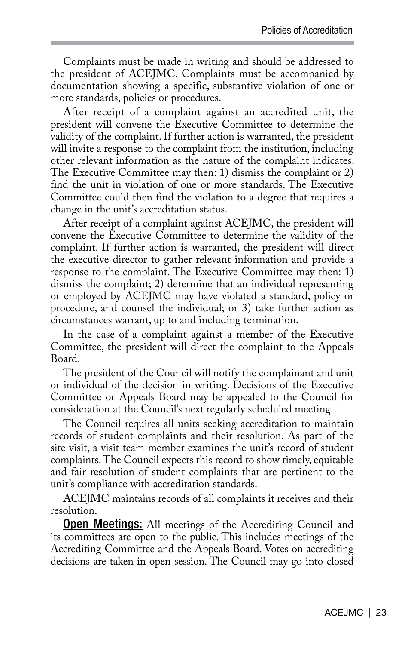Complaints must be made in writing and should be addressed to the president of ACEJMC. Complaints must be accompanied by documentation showing a specific, substantive violation of one or more standards, policies or procedures.

After receipt of a complaint against an accredited unit, the president will convene the Executive Committee to determine the validity of the complaint. If further action is warranted, the president will invite a response to the complaint from the institution, including other relevant information as the nature of the complaint indicates. The Executive Committee may then: 1) dismiss the complaint or 2) find the unit in violation of one or more standards. The Executive Committee could then find the violation to a degree that requires a change in the unit's accreditation status.

After receipt of a complaint against ACEJMC, the president will convene the Executive Committee to determine the validity of the complaint. If further action is warranted, the president will direct the executive director to gather relevant information and provide a response to the complaint. The Executive Committee may then: 1) dismiss the complaint; 2) determine that an individual representing or employed by ACEJMC may have violated a standard, policy or procedure, and counsel the individual; or 3) take further action as circumstances warrant, up to and including termination.

In the case of a complaint against a member of the Executive Committee, the president will direct the complaint to the Appeals Board.

The president of the Council will notify the complainant and unit or individual of the decision in writing. Decisions of the Executive Committee or Appeals Board may be appealed to the Council for consideration at the Council's next regularly scheduled meeting.

The Council requires all units seeking accreditation to maintain records of student complaints and their resolution. As part of the site visit, a visit team member examines the unit's record of student complaints. The Council expects this record to show timely, equitable and fair resolution of student complaints that are pertinent to the unit's compliance with accreditation standards.

ACEJMC maintains records of all complaints it receives and their resolution.

Open Meetings: All meetings of the Accrediting Council and its committees are open to the public. This includes meetings of the Accrediting Committee and the Appeals Board. Votes on accrediting decisions are taken in open session. The Council may go into closed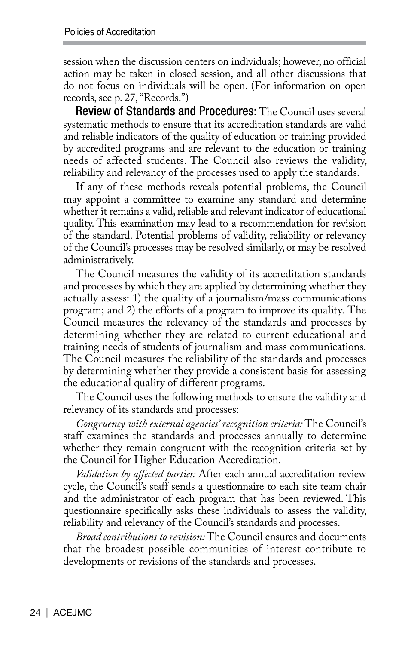session when the discussion centers on individuals; however, no official action may be taken in closed session, and all other discussions that do not focus on individuals will be open. (For information on open records, see p. 27, "Records.")

Review of Standards and Procedures: The Council uses several systematic methods to ensure that its accreditation standards are valid and reliable indicators of the quality of education or training provided by accredited programs and are relevant to the education or training needs of affected students. The Council also reviews the validity, reliability and relevancy of the processes used to apply the standards.

If any of these methods reveals potential problems, the Council may appoint a committee to examine any standard and determine whether it remains a valid, reliable and relevant indicator of educational quality. This examination may lead to a recommendation for revision of the standard. Potential problems of validity, reliability or relevancy of the Council's processes may be resolved similarly, or may be resolved administratively.

The Council measures the validity of its accreditation standards and processes by which they are applied by determining whether they actually assess: 1) the quality of a journalism/mass communications program; and 2) the efforts of a program to improve its quality. The Council measures the relevancy of the standards and processes by determining whether they are related to current educational and training needs of students of journalism and mass communications. The Council measures the reliability of the standards and processes by determining whether they provide a consistent basis for assessing the educational quality of different programs.

The Council uses the following methods to ensure the validity and relevancy of its standards and processes:

*Congruency with external agencies' recognition criteria:* The Council's staff examines the standards and processes annually to determine whether they remain congruent with the recognition criteria set by the Council for Higher Education Accreditation.

*Validation by affected parties:* After each annual accreditation review cycle, the Council's staff sends a questionnaire to each site team chair and the administrator of each program that has been reviewed. This questionnaire specifically asks these individuals to assess the validity, reliability and relevancy of the Council's standards and processes.

*Broad contributions to revision:* The Council ensures and documents that the broadest possible communities of interest contribute to developments or revisions of the standards and processes.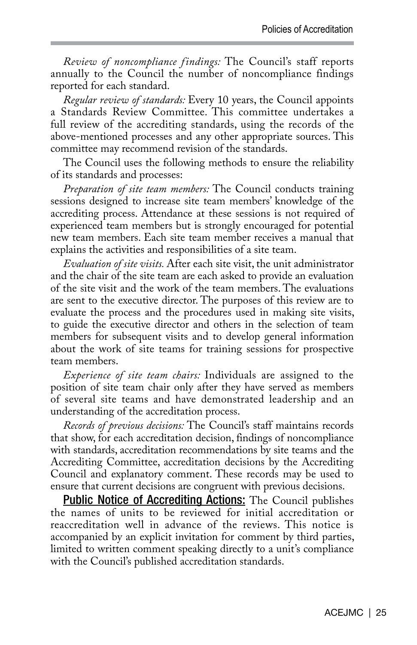*Review of noncompliance findings:* The Council's staff reports annually to the Council the number of noncompliance findings reported for each standard.

*Regular review of standards:* Every 10 years, the Council appoints a Standards Review Committee. This committee undertakes a full review of the accrediting standards, using the records of the above-mentioned processes and any other appropriate sources. This committee may recommend revision of the standards.

The Council uses the following methods to ensure the reliability of its standards and processes:

*Preparation of site team members:* The Council conducts training sessions designed to increase site team members' knowledge of the accrediting process. Attendance at these sessions is not required of experienced team members but is strongly encouraged for potential new team members. Each site team member receives a manual that explains the activities and responsibilities of a site team.

*Evaluation of site visits.* After each site visit, the unit administrator and the chair of the site team are each asked to provide an evaluation of the site visit and the work of the team members. The evaluations are sent to the executive director. The purposes of this review are to evaluate the process and the procedures used in making site visits, to guide the executive director and others in the selection of team members for subsequent visits and to develop general information about the work of site teams for training sessions for prospective team members.

*Experience of site team chairs:* Individuals are assigned to the position of site team chair only after they have served as members of several site teams and have demonstrated leadership and an understanding of the accreditation process.

*Records of previous decisions:* The Council's staff maintains records that show, for each accreditation decision, findings of noncompliance with standards, accreditation recommendations by site teams and the Accrediting Committee, accreditation decisions by the Accrediting Council and explanatory comment. These records may be used to ensure that current decisions are congruent with previous decisions.

**Public Notice of Accrediting Actions:** The Council publishes the names of units to be reviewed for initial accreditation or reaccreditation well in advance of the reviews. This notice is accompanied by an explicit invitation for comment by third parties, limited to written comment speaking directly to a unit's compliance with the Council's published accreditation standards.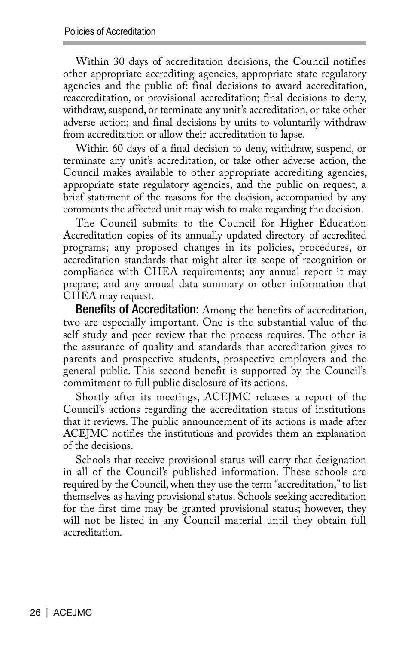Within 30 days of accreditation decisions, the Council notifies other appropriate accrediting agencies, appropriate state regulatory agencies and the public of: final decisions to award accreditation, reaccreditation, or provisional accreditation; final decisions to deny, withdraw, suspend, or terminate any unit's accreditation, or take other adverse action; and final decisions by units to voluntarily withdraw from accreditation or allow their accreditation to lapse.

Within 60 days of a final decision to deny, withdraw, suspend, or terminate any unit's accreditation, or take other adverse action, the Council makes available to other appropriate accrediting agencies, appropriate state regulatory agencies, and the public on request, a brief statement of the reasons for the decision, accompanied by any comments the affected unit may wish to make regarding the decision.

The Council submits to the Council for Higher Education Accreditation copies of its annually updated directory of accredited programs; any proposed changes in its policies, procedures, or accreditation standards that might alter its scope of recognition or compliance with CHEA requirements; any annual report it may prepare; and any annual data summary or other information that CHEA may request.

**Benefits of Accreditation:** Among the benefits of accreditation, two are especially important. One is the substantial value of the self-study and peer review that the process requires. The other is the assurance of quality and standards that accreditation gives to parents and prospective students, prospective employers and the general public. This second benefit is supported by the Council's commitment to full public disclosure of its actions.

Shortly after its meetings, ACEJMC releases a report of the Council's actions regarding the accreditation status of institutions that it reviews. The public announcement of its actions is made after ACEJMC notifies the institutions and provides them an explanation of the decisions.

Schools that receive provisional status will carry that designation in all of the Council's published information. These schools are required by the Council, when they use the term "accreditation," to list themselves as having provisional status. Schools seeking accreditation for the first time may be granted provisional status; however, they will not be listed in any Council material until they obtain full accreditation.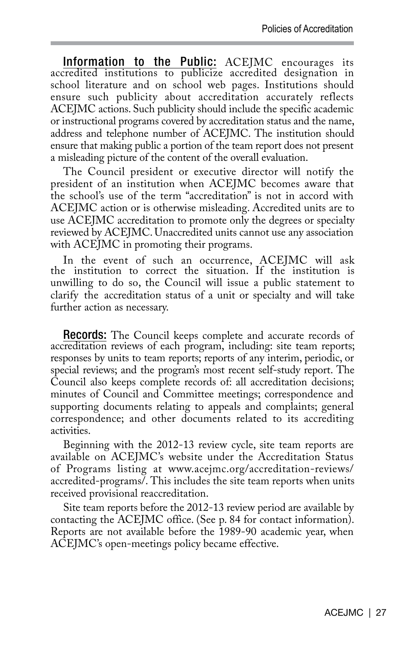Information to the Public: ACEJMC encourages its accredited institutions to publicize accredited designation in school literature and on school web pages. Institutions should ensure such publicity about accreditation accurately reflects ACEJMC actions. Such publicity should include the specific academic or instructional programs covered by accreditation status and the name, address and telephone number of ACEJMC. The institution should ensure that making public a portion of the team report does not present a misleading picture of the content of the overall evaluation.

The Council president or executive director will notify the president of an institution when ACEJMC becomes aware that the school's use of the term "accreditation" is not in accord with ACEJMC action or is otherwise misleading. Accredited units are to use ACEJMC accreditation to promote only the degrees or specialty reviewed by ACEJMC. Unaccredited units cannot use any association with ACEJMC in promoting their programs.

In the event of such an occurrence, ACEJMC will ask the institution to correct the situation. If the institution is unwilling to do so, the Council will issue a public statement to clarify the accreditation status of a unit or specialty and will take further action as necessary.

Records: The Council keeps complete and accurate records of accreditation reviews of each program, including: site team reports; responses by units to team reports; reports of any interim, periodic, or special reviews; and the program's most recent self-study report. The Council also keeps complete records of: all accreditation decisions; minutes of Council and Committee meetings; correspondence and supporting documents relating to appeals and complaints; general correspondence; and other documents related to its accrediting activities.

Beginning with the 2012-13 review cycle, site team reports are available on ACEJMC's website under the Accreditation Status of Programs listing at www.acejmc.org/accreditation-reviews/ accredited-programs/. This includes the site team reports when units received provisional reaccreditation.

Site team reports before the 2012-13 review period are available by contacting the ACEJMC office. (See p. 84 for contact information). Reports are not available before the 1989-90 academic year, when ACEJMC's open-meetings policy became effective.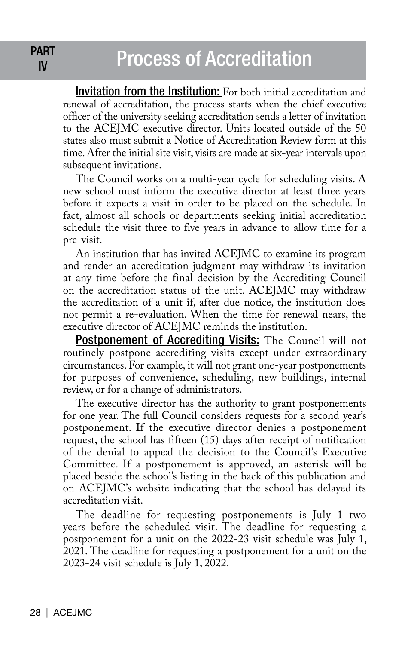# PART Process of Accreditation

Invitation from the Institution: For both initial accreditation and renewal of accreditation, the process starts when the chief executive officer of the university seeking accreditation sends a letter of invitation to the ACEJMC executive director. Units located outside of the 50 states also must submit a Notice of Accreditation Review form at this time. After the initial site visit, visits are made at six-year intervals upon subsequent invitations.

The Council works on a multi-year cycle for scheduling visits. A new school must inform the executive director at least three years before it expects a visit in order to be placed on the schedule. In fact, almost all schools or departments seeking initial accreditation schedule the visit three to five years in advance to allow time for a pre-visit.

An institution that has invited ACEJMC to examine its program and render an accreditation judgment may withdraw its invitation at any time before the final decision by the Accrediting Council on the accreditation status of the unit. ACEJMC may withdraw the accreditation of a unit if, after due notice, the institution does not permit a re-evaluation. When the time for renewal nears, the executive director of ACEJMC reminds the institution.

Postponement of Accrediting Visits: The Council will not routinely postpone accrediting visits except under extraordinary circumstances. For example, it will not grant one-year postponements for purposes of convenience, scheduling, new buildings, internal review, or for a change of administrators.

The executive director has the authority to grant postponements for one year. The full Council considers requests for a second year's postponement. If the executive director denies a postponement request, the school has fifteen (15) days after receipt of notification of the denial to appeal the decision to the Council's Executive Committee. If a postponement is approved, an asterisk will be placed beside the school's listing in the back of this publication and on ACEJMC's website indicating that the school has delayed its accreditation visit.

The deadline for requesting postponements is July 1 two years before the scheduled visit. The deadline for requesting a postponement for a unit on the 2022-23 visit schedule was July 1, 2021. The deadline for requesting a postponement for a unit on the 2023-24 visit schedule is July 1, 2022.

IV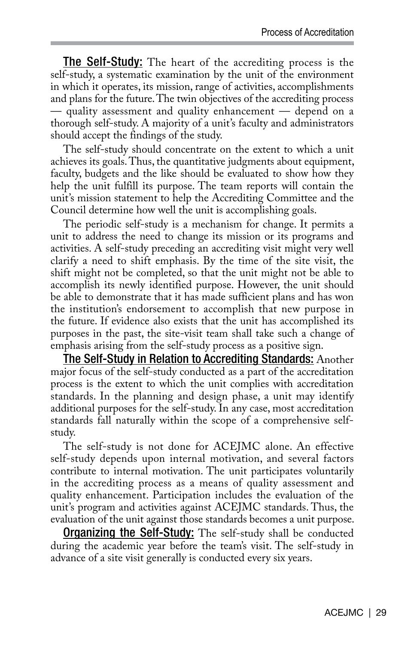The Self-Study: The heart of the accrediting process is the self-study, a systematic examination by the unit of the environment in which it operates, its mission, range of activities, accomplishments and plans for the future. The twin objectives of the accrediting process — quality assessment and quality enhancement — depend on a thorough self-study. A majority of a unit's faculty and administrators should accept the findings of the study.

The self-study should concentrate on the extent to which a unit achieves its goals. Thus, the quantitative judgments about equipment, faculty, budgets and the like should be evaluated to show how they help the unit fulfill its purpose. The team reports will contain the unit's mission statement to help the Accrediting Committee and the Council determine how well the unit is accomplishing goals.

The periodic self-study is a mechanism for change. It permits a unit to address the need to change its mission or its programs and activities. A self-study preceding an accrediting visit might very well clarify a need to shift emphasis. By the time of the site visit, the shift might not be completed, so that the unit might not be able to accomplish its newly identified purpose. However, the unit should be able to demonstrate that it has made sufficient plans and has won the institution's endorsement to accomplish that new purpose in the future. If evidence also exists that the unit has accomplished its purposes in the past, the site-visit team shall take such a change of emphasis arising from the self-study process as a positive sign.

The Self-Study in Relation to Accrediting Standards: Another major focus of the self-study conducted as a part of the accreditation process is the extent to which the unit complies with accreditation standards. In the planning and design phase, a unit may identify additional purposes for the self-study. In any case, most accreditation standards fall naturally within the scope of a comprehensive selfstudy.

The self-study is not done for ACEJMC alone. An effective self-study depends upon internal motivation, and several factors contribute to internal motivation. The unit participates voluntarily in the accrediting process as a means of quality assessment and quality enhancement. Participation includes the evaluation of the unit's program and activities against ACEJMC standards. Thus, the evaluation of the unit against those standards becomes a unit purpose.

**Organizing the Self-Study:** The self-study shall be conducted during the academic year before the team's visit. The self-study in advance of a site visit generally is conducted every six years.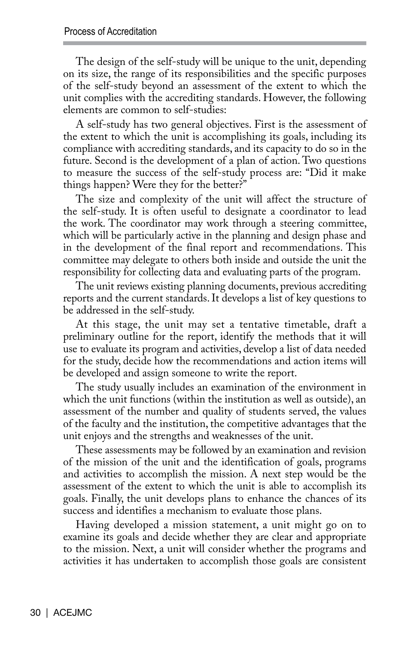The design of the self-study will be unique to the unit, depending on its size, the range of its responsibilities and the specific purposes of the self-study beyond an assessment of the extent to which the unit complies with the accrediting standards. However, the following elements are common to self-studies:

A self-study has two general objectives. First is the assessment of the extent to which the unit is accomplishing its goals, including its compliance with accrediting standards, and its capacity to do so in the future. Second is the development of a plan of action. Two questions to measure the success of the self-study process are: "Did it make things happen? Were they for the better?"

The size and complexity of the unit will affect the structure of the self-study. It is often useful to designate a coordinator to lead the work. The coordinator may work through a steering committee, which will be particularly active in the planning and design phase and in the development of the final report and recommendations. This committee may delegate to others both inside and outside the unit the responsibility for collecting data and evaluating parts of the program.

The unit reviews existing planning documents, previous accrediting reports and the current standards. It develops a list of key questions to be addressed in the self-study.

At this stage, the unit may set a tentative timetable, draft a preliminary outline for the report, identify the methods that it will use to evaluate its program and activities, develop a list of data needed for the study, decide how the recommendations and action items will be developed and assign someone to write the report.

The study usually includes an examination of the environment in which the unit functions (within the institution as well as outside), an assessment of the number and quality of students served, the values of the faculty and the institution, the competitive advantages that the unit enjoys and the strengths and weaknesses of the unit.

These assessments may be followed by an examination and revision of the mission of the unit and the identification of goals, programs and activities to accomplish the mission. A next step would be the assessment of the extent to which the unit is able to accomplish its goals. Finally, the unit develops plans to enhance the chances of its success and identifies a mechanism to evaluate those plans.

Having developed a mission statement, a unit might go on to examine its goals and decide whether they are clear and appropriate to the mission. Next, a unit will consider whether the programs and activities it has undertaken to accomplish those goals are consistent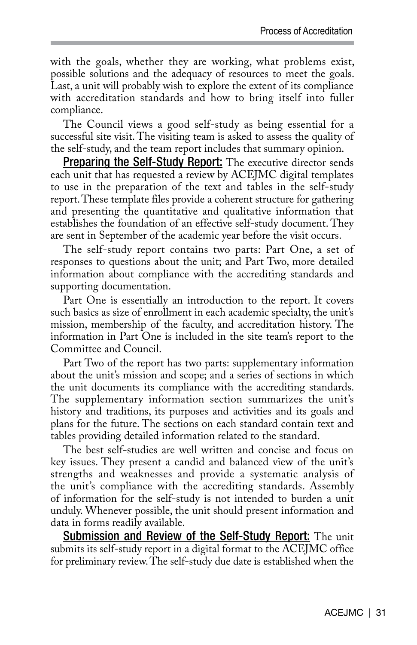with the goals, whether they are working, what problems exist, possible solutions and the adequacy of resources to meet the goals. Last, a unit will probably wish to explore the extent of its compliance with accreditation standards and how to bring itself into fuller compliance.

The Council views a good self-study as being essential for a successful site visit. The visiting team is asked to assess the quality of the self-study, and the team report includes that summary opinion.

**Preparing the Self-Study Report:** The executive director sends each unit that has requested a review by ACEJMC digital templates to use in the preparation of the text and tables in the self-study report. These template files provide a coherent structure for gathering and presenting the quantitative and qualitative information that establishes the foundation of an effective self-study document. They are sent in September of the academic year before the visit occurs.

The self-study report contains two parts: Part One, a set of responses to questions about the unit; and Part Two, more detailed information about compliance with the accrediting standards and supporting documentation.

Part One is essentially an introduction to the report. It covers such basics as size of enrollment in each academic specialty, the unit's mission, membership of the faculty, and accreditation history. The information in Part One is included in the site team's report to the Committee and Council.

Part Two of the report has two parts: supplementary information about the unit's mission and scope; and a series of sections in which the unit documents its compliance with the accrediting standards. The supplementary information section summarizes the unit's history and traditions, its purposes and activities and its goals and plans for the future. The sections on each standard contain text and tables providing detailed information related to the standard.

The best self-studies are well written and concise and focus on key issues. They present a candid and balanced view of the unit's strengths and weaknesses and provide a systematic analysis of the unit's compliance with the accrediting standards. Assembly of information for the self-study is not intended to burden a unit unduly. Whenever possible, the unit should present information and data in forms readily available.

**Submission and Review of the Self-Study Report:** The unit submits its self-study report in a digital format to the ACEJMC office for preliminary review. The self-study due date is established when the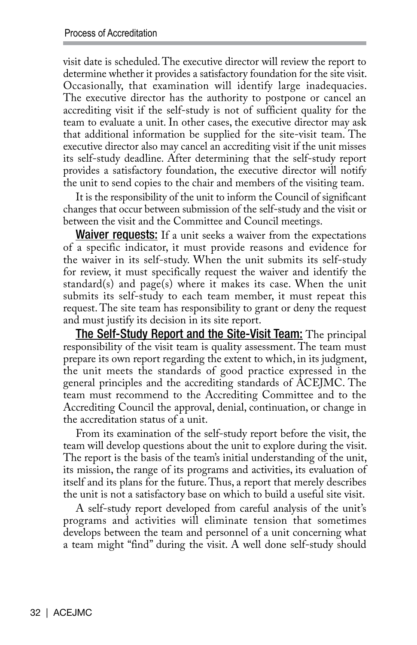visit date is scheduled. The executive director will review the report to determine whether it provides a satisfactory foundation for the site visit. Occasionally, that examination will identify large inadequacies. The executive director has the authority to postpone or cancel an accrediting visit if the self-study is not of sufficient quality for the team to evaluate a unit. In other cases, the executive director may ask that additional information be supplied for the site-visit team. The executive director also may cancel an accrediting visit if the unit misses its self-study deadline. After determining that the self-study report provides a satisfactory foundation, the executive director will notify the unit to send copies to the chair and members of the visiting team.

It is the responsibility of the unit to inform the Council of significant changes that occur between submission of the self-study and the visit or between the visit and the Committee and Council meetings.

**Waiver requests:** If a unit seeks a waiver from the expectations of a specific indicator, it must provide reasons and evidence for the waiver in its self-study. When the unit submits its self-study for review, it must specifically request the waiver and identify the standard(s) and page(s) where it makes its case. When the unit submits its self-study to each team member, it must repeat this request. The site team has responsibility to grant or deny the request and must justify its decision in its site report.

The Self-Study Report and the Site-Visit Team: The principal responsibility of the visit team is quality assessment. The team must prepare its own report regarding the extent to which, in its judgment, the unit meets the standards of good practice expressed in the general principles and the accrediting standards of ACEJMC. The team must recommend to the Accrediting Committee and to the Accrediting Council the approval, denial, continuation, or change in the accreditation status of a unit.

From its examination of the self-study report before the visit, the team will develop questions about the unit to explore during the visit. The report is the basis of the team's initial understanding of the unit, its mission, the range of its programs and activities, its evaluation of itself and its plans for the future. Thus, a report that merely describes the unit is not a satisfactory base on which to build a useful site visit.

A self-study report developed from careful analysis of the unit's programs and activities will eliminate tension that sometimes develops between the team and personnel of a unit concerning what a team might "find" during the visit. A well done self-study should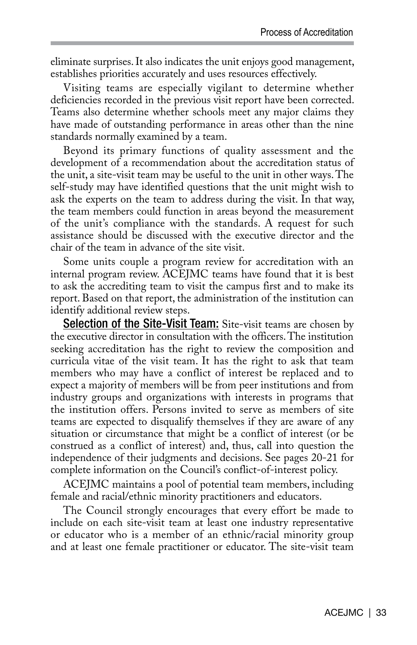eliminate surprises. It also indicates the unit enjoys good management, establishes priorities accurately and uses resources effectively.

Visiting teams are especially vigilant to determine whether deficiencies recorded in the previous visit report have been corrected. Teams also determine whether schools meet any major claims they have made of outstanding performance in areas other than the nine standards normally examined by a team.

Beyond its primary functions of quality assessment and the development of a recommendation about the accreditation status of the unit, a site-visit team may be useful to the unit in other ways. The self-study may have identified questions that the unit might wish to ask the experts on the team to address during the visit. In that way, the team members could function in areas beyond the measurement of the unit's compliance with the standards. A request for such assistance should be discussed with the executive director and the chair of the team in advance of the site visit.

Some units couple a program review for accreditation with an internal program review. ACEJMC teams have found that it is best to ask the accrediting team to visit the campus first and to make its report. Based on that report, the administration of the institution can identify additional review steps.

Selection of the Site-Visit Team: Site-visit teams are chosen by the executive director in consultation with the officers. The institution seeking accreditation has the right to review the composition and curricula vitae of the visit team. It has the right to ask that team members who may have a conflict of interest be replaced and to expect a majority of members will be from peer institutions and from industry groups and organizations with interests in programs that the institution offers. Persons invited to serve as members of site teams are expected to disqualify themselves if they are aware of any situation or circumstance that might be a conflict of interest (or be construed as a conflict of interest) and, thus, call into question the independence of their judgments and decisions. See pages 20-21 for complete information on the Council's conflict-of-interest policy.

ACEJMC maintains a pool of potential team members, including female and racial/ethnic minority practitioners and educators.

The Council strongly encourages that every effort be made to include on each site-visit team at least one industry representative or educator who is a member of an ethnic/racial minority group and at least one female practitioner or educator. The site-visit team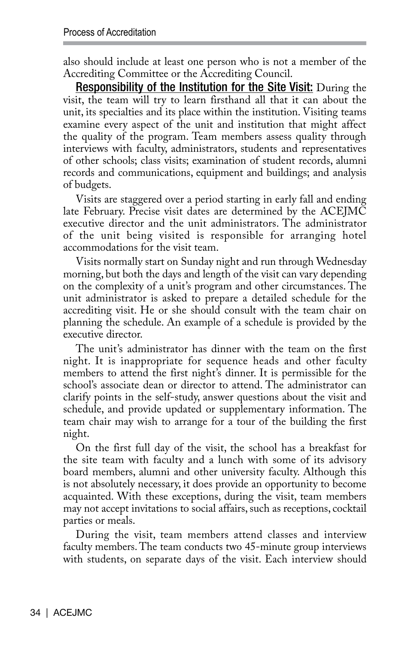also should include at least one person who is not a member of the Accrediting Committee or the Accrediting Council.

Responsibility of the Institution for the Site Visit: During the visit, the team will try to learn firsthand all that it can about the unit, its specialties and its place within the institution. Visiting teams examine every aspect of the unit and institution that might affect the quality of the program. Team members assess quality through interviews with faculty, administrators, students and representatives of other schools; class visits; examination of student records, alumni records and communications, equipment and buildings; and analysis of budgets.

Visits are staggered over a period starting in early fall and ending late February. Precise visit dates are determined by the ACEJMC executive director and the unit administrators. The administrator of the unit being visited is responsible for arranging hotel accommodations for the visit team.

Visits normally start on Sunday night and run through Wednesday morning, but both the days and length of the visit can vary depending on the complexity of a unit's program and other circumstances. The unit administrator is asked to prepare a detailed schedule for the accrediting visit. He or she should consult with the team chair on planning the schedule. An example of a schedule is provided by the executive director.

The unit's administrator has dinner with the team on the first night. It is inappropriate for sequence heads and other faculty members to attend the first night's dinner. It is permissible for the school's associate dean or director to attend. The administrator can clarify points in the self-study, answer questions about the visit and schedule, and provide updated or supplementary information. The team chair may wish to arrange for a tour of the building the first night.

On the first full day of the visit, the school has a breakfast for the site team with faculty and a lunch with some of its advisory board members, alumni and other university faculty. Although this is not absolutely necessary, it does provide an opportunity to become acquainted. With these exceptions, during the visit, team members may not accept invitations to social affairs, such as receptions, cocktail parties or meals.

During the visit, team members attend classes and interview faculty members. The team conducts two 45-minute group interviews with students, on separate days of the visit. Each interview should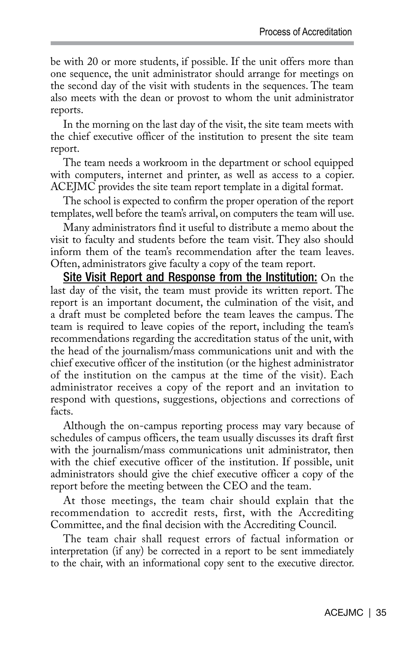be with 20 or more students, if possible. If the unit offers more than one sequence, the unit administrator should arrange for meetings on the second day of the visit with students in the sequences. The team also meets with the dean or provost to whom the unit administrator reports.

In the morning on the last day of the visit, the site team meets with the chief executive officer of the institution to present the site team report.

The team needs a workroom in the department or school equipped with computers, internet and printer, as well as access to a copier. ACEJMC provides the site team report template in a digital format.

The school is expected to confirm the proper operation of the report templates, well before the team's arrival, on computers the team will use.

Many administrators find it useful to distribute a memo about the visit to faculty and students before the team visit. They also should inform them of the team's recommendation after the team leaves. Often, administrators give faculty a copy of the team report.

Site Visit Report and Response from the Institution: On the last day of the visit, the team must provide its written report. The report is an important document, the culmination of the visit, and a draft must be completed before the team leaves the campus. The team is required to leave copies of the report, including the team's recommendations regarding the accreditation status of the unit, with the head of the journalism/mass communications unit and with the chief executive officer of the institution (or the highest administrator of the institution on the campus at the time of the visit). Each administrator receives a copy of the report and an invitation to respond with questions, suggestions, objections and corrections of facts.

Although the on-campus reporting process may vary because of schedules of campus officers, the team usually discusses its draft first with the journalism/mass communications unit administrator, then with the chief executive officer of the institution. If possible, unit administrators should give the chief executive officer a copy of the report before the meeting between the CEO and the team.

At those meetings, the team chair should explain that the recommendation to accredit rests, first, with the Accrediting Committee, and the final decision with the Accrediting Council.

The team chair shall request errors of factual information or interpretation (if any) be corrected in a report to be sent immediately to the chair, with an informational copy sent to the executive director.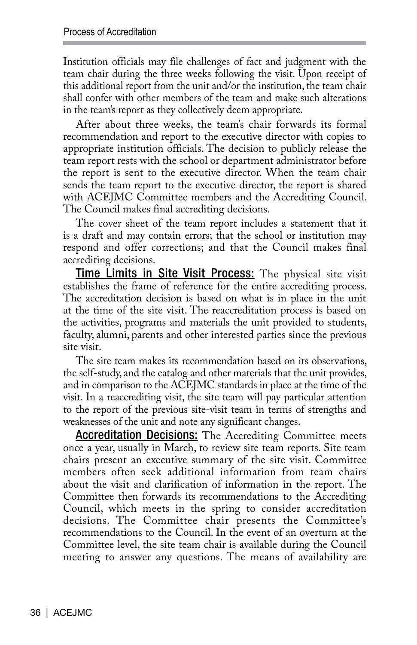Institution officials may file challenges of fact and judgment with the team chair during the three weeks following the visit. Upon receipt of this additional report from the unit and/or the institution, the team chair shall confer with other members of the team and make such alterations in the team's report as they collectively deem appropriate.

After about three weeks, the team's chair forwards its formal recommendation and report to the executive director with copies to appropriate institution officials. The decision to publicly release the team report rests with the school or department administrator before the report is sent to the executive director. When the team chair sends the team report to the executive director, the report is shared with ACEJMC Committee members and the Accrediting Council. The Council makes final accrediting decisions.

The cover sheet of the team report includes a statement that it is a draft and may contain errors; that the school or institution may respond and offer corrections; and that the Council makes final accrediting decisions.

**Time Limits in Site Visit Process:** The physical site visit establishes the frame of reference for the entire accrediting process. The accreditation decision is based on what is in place in the unit at the time of the site visit. The reaccreditation process is based on the activities, programs and materials the unit provided to students, faculty, alumni, parents and other interested parties since the previous site visit.

The site team makes its recommendation based on its observations, the self-study, and the catalog and other materials that the unit provides, and in comparison to the ACEJMC standards in place at the time of the visit. In a reaccrediting visit, the site team will pay particular attention to the report of the previous site-visit team in terms of strengths and weaknesses of the unit and note any significant changes.

**Accreditation Decisions:** The Accrediting Committee meets once a year, usually in March, to review site team reports. Site team chairs present an executive summary of the site visit. Committee members often seek additional information from team chairs about the visit and clarification of information in the report. The Committee then forwards its recommendations to the Accrediting Council, which meets in the spring to consider accreditation decisions. The Committee chair presents the Committee's recommendations to the Council. In the event of an overturn at the Committee level, the site team chair is available during the Council meeting to answer any questions. The means of availability are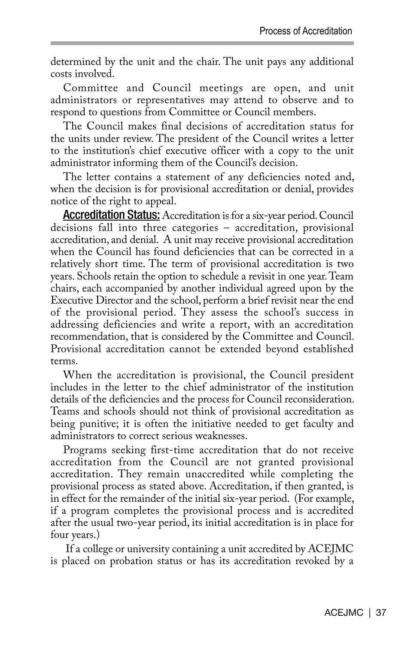determined by the unit and the chair. The unit pays any additional costs involved.

Committee and Council meetings are open, and unit administrators or representatives may attend to observe and to respond to questions from Committee or Council members.

The Council makes final decisions of accreditation status for the units under review. The president of the Council writes a letter to the institution's chief executive officer with a copy to the unit administrator informing them of the Council's decision.

The letter contains a statement of any deficiencies noted and, when the decision is for provisional accreditation or denial, provides notice of the right to appeal.

Accreditation Status: Accreditation is for a six-year period. Council decisions fall into three categories – accreditation, provisional accreditation, and denial. A unit may receive provisional accreditation when the Council has found deficiencies that can be corrected in a relatively short time. The term of provisional accreditation is two years. Schools retain the option to schedule a revisit in one year. Team chairs, each accompanied by another individual agreed upon by the Executive Director and the school, perform a brief revisit near the end of the provisional period. They assess the school's success in addressing deficiencies and write a report, with an accreditation recommendation, that is considered by the Committee and Council. Provisional accreditation cannot be extended beyond established terms.

When the accreditation is provisional, the Council president includes in the letter to the chief administrator of the institution details of the deficiencies and the process for Council reconsideration. Teams and schools should not think of provisional accreditation as being punitive; it is often the initiative needed to get faculty and administrators to correct serious weaknesses.

Programs seeking first-time accreditation that do not receive accreditation from the Council are not granted provisional accreditation. They remain unaccredited while completing the provisional process as stated above. Accreditation, if then granted, is in effect for the remainder of the initial six-year period. (For example, if a program completes the provisional process and is accredited after the usual two-year period, its initial accreditation is in place for four years.)

 If a college or university containing a unit accredited by ACEJMC is placed on probation status or has its accreditation revoked by a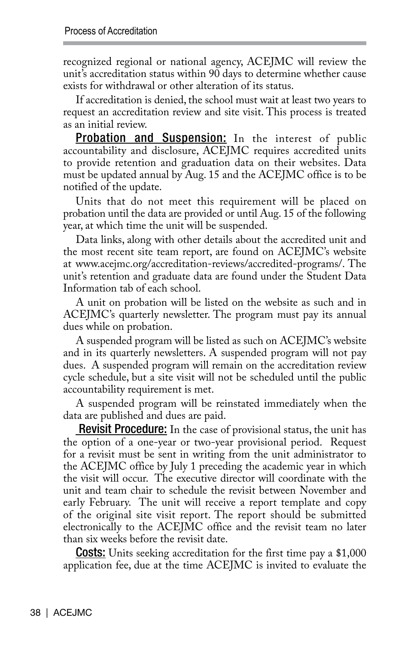recognized regional or national agency, ACEJMC will review the unit's accreditation status within 90 days to determine whether cause exists for withdrawal or other alteration of its status.

If accreditation is denied, the school must wait at least two years to request an accreditation review and site visit. This process is treated as an initial review.

**Probation and Suspension:** In the interest of public accountability and disclosure, ACEJMC requires accredited units to provide retention and graduation data on their websites. Data must be updated annual by Aug. 15 and the ACEJMC office is to be notified of the update.

Units that do not meet this requirement will be placed on probation until the data are provided or until Aug. 15 of the following year, at which time the unit will be suspended.

Data links, along with other details about the accredited unit and the most recent site team report, are found on ACEJMC's website at www.acejmc.org/accreditation-reviews/accredited-programs/. The unit's retention and graduate data are found under the Student Data Information tab of each school.

A unit on probation will be listed on the website as such and in ACEJMC's quarterly newsletter. The program must pay its annual dues while on probation.

A suspended program will be listed as such on ACEJMC's website and in its quarterly newsletters. A suspended program will not pay dues. A suspended program will remain on the accreditation review cycle schedule, but a site visit will not be scheduled until the public accountability requirement is met.

A suspended program will be reinstated immediately when the data are published and dues are paid.

**Revisit Procedure:** In the case of provisional status, the unit has the option of a one-year or two-year provisional period. Request for a revisit must be sent in writing from the unit administrator to the ACEJMC office by July 1 preceding the academic year in which the visit will occur. The executive director will coordinate with the unit and team chair to schedule the revisit between November and early February. The unit will receive a report template and copy of the original site visit report. The report should be submitted electronically to the ACEJMC office and the revisit team no later than six weeks before the revisit date.

**Costs:** Units seeking accreditation for the first time pay a \$1,000 application fee, due at the time ACEJMC is invited to evaluate the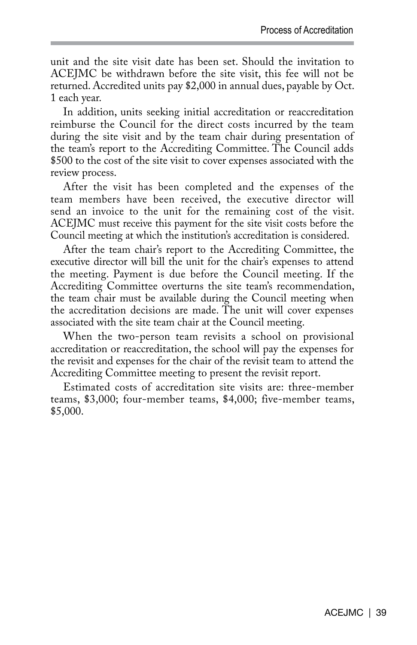unit and the site visit date has been set. Should the invitation to ACEJMC be withdrawn before the site visit, this fee will not be returned. Accredited units pay \$2,000 in annual dues, payable by Oct. 1 each year.

In addition, units seeking initial accreditation or reaccreditation reimburse the Council for the direct costs incurred by the team during the site visit and by the team chair during presentation of the team's report to the Accrediting Committee. The Council adds \$500 to the cost of the site visit to cover expenses associated with the review process.

After the visit has been completed and the expenses of the team members have been received, the executive director will send an invoice to the unit for the remaining cost of the visit. ACEJMC must receive this payment for the site visit costs before the Council meeting at which the institution's accreditation is considered.

After the team chair's report to the Accrediting Committee, the executive director will bill the unit for the chair's expenses to attend the meeting. Payment is due before the Council meeting. If the Accrediting Committee overturns the site team's recommendation, the team chair must be available during the Council meeting when the accreditation decisions are made. The unit will cover expenses associated with the site team chair at the Council meeting.

When the two-person team revisits a school on provisional accreditation or reaccreditation, the school will pay the expenses for the revisit and expenses for the chair of the revisit team to attend the Accrediting Committee meeting to present the revisit report.

Estimated costs of accreditation site visits are: three-member teams, \$3,000; four-member teams, \$4,000; five-member teams, \$5,000.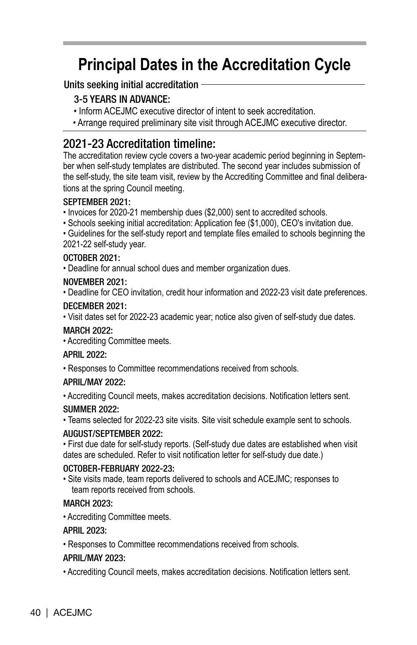# **Principal Dates in the Accreditation Cycle**

### Units seeking initial accreditation

## 3-5 YEARS IN ADVANCE:

- Inform ACEJMC executive director of intent to seek accreditation.
- Arrange required preliminary site visit through ACEJMC executive director.

# 2021-23 Accreditation timeline:

The accreditation review cycle covers a two-year academic period beginning in September when self-study templates are distributed. The second year includes submission of the self-study, the site team visit, review by the Accrediting Committee and final deliberations at the spring Council meeting.

### SEPTEMBER 2021:

• Invoices for 2020-21 membership dues (\$2,000) sent to accredited schools.

• Schools seeking initial accreditation: Application fee (\$1,000), CEO's invitation due.

• Guidelines for the self-study report and template files emailed to schools beginning the 2021-22 self-study year.

### OCTOBER 2021:

• Deadline for annual school dues and member organization dues.

### NOVEMBER 2021:

• Deadline for CEO invitation, credit hour information and 2022-23 visit date preferences.

### DECEMBER 2021:

• Visit dates set for 2022-23 academic year; notice also given of self-study due dates.

### MARCH 2022:

• Accrediting Committee meets.

### APRIL 2022:

• Responses to Committee recommendations received from schools.

### APRIL/MAY 2022:

• Accrediting Council meets, makes accreditation decisions. Notification letters sent.

### SUMMER 2022:

• Teams selected for 2022-23 site visits. Site visit schedule example sent to schools.

### AUGUST/SEPTEMBER 2022:

• First due date for self-study reports. (Self-study due dates are established when visit dates are scheduled. Refer to visit notification letter for self-study due date.)

### OCTOBER-FEBRUARY 2022-23:

• Site visits made, team reports delivered to schools and ACEJMC; responses to team reports received from schools.

### MARCH 2023:

• Accrediting Committee meets.

### APRIL 2023:

• Responses to Committee recommendations received from schools.

### APRIL/MAY 2023:

• Accrediting Council meets, makes accreditation decisions. Notification letters sent.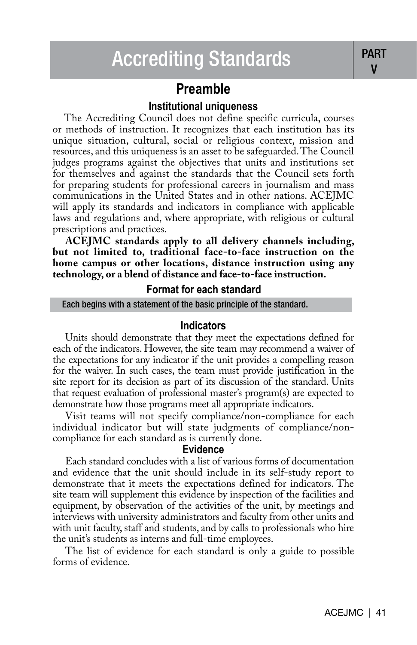# **Preamble**

### **Institutional uniqueness**

 The Accrediting Council does not define specific curricula, courses or methods of instruction. It recognizes that each institution has its unique situation, cultural, social or religious context, mission and resources, and this uniqueness is an asset to be safeguarded. The Council judges programs against the objectives that units and institutions set for themselves and against the standards that the Council sets forth for preparing students for professional careers in journalism and mass communications in the United States and in other nations. ACEJMC will apply its standards and indicators in compliance with applicable laws and regulations and, where appropriate, with religious or cultural prescriptions and practices.

**ACEJMC standards apply to all delivery channels including, but not limited to, traditional face-to-face instruction on the home campus or other locations, distance instruction using any technology, or a blend of distance and face-to-face instruction.**

#### **Format for each standard**

#### Each begins with a statement of the basic principle of the standard.

#### **Indicators**

Units should demonstrate that they meet the expectations defined for each of the indicators. However, the site team may recommend a waiver of the expectations for any indicator if the unit provides a compelling reason for the waiver. In such cases, the team must provide justification in the site report for its decision as part of its discussion of the standard. Units that request evaluation of professional master's program(s) are expected to demonstrate how those programs meet all appropriate indicators.

Visit teams will not specify compliance/non-compliance for each individual indicator but will state judgments of compliance/noncompliance for each standard as is currently done.

#### **Evidence**

Each standard concludes with a list of various forms of documentation and evidence that the unit should include in its self-study report to demonstrate that it meets the expectations defined for indicators. The site team will supplement this evidence by inspection of the facilities and equipment, by observation of the activities of the unit, by meetings and interviews with university administrators and faculty from other units and with unit faculty, staff and students, and by calls to professionals who hire the unit's students as interns and full-time employees.

The list of evidence for each standard is only a guide to possible forms of evidence.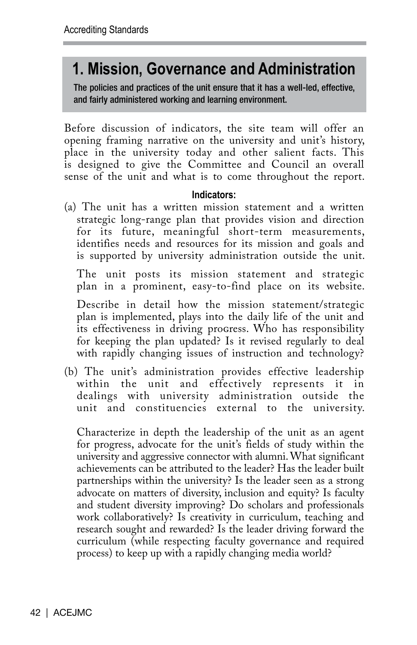# **1. Mission, Governance and Administration**

The policies and practices of the unit ensure that it has a well-led, effective, and fairly administered working and learning environment.

Before discussion of indicators, the site team will offer an opening framing narrative on the university and unit's history, place in the university today and other salient facts. This is designed to give the Committee and Council an overall sense of the unit and what is to come throughout the report.

### **Indicators:**

(a) The unit has a written mission statement and a written strategic long-range plan that provides vision and direction for its future, meaningful short-term measurements, identifies needs and resources for its mission and goals and is supported by university administration outside the unit.

The unit posts its mission statement and strategic plan in a prominent, easy-to-find place on its website.

Describe in detail how the mission statement/strategic plan is implemented, plays into the daily life of the unit and its effectiveness in driving progress. Who has responsibility for keeping the plan updated? Is it revised regularly to deal with rapidly changing issues of instruction and technology?

(b) The unit's administration provides effective leadership within the unit and effectively represents it in dealings with university administration outside the unit and constituencies external to the university.

Characterize in depth the leadership of the unit as an agent for progress, advocate for the unit's fields of study within the university and aggressive connector with alumni. What significant achievements can be attributed to the leader? Has the leader built partnerships within the university? Is the leader seen as a strong advocate on matters of diversity, inclusion and equity? Is faculty and student diversity improving? Do scholars and professionals work collaboratively? Is creativity in curriculum, teaching and research sought and rewarded? Is the leader driving forward the curriculum (while respecting faculty governance and required process) to keep up with a rapidly changing media world?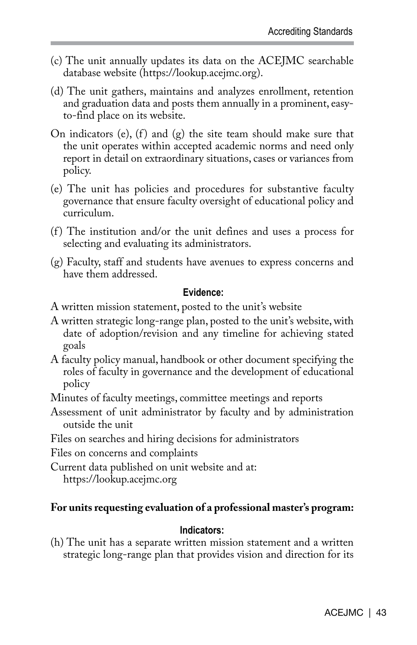- (c) The unit annually updates its data on the ACEJMC searchable database website (https://lookup.acejmc.org).
- (d) The unit gathers, maintains and analyzes enrollment, retention and graduation data and posts them annually in a prominent, easyto-find place on its website.
- On indicators (e),  $(f)$  and  $(g)$  the site team should make sure that the unit operates within accepted academic norms and need only report in detail on extraordinary situations, cases or variances from policy.
- (e) The unit has policies and procedures for substantive faculty governance that ensure faculty oversight of educational policy and curriculum.
- (f ) The institution and/or the unit defines and uses a process for selecting and evaluating its administrators.
- (g) Faculty, staff and students have avenues to express concerns and have them addressed.

### **Evidence:**

- A written mission statement, posted to the unit's website
- A written strategic long-range plan, posted to the unit's website, with date of adoption/revision and any timeline for achieving stated goals
- A faculty policy manual, handbook or other document specifying the roles of faculty in governance and the development of educational policy
- Minutes of faculty meetings, committee meetings and reports
- Assessment of unit administrator by faculty and by administration outside the unit
- Files on searches and hiring decisions for administrators

Files on concerns and complaints

Current data published on unit website and at:

https://lookup.acejmc.org

### **For units requesting evaluation of a professional master's program:**

### **Indicators:**

(h) The unit has a separate written mission statement and a written strategic long-range plan that provides vision and direction for its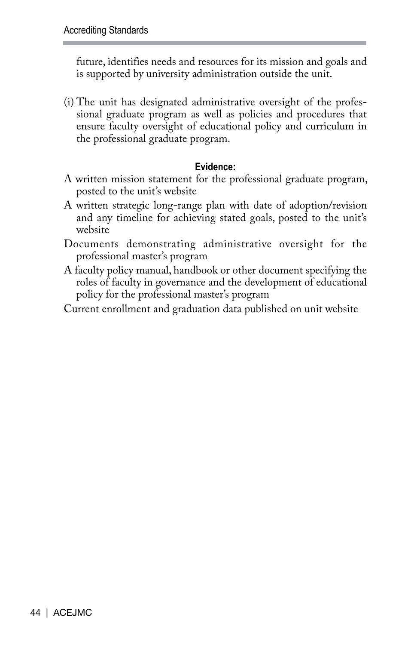future, identifies needs and resources for its mission and goals and is supported by university administration outside the unit.

(i) The unit has designated administrative oversight of the professional graduate program as well as policies and procedures that ensure faculty oversight of educational policy and curriculum in the professional graduate program.

### **Evidence:**

- A written mission statement for the professional graduate program, posted to the unit's website
- A written strategic long-range plan with date of adoption/revision and any timeline for achieving stated goals, posted to the unit's website
- Documents demonstrating administrative oversight for the professional master's program
- A faculty policy manual, handbook or other document specifying the roles of faculty in governance and the development of educational policy for the professional master's program
- Current enrollment and graduation data published on unit website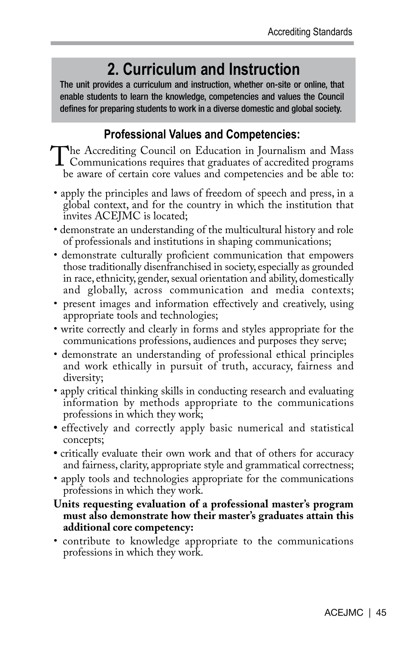# **2. Curriculum and Instruction**

The unit provides a curriculum and instruction, whether on-site or online, that enable students to learn the knowledge, competencies and values the Council defines for preparing students to work in a diverse domestic and global society.

# **Professional Values and Competencies:**

The Accrediting Council on Education in Journalism and Mass<br>Communications requires that graduates of accredited programs<br>be aware of certain core values and competencies and be able to: be aware of certain core values and competencies and be able to:

- apply the principles and laws of freedom of speech and press, in a global context, and for the country in which the institution that invites ACEJMC is located;
- demonstrate an understanding of the multicultural history and role of professionals and institutions in shaping communications;
- demonstrate culturally proficient communication that empowers those traditionally disenfranchised in society, especially as grounded in race, ethnicity, gender, sexual orientation and ability, domestically and globally, across communication and media contexts;
- present images and information effectively and creatively, using appropriate tools and technologies;
- write correctly and clearly in forms and styles appropriate for the communications professions, audiences and purposes they serve;
- demonstrate an understanding of professional ethical principles and work ethically in pursuit of truth, accuracy, fairness and diversity;
- apply critical thinking skills in conducting research and evaluating information by methods appropriate to the communications professions in which they work;
- effectively and correctly apply basic numerical and statistical concepts;
- critically evaluate their own work and that of others for accuracy and fairness, clarity, appropriate style and grammatical correctness;
- apply tools and technologies appropriate for the communications professions in which they work.

### **Units requesting evaluation of a professional master's program must also demonstrate how their master's graduates attain this additional core competency:**

• contribute to knowledge appropriate to the communications professions in which they work.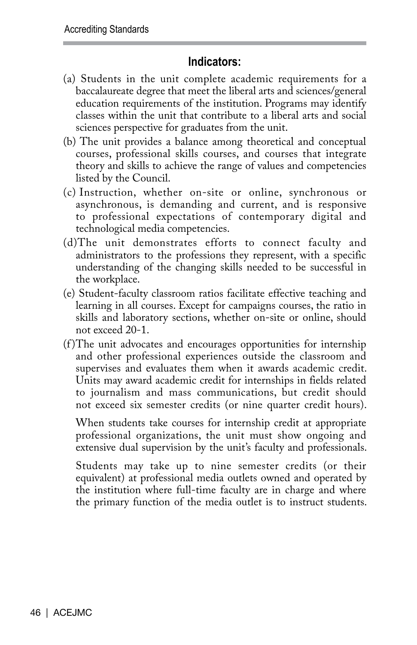## **Indicators:**

- (a) Students in the unit complete academic requirements for a baccalaureate degree that meet the liberal arts and sciences/general education requirements of the institution. Programs may identify classes within the unit that contribute to a liberal arts and social sciences perspective for graduates from the unit.
- (b) The unit provides a balance among theoretical and conceptual courses, professional skills courses, and courses that integrate theory and skills to achieve the range of values and competencies listed by the Council.
- (c) Instruction, whether on-site or online, synchronous or asynchronous, is demanding and current, and is responsive to professional expectations of contemporary digital and technological media competencies.
- (d)The unit demonstrates efforts to connect faculty and administrators to the professions they represent, with a specific understanding of the changing skills needed to be successful in the workplace.
- (e) Student-faculty classroom ratios facilitate effective teaching and learning in all courses. Except for campaigns courses, the ratio in skills and laboratory sections, whether on-site or online, should not exceed 20-1.
- (f )The unit advocates and encourages opportunities for internship and other professional experiences outside the classroom and supervises and evaluates them when it awards academic credit. Units may award academic credit for internships in fields related to journalism and mass communications, but credit should not exceed six semester credits (or nine quarter credit hours).

When students take courses for internship credit at appropriate professional organizations, the unit must show ongoing and extensive dual supervision by the unit's faculty and professionals.

Students may take up to nine semester credits (or their equivalent) at professional media outlets owned and operated by the institution where full-time faculty are in charge and where the primary function of the media outlet is to instruct students.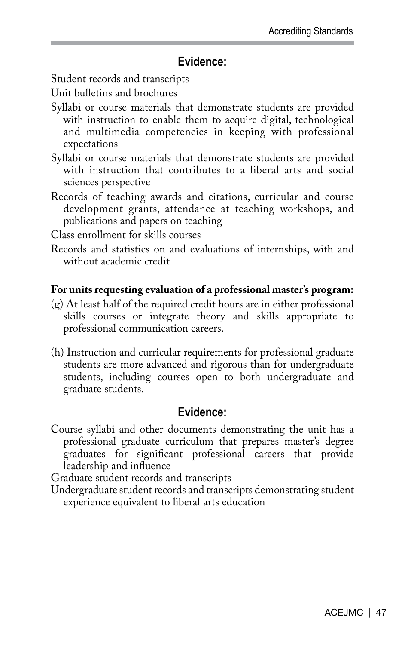# **Evidence:**

Student records and transcripts

Unit bulletins and brochures

- Syllabi or course materials that demonstrate students are provided with instruction to enable them to acquire digital, technological and multimedia competencies in keeping with professional expectations
- Syllabi or course materials that demonstrate students are provided with instruction that contributes to a liberal arts and social sciences perspective
- Records of teaching awards and citations, curricular and course development grants, attendance at teaching workshops, and publications and papers on teaching

Class enrollment for skills courses

Records and statistics on and evaluations of internships, with and without academic credit

### **For units requesting evaluation of a professional master's program:**

- (g) At least half of the required credit hours are in either professional skills courses or integrate theory and skills appropriate to professional communication careers.
- (h) Instruction and curricular requirements for professional graduate students are more advanced and rigorous than for undergraduate students, including courses open to both undergraduate and graduate students.

# **Evidence:**

Course syllabi and other documents demonstrating the unit has a professional graduate curriculum that prepares master's degree graduates for significant professional careers that provide leadership and influence

Graduate student records and transcripts

Undergraduate student records and transcripts demonstrating student experience equivalent to liberal arts education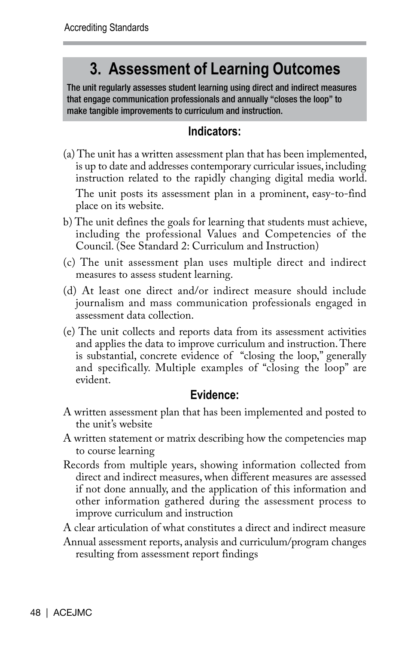# **3. Assessment of Learning Outcomes**

The unit regularly assesses student learning using direct and indirect measures that engage communication professionals and annually "closes the loop" to make tangible improvements to curriculum and instruction.

# **Indicators:**

- (a) The unit has a written assessment plan that has been implemented, is up to date and addresses contemporary curricular issues, including instruction related to the rapidly changing digital media world. The unit posts its assessment plan in a prominent, easy-to-find place on its website.
- b) The unit defines the goals for learning that students must achieve, including the professional Values and Competencies of the Council. (See Standard 2: Curriculum and Instruction)
- (c) The unit assessment plan uses multiple direct and indirect measures to assess student learning.
- (d) At least one direct and/or indirect measure should include journalism and mass communication professionals engaged in assessment data collection.
- (e) The unit collects and reports data from its assessment activities and applies the data to improve curriculum and instruction. There is substantial, concrete evidence of "closing the loop," generally and specifically. Multiple examples of "closing the loop" are evident.

# **Evidence:**

- A written assessment plan that has been implemented and posted to the unit's website
- A written statement or matrix describing how the competencies map to course learning
- Records from multiple years, showing information collected from direct and indirect measures, when different measures are assessed if not done annually, and the application of this information and other information gathered during the assessment process to improve curriculum and instruction
- A clear articulation of what constitutes a direct and indirect measure
- Annual assessment reports, analysis and curriculum/program changes resulting from assessment report findings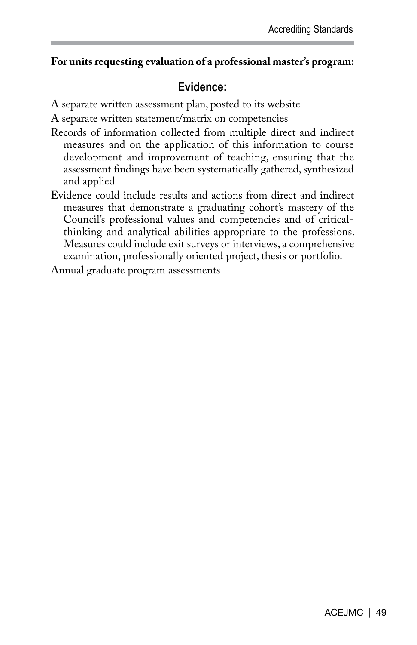### **For units requesting evaluation of a professional master's program:**

# **Evidence:**

A separate written assessment plan, posted to its website

A separate written statement/matrix on competencies

- Records of information collected from multiple direct and indirect measures and on the application of this information to course development and improvement of teaching, ensuring that the assessment findings have been systematically gathered, synthesized and applied
- Evidence could include results and actions from direct and indirect measures that demonstrate a graduating cohort's mastery of the Council's professional values and competencies and of criticalthinking and analytical abilities appropriate to the professions. Measures could include exit surveys or interviews, a comprehensive examination, professionally oriented project, thesis or portfolio.

Annual graduate program assessments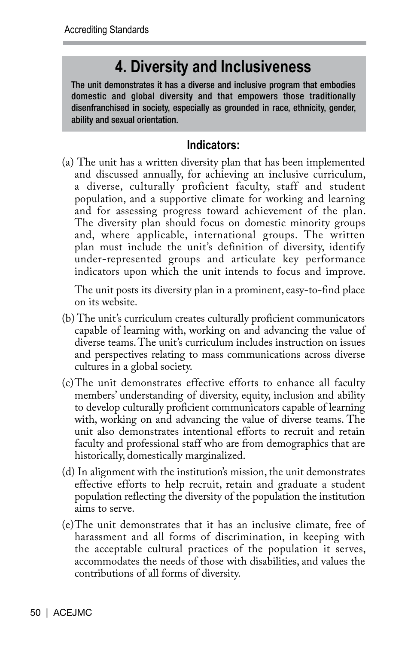# **4. Diversity and Inclusiveness**

The unit demonstrates it has a diverse and inclusive program that embodies domestic and global diversity and that empowers those traditionally disenfranchised in society, especially as grounded in race, ethnicity, gender, ability and sexual orientation.

# **Indicators:**

(a) The unit has a written diversity plan that has been implemented and discussed annually, for achieving an inclusive curriculum, a diverse, culturally proficient faculty, staff and student population, and a supportive climate for working and learning and for assessing progress toward achievement of the plan. The diversity plan should focus on domestic minority groups and, where applicable, international groups. The written plan must include the unit's definition of diversity, identify under-represented groups and articulate key performance indicators upon which the unit intends to focus and improve.

The unit posts its diversity plan in a prominent, easy-to-find place on its website.

- (b) The unit's curriculum creates culturally proficient communicators capable of learning with, working on and advancing the value of diverse teams. The unit's curriculum includes instruction on issues and perspectives relating to mass communications across diverse cultures in a global society.
- (c)The unit demonstrates effective efforts to enhance all faculty members' understanding of diversity, equity, inclusion and ability to develop culturally proficient communicators capable of learning with, working on and advancing the value of diverse teams. The unit also demonstrates intentional efforts to recruit and retain faculty and professional staff who are from demographics that are historically, domestically marginalized.
- (d) In alignment with the institution's mission, the unit demonstrates effective efforts to help recruit, retain and graduate a student population reflecting the diversity of the population the institution aims to serve.
- (e)The unit demonstrates that it has an inclusive climate, free of harassment and all forms of discrimination, in keeping with the acceptable cultural practices of the population it serves, accommodates the needs of those with disabilities, and values the contributions of all forms of diversity.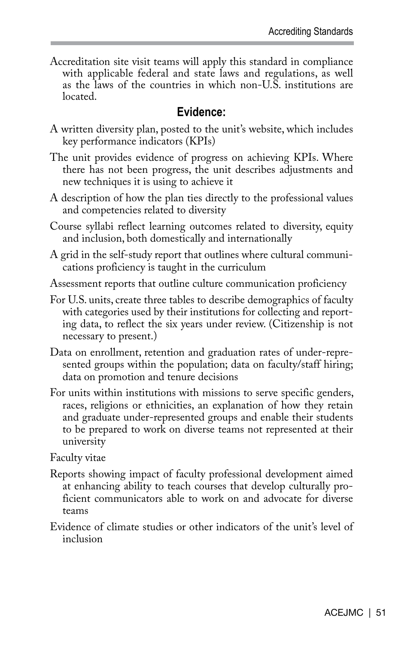Accreditation site visit teams will apply this standard in compliance with applicable federal and state laws and regulations, as well as the laws of the countries in which non-U.S. institutions are **located** 

## **Evidence:**

- A written diversity plan, posted to the unit's website, which includes key performance indicators (KPIs)
- The unit provides evidence of progress on achieving KPIs. Where there has not been progress, the unit describes adjustments and new techniques it is using to achieve it
- A description of how the plan ties directly to the professional values and competencies related to diversity
- Course syllabi reflect learning outcomes related to diversity, equity and inclusion, both domestically and internationally
- A grid in the self-study report that outlines where cultural communications proficiency is taught in the curriculum
- Assessment reports that outline culture communication proficiency
- For U.S. units, create three tables to describe demographics of faculty with categories used by their institutions for collecting and reporting data, to reflect the six years under review. (Citizenship is not necessary to present.)
- Data on enrollment, retention and graduation rates of under-represented groups within the population; data on faculty/staff hiring; data on promotion and tenure decisions
- For units within institutions with missions to serve specific genders, races, religions or ethnicities, an explanation of how they retain and graduate under-represented groups and enable their students to be prepared to work on diverse teams not represented at their university

Faculty vitae

- Reports showing impact of faculty professional development aimed at enhancing ability to teach courses that develop culturally proficient communicators able to work on and advocate for diverse teams
- Evidence of climate studies or other indicators of the unit's level of inclusion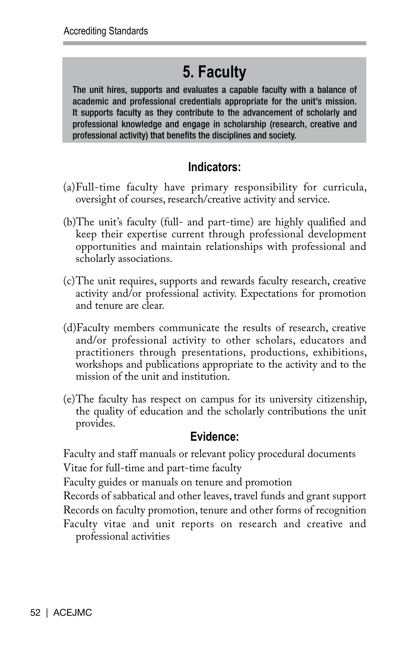# **5. Faculty**

The unit hires, supports and evaluates a capable faculty with a balance of academic and professional credentials appropriate for the unit's mission. It supports faculty as they contribute to the advancement of scholarly and professional knowledge and engage in scholarship (research, creative and professional activity) that benefits the disciplines and society.

# **Indicators:**

- (a)Full-time faculty have primary responsibility for curricula, oversight of courses, research/creative activity and service.
- (b)The unit's faculty (full- and part-time) are highly qualified and keep their expertise current through professional development opportunities and maintain relationships with professional and scholarly associations.
- (c)The unit requires, supports and rewards faculty research, creative activity and/or professional activity. Expectations for promotion and tenure are clear.
- (d)Faculty members communicate the results of research, creative and/or professional activity to other scholars, educators and practitioners through presentations, productions, exhibitions, workshops and publications appropriate to the activity and to the mission of the unit and institution.
- (e)The faculty has respect on campus for its university citizenship, the quality of education and the scholarly contributions the unit provides.

# **Evidence:**

Faculty and staff manuals or relevant policy procedural documents Vitae for full-time and part-time faculty

Faculty guides or manuals on tenure and promotion

Records of sabbatical and other leaves, travel funds and grant support Records on faculty promotion, tenure and other forms of recognition Faculty vitae and unit reports on research and creative and professional activities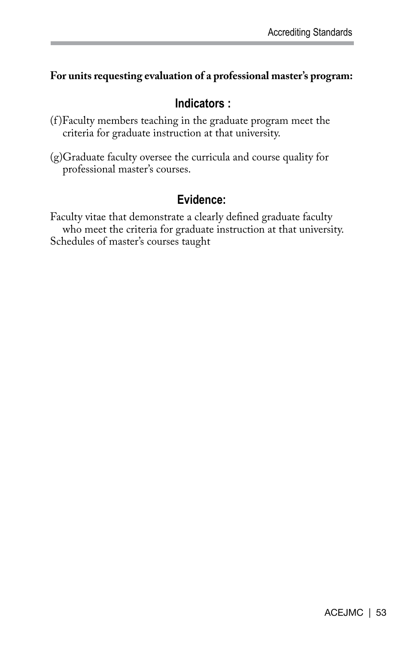## **For units requesting evaluation of a professional master's program:**

# **Indicators :**

- (f )Faculty members teaching in the graduate program meet the criteria for graduate instruction at that university.
- (g)Graduate faculty oversee the curricula and course quality for professional master's courses.

# **Evidence:**

Faculty vitae that demonstrate a clearly defined graduate faculty who meet the criteria for graduate instruction at that university. Schedules of master's courses taught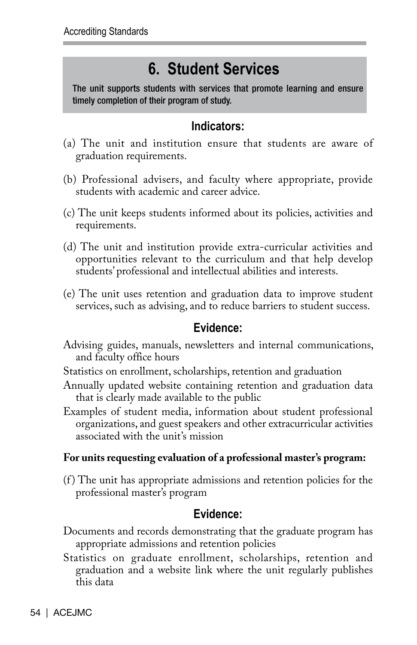# **6. Student Services**

The unit supports students with services that promote learning and ensure timely completion of their program of study.

# **Indicators:**

- (a) The unit and institution ensure that students are aware of graduation requirements.
- (b) Professional advisers, and faculty where appropriate, provide students with academic and career advice.
- (c) The unit keeps students informed about its policies, activities and requirements.
- (d) The unit and institution provide extra-curricular activities and opportunities relevant to the curriculum and that help develop students' professional and intellectual abilities and interests.
- (e) The unit uses retention and graduation data to improve student services, such as advising, and to reduce barriers to student success.

# **Evidence:**

- Advising guides, manuals, newsletters and internal communications, and faculty office hours
- Statistics on enrollment, scholarships, retention and graduation
- Annually updated website containing retention and graduation data that is clearly made available to the public
- Examples of student media, information about student professional organizations, and guest speakers and other extracurricular activities associated with the unit's mission

# **For units requesting evaluation of a professional master's program:**

(f ) The unit has appropriate admissions and retention policies for the professional master's program

# **Evidence:**

- Documents and records demonstrating that the graduate program has appropriate admissions and retention policies
- Statistics on graduate enrollment, scholarships, retention and graduation and a website link where the unit regularly publishes this data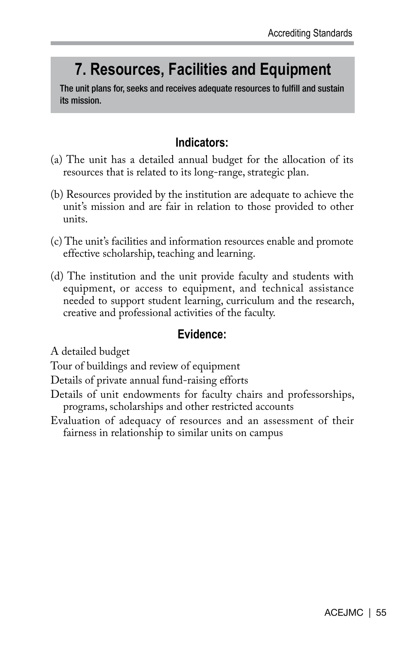# **7. Resources, Facilities and Equipment**

The unit plans for, seeks and receives adequate resources to fulfill and sustain its mission.

## **Indicators:**

- (a) The unit has a detailed annual budget for the allocation of its resources that is related to its long-range, strategic plan.
- (b) Resources provided by the institution are adequate to achieve the unit's mission and are fair in relation to those provided to other units.
- (c) The unit's facilities and information resources enable and promote effective scholarship, teaching and learning.
- (d) The institution and the unit provide faculty and students with equipment, or access to equipment, and technical assistance needed to support student learning, curriculum and the research, creative and professional activities of the faculty.

## **Evidence:**

A detailed budget

- Tour of buildings and review of equipment
- Details of private annual fund-raising efforts
- Details of unit endowments for faculty chairs and professorships, programs, scholarships and other restricted accounts
- Evaluation of adequacy of resources and an assessment of their fairness in relationship to similar units on campus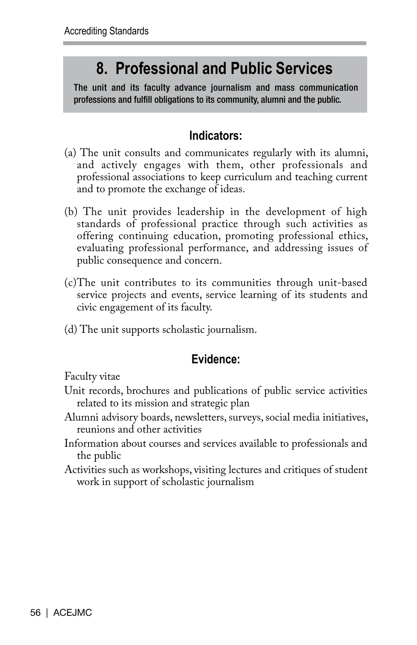# **8. Professional and Public Services**

The unit and its faculty advance journalism and mass communication professions and fulfill obligations to its community, alumni and the public.

# **Indicators:**

- (a) The unit consults and communicates regularly with its alumni, and actively engages with them, other professionals and professional associations to keep curriculum and teaching current and to promote the exchange of ideas.
- (b) The unit provides leadership in the development of high standards of professional practice through such activities as offering continuing education, promoting professional ethics, evaluating professional performance, and addressing issues of public consequence and concern.
- (c)The unit contributes to its communities through unit-based service projects and events, service learning of its students and civic engagement of its faculty.
- (d) The unit supports scholastic journalism.

# **Evidence:**

Faculty vitae

- Unit records, brochures and publications of public service activities related to its mission and strategic plan
- Alumni advisory boards, newsletters, surveys, social media initiatives, reunions and other activities
- Information about courses and services available to professionals and the public
- Activities such as workshops, visiting lectures and critiques of student work in support of scholastic journalism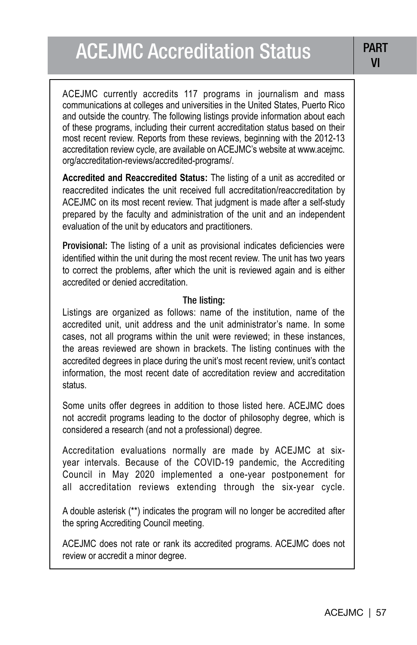ACEJMC currently accredits 117 programs in journalism and mass communications at colleges and universities in the United States, Puerto Rico and outside the country. The following listings provide information about each of these programs, including their current accreditation status based on their most recent review. Reports from these reviews, beginning with the 2012-13 accreditation review cycle, are available on ACEJMC's website at www.acejmc. org/accreditation-reviews/accredited-programs/.

**Accredited and Reaccredited Status:** The listing of a unit as accredited or reaccredited indicates the unit received full accreditation/reaccreditation by ACEJMC on its most recent review. That judgment is made after a self-study prepared by the faculty and administration of the unit and an independent evaluation of the unit by educators and practitioners.

Provisional: The listing of a unit as provisional indicates deficiencies were identified within the unit during the most recent review. The unit has two years to correct the problems, after which the unit is reviewed again and is either accredited or denied accreditation.

### The listing:

Listings are organized as follows: name of the institution, name of the accredited unit, unit address and the unit administrator's name. In some cases, not all programs within the unit were reviewed; in these instances, the areas reviewed are shown in brackets. The listing continues with the accredited degrees in place during the unit's most recent review, unit's contact information, the most recent date of accreditation review and accreditation status.

Some units offer degrees in addition to those listed here. ACEJMC does not accredit programs leading to the doctor of philosophy degree, which is considered a research (and not a professional) degree.

Accreditation evaluations normally are made by ACEJMC at sixyear intervals. Because of the COVID-19 pandemic, the Accrediting Council in May 2020 implemented a one-year postponement for all accreditation reviews extending through the six-year cycle.

A double asterisk (\*\*) indicates the program will no longer be accredited after the spring Accrediting Council meeting.

ACEJMC does not rate or rank its accredited programs. ACEJMC does not review or accredit a minor degree.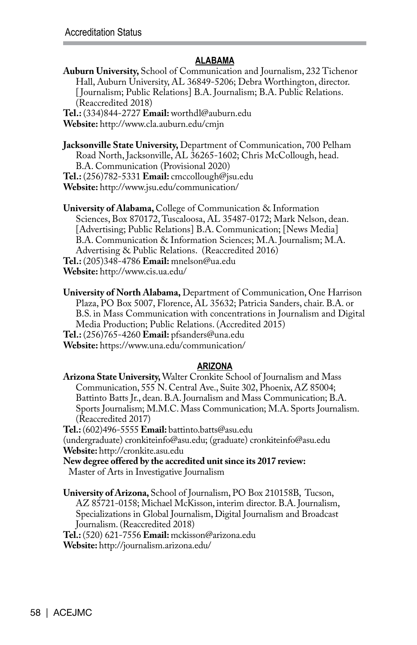### **ALABAMA**

**Auburn University,** School of Communication and Journalism, 232 Tichenor Hall, Auburn University, AL 36849-5206; Debra Worthington, director. [ Journalism; Public Relations] B.A. Journalism; B.A. Public Relations. (Reaccredited 2018)

**Tel.:** (334)844-2727 **Email:** worthdl@auburn.edu **Website:** http://www.cla.auburn.edu/cmjn

**Jacksonville State University,** Department of Communication, 700 Pelham Road North, Jacksonville, AL 36265-1602; Chris McCollough, head. B.A. Communication (Provisional 2020) **Tel.:** (256)782-5331 **Email:** cmccollough@jsu.edu **Website:** http://www.jsu.edu/communication/

**University of Alabama,** College of Communication & Information Sciences, Box 870172, Tuscaloosa, AL 35487-0172; Mark Nelson, dean. [Advertising; Public Relations] B.A. Communication; [News Media] B.A. Communication & Information Sciences; M.A. Journalism; M.A. Advertising & Public Relations. (Reaccredited 2016) **Tel.:** (205)348-4786 **Email:** mnelson@ua.edu **Website:** http://www.cis.ua.edu/

**University of North Alabama,** Department of Communication, One Harrison Plaza, PO Box 5007, Florence, AL 35632; Patricia Sanders, chair. B.A. or B.S. in Mass Communication with concentrations in Journalism and Digital Media Production; Public Relations. (Accredited 2015) **Tel.:** (256)765-4260 **Email:** pfsanders@una.edu

**Website:** https://www.una.edu/communication/

### **ARIZONA**

**Arizona State University,** Walter Cronkite School of Journalism and Mass Communication, 555 N. Central Ave., Suite 302, Phoenix, AZ 85004; Battinto Batts Jr., dean. B.A. Journalism and Mass Communication; B.A. Sports Journalism; M.M.C. Mass Communication; M.A. Sports Journalism. (Reaccredited 2017)

**Tel.:** (602)496-5555 **Email:** battinto.batts@asu.edu

(undergraduate) cronkiteinfo@asu.edu; (graduate) cronkiteinfo@asu.edu **Website:** http://cronkite.asu.edu

**New degree offered by the accredited unit since its 2017 review:** Master of Arts in Investigative Journalism

**University of Arizona,** School of Journalism, PO Box 210158B, Tucson, AZ 85721-0158; Michael McKisson, interim director. B.A. Journalism, Specializations in Global Journalism, Digital Journalism and Broadcast Journalism. (Reaccredited 2018)

**Tel.:** (520) 621-7556 **Email:** mckisson@arizona.edu **Website:** http://journalism.arizona.edu/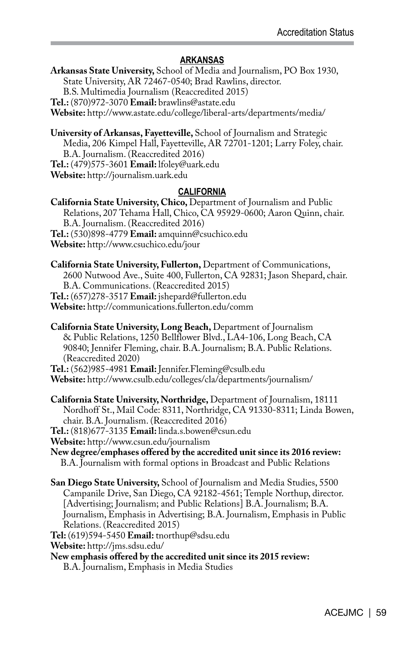### **ARKANSAS**

**Arkansas State University,** School of Media and Journalism, PO Box 1930, State University, AR 72467-0540; Brad Rawlins, director. B.S. Multimedia Journalism (Reaccredited 2015) **Tel.:** (870)972-3070 **Email:** brawlins@astate.edu **Website:** http://www.astate.edu/college/liberal-arts/departments/media/

**University of Arkansas, Fayetteville,** School of Journalism and Strategic Media, 206 Kimpel Hall, Fayetteville, AR 72701-1201; Larry Foley, chair. B.A. Journalism. (Reaccredited 2016) **Tel.:** (479)575-3601 **Email:** lfoley@uark.edu **Website:** http://journalism.uark.edu

### **CALIFORNIA**

- **California State University, Chico,** Department of Journalism and Public Relations, 207 Tehama Hall, Chico, CA 95929-0600; Aaron Quinn, chair. B.A. Journalism. (Reaccredited 2016) **Tel.:** (530)898-4779 **Email:** amquinn@csuchico.edu **Website:** http://www.csuchico.edu/jour
- **California State University, Fullerton,** Department of Communications, 2600 Nutwood Ave., Suite 400, Fullerton, CA 92831; Jason Shepard, chair. B.A. Communications. (Reaccredited 2015) **Tel.:** (657)278-3517 **Email:** jshepard@fullerton.edu **Website:** http://communications.fullerton.edu/comm
- **California State University, Long Beach,** Department of Journalism & Public Relations, 1250 Bellflower Blvd., LA4-106, Long Beach, CA 90840; Jennifer Fleming, chair. B.A. Journalism; B.A. Public Relations. (Reaccredited 2020)

**Tel.:** (562)985-4981 **Email:** Jennifer.Fleming@csulb.edu **Website:** http://www.csulb.edu/colleges/cla/departments/journalism/

**California State University, Northridge,** Department of Journalism, 18111 Nordhoff St., Mail Code: 8311, Northridge, CA 91330-8311; Linda Bowen, chair. B.A. Journalism. (Reaccredited 2016)

**Tel.:** (818)677-3135 **Email:** linda.s.bowen@csun.edu

**Website:** http://www.csun.edu/journalism

- **New degree/emphases offered by the accredited unit since its 2016 review:** B.A. Journalism with formal options in Broadcast and Public Relations
- **San Diego State University,** School of Journalism and Media Studies, 5500 Campanile Drive, San Diego, CA 92182-4561; Temple Northup, director. [Advertising; Journalism; and Public Relations] B.A. Journalism; B.A. Journalism, Emphasis in Advertising; B.A. Journalism, Emphasis in Public Relations. (Reaccredited 2015)
- **Tel:** (619)594-5450 **Email:** tnorthup@sdsu.edu
- **Website:** http://jms.sdsu.edu/
- **New emphasis offered by the accredited unit since its 2015 review:**  B.A. Journalism, Emphasis in Media Studies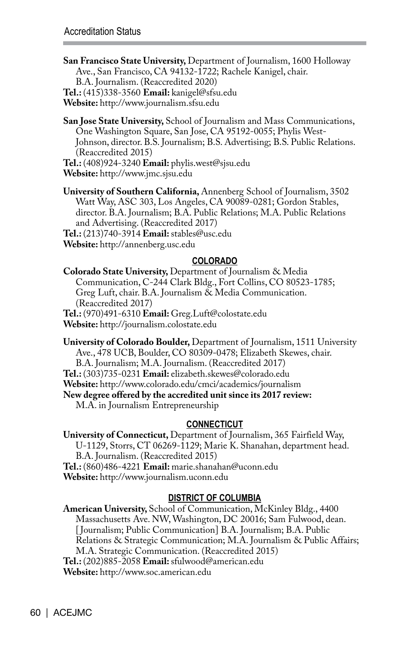- **San Francisco State University,** Department of Journalism, 1600 Holloway Ave., San Francisco, CA 94132-1722; Rachele Kanigel, chair. B.A. Journalism. (Reaccredited 2020)
- **Tel.:** (415)338-3560 **Email:** kanigel@sfsu.edu

**Website:** http://www.journalism.sfsu.edu

- **San Jose State University,** School of Journalism and Mass Communications, One Washington Square, San Jose, CA 95192-0055; Phylis West-Johnson, director. B.S. Journalism; B.S. Advertising; B.S. Public Relations. (Reaccredited 2015)
- **Tel.:** (408)924-3240 **Email:** phylis.west@sjsu.edu

**Website:** http://www.jmc.sjsu.edu

**University of Southern California,** Annenberg School of Journalism, 3502 Watt Way, ASC 303, Los Angeles, CA 90089-0281; Gordon Stables, director. B.A. Journalism; B.A. Public Relations; M.A. Public Relations and Advertising. (Reaccredited 2017)

**Tel.:** (213)740-3914 **Email:** stables@usc.edu

**Website:** http://annenberg.usc.edu

### **COLORADO**

**Colorado State University,** Department of Journalism & Media Communication, C-244 Clark Bldg., Fort Collins, CO 80523-1785; Greg Luft, chair. B.A. Journalism & Media Communication. (Reaccredited 2017) **Tel.:** (970)491-6310 **Email:** Greg.Luft@colostate.edu

**Website:** http://journalism.colostate.edu

**University of Colorado Boulder,** Department of Journalism, 1511 University Ave., 478 UCB, Boulder, CO 80309-0478; Elizabeth Skewes, chair. B.A. Journalism; M.A. Journalism. (Reaccredited 2017)

**Tel.:** (303)735-0231 **Email:** elizabeth.skewes@colorado.edu

**Website:** http://www.colorado.edu/cmci/academics/journalism

**New degree offered by the accredited unit since its 2017 review:** 

M.A. in Journalism Entrepreneurship

### **CONNECTICUT**

**University of Connecticut,** Department of Journalism, 365 Fairfield Way, U-1129, Storrs, CT 06269-1129; Marie K. Shanahan, department head. B.A. Journalism. (Reaccredited 2015) **Tel.:** (860)486-4221 **Email:** marie.shanahan@uconn.edu **Website:** http://www.journalism.uconn.edu

### **DISTRICT OF COLUMBIA**

**American University,** School of Communication, McKinley Bldg., 4400 Massachusetts Ave. NW, Washington, DC 20016; Sam Fulwood, dean. [ Journalism; Public Communication] B.A. Journalism; B.A. Public Relations & Strategic Communication; M.A. Journalism & Public Affairs; M.A. Strategic Communication. (Reaccredited 2015) **Tel.:** (202)885-2058 **Email:** sfulwood@american.edu **Website:** http://www.soc.american.edu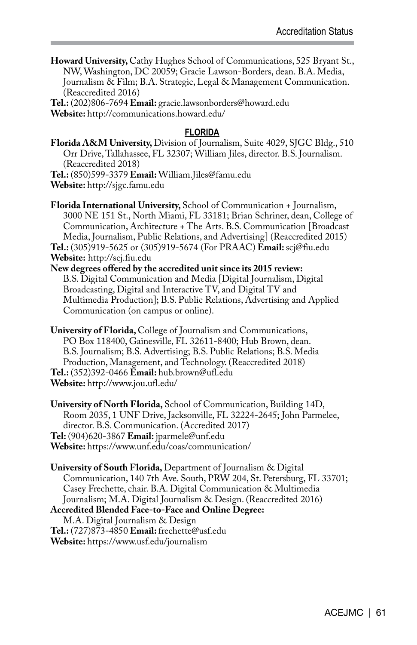**Howard University,** Cathy Hughes School of Communications, 525 Bryant St., NW, Washington, DC 20059; Gracie Lawson-Borders, dean. B.A. Media, Journalism & Film; B.A. Strategic, Legal & Management Communication. (Reaccredited 2016)

**Tel.:** (202)806-7694 **Email:** gracie.lawsonborders@howard.edu **Website:** http://communications.howard.edu/

#### **FLORIDA**

**Florida A&M University,** Division of Journalism, Suite 4029, SJGC Bldg., 510 Orr Drive, Tallahassee, FL 32307; William Jiles, director. B.S. Journalism. (Reaccredited 2018)

**Tel.:** (850)599-3379 **Email:** William.Jiles@famu.edu

**Website:** http://sjgc.famu.edu

**Florida International University,** School of Communication + Journalism, 3000 NE 151 St., North Miami, FL 33181; Brian Schriner, dean, College of Communication, Architecture + The Arts. B.S. Communication [Broadcast Media, Journalism, Public Relations, and Advertising] (Reaccredited 2015) **Tel.:** (305)919-5625 or (305)919-5674 (For PRAAC) **Email:** scj@fiu.edu **Website:** http://scj.fiu.edu

**New degrees offered by the accredited unit since its 2015 review:**  B.S. Digital Communication and Media [Digital Journalism, Digital Broadcasting, Digital and Interactive TV, and Digital TV and Multimedia Production]; B.S. Public Relations, Advertising and Applied Communication (on campus or online).

**University of Florida,** College of Journalism and Communications, PO Box 118400, Gainesville, FL 32611-8400; Hub Brown, dean. B.S. Journalism; B.S. Advertising; B.S. Public Relations; B.S. Media Production, Management, and Technology. (Reaccredited 2018) **Tel.:** (352)392-0466 **Email:** hub.brown@ufl.edu **Website:** http://www.jou.ufl.edu/

**University of North Florida,** School of Communication, Building 14D, Room 2035, 1 UNF Drive, Jacksonville, FL 32224-2645; John Parmelee, director. B.S. Communication. (Accredited 2017) **Tel:** (904)620-3867 **Email:** jparmele@unf.edu **Website:** https://www.unf.edu/coas/communication/

**University of South Florida,** Department of Journalism & Digital Communication, 140 7th Ave. South, PRW 204, St. Petersburg, FL 33701; Casey Frechette, chair. B.A. Digital Communication & Multimedia Journalism; M.A. Digital Journalism & Design. (Reaccredited 2016) **Accredited Blended Face-to-Face and Online Degree:**  M.A. Digital Journalism & Design **Tel.:** (727)873-4850 **Email:** frechette@usf.edu **Website:** https://www.usf.edu/journalism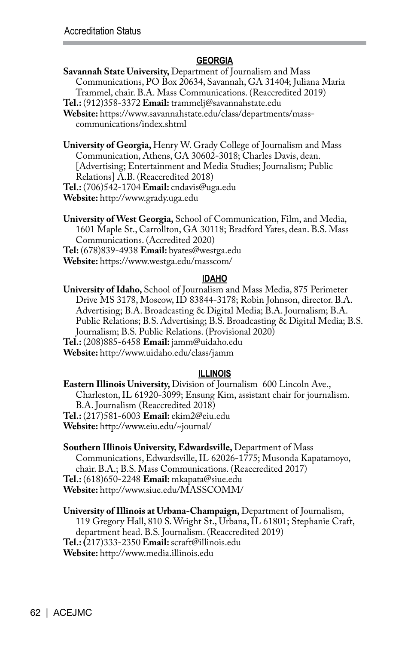### **GEORGIA**

**Savannah State University,** Department of Journalism and Mass Communications, PO Box 20634, Savannah, GA 31404; Juliana Maria Trammel, chair. B.A. Mass Communications. (Reaccredited 2019)

**Tel.:** (912)358-3372 **Email:** trammelj@savannahstate.edu

**Website:** https://www.savannahstate.edu/class/departments/masscommunications/index.shtml

**University of Georgia,** Henry W. Grady College of Journalism and Mass Communication, Athens, GA 30602-3018; Charles Davis, dean. [Advertising; Entertainment and Media Studies; Journalism; Public Relations] A.B. (Reaccredited 2018)

**Tel.:** (706)542-1704 **Email:** cndavis@uga.edu

**Website:** http://www.grady.uga.edu

**University of West Georgia,** School of Communication, Film, and Media, 1601 Maple St., Carrollton, GA 30118; Bradford Yates, dean. B.S. Mass Communications. (Accredited 2020) **Tel:** (678)839-4938 **Email:** byates@westga.edu

**Website:** https://www.westga.edu/masscom/

#### **IDAHO**

**University of Idaho,** School of Journalism and Mass Media, 875 Perimeter Drive MS 3178, Moscow, ID 83844-3178; Robin Johnson, director. B.A. Advertising; B.A. Broadcasting & Digital Media; B.A. Journalism; B.A. Public Relations; B.S. Advertising; B.S. Broadcasting & Digital Media; B.S. Journalism; B.S. Public Relations. (Provisional 2020) **Tel.:** (208)885-6458 **Email:** jamm@uidaho.edu

**Website:** http://www.uidaho.edu/class/jamm

#### **ILLINOIS**

**Eastern Illinois University,** Division of Journalism 600 Lincoln Ave., Charleston, IL 61920-3099; Ensung Kim, assistant chair for journalism. B.A. Journalism (Reaccredited 2018) **Tel.:** (217)581-6003 **Email:** ekim2@eiu.edu **Website:** http://www.eiu.edu/~journal/

**Southern Illinois University, Edwardsville,** Department of Mass Communications, Edwardsville, IL 62026-1775; Musonda Kapatamoyo, chair. B.A.; B.S. Mass Communications. (Reaccredited 2017) **Tel.:** (618)650-2248 **Email:** mkapata@siue.edu **Website:** http://www.siue.edu/MASSCOMM/

**University of Illinois at Urbana-Champaign,** Department of Journalism, 119 Gregory Hall, 810 S. Wright St., Urbana, IL 61801; Stephanie Craft, department head. B.S. Journalism. (Reaccredited 2019) **Tel.: (**217)333-2350 **Email:** scraft@illinois.edu **Website:** http://www.media.illinois.edu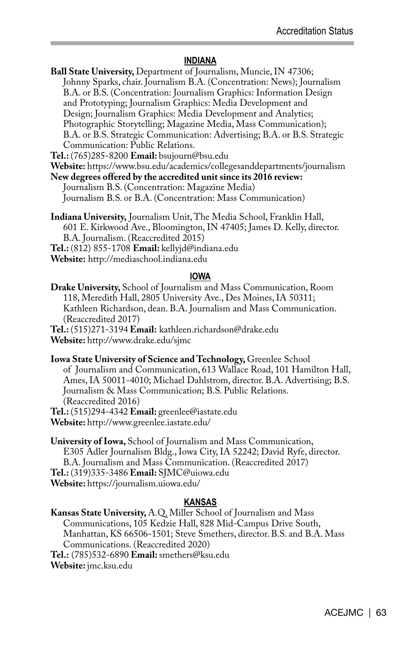#### **INDIANA**

**Ball State University,** Department of Journalism, Muncie, IN 47306; Johnny Sparks, chair. Journalism B.A. (Concentration: News); Journalism B.A. or B.S. (Concentration: Journalism Graphics: Information Design and Prototyping; Journalism Graphics: Media Development and Design; Journalism Graphics: Media Development and Analytics; Photographic Storytelling; Magazine Media, Mass Communication); B.A. or B.S. Strategic Communication: Advertising; B.A. or B.S. Strategic Communication: Public Relations.

**Tel.:** (765)285-8200 **Email:** bsujourn@bsu.edu

**Website:** https://www.bsu.edu/academics/collegesanddepartments/journalism

**New degrees offered by the accredited unit since its 2016 review:**

Journalism B.S. (Concentration: Magazine Media) Journalism B.S. or B.A. (Concentration: Mass Communication)

**Indiana University,** Journalism Unit, The Media School, Franklin Hall, 601 E. Kirkwood Ave., Bloomington, IN 47405; James D. Kelly, director. B.A. Journalism. (Reaccredited 2015) **Tel.:** (812) 855-1708 **Email:** kellyjd@indiana.edu

**Website:** http://mediaschool.indiana.edu

#### **IOWA**

**Drake University,** School of Journalism and Mass Communication, Room 118, Meredith Hall, 2805 University Ave., Des Moines, IA 50311; Kathleen Richardson, dean. B.A. Journalism and Mass Communication. (Reaccredited 2017)

**Tel.:** (515)271-3194 **Email:** kathleen.richardson@drake.edu **Website:** http://www.drake.edu/sjmc

**Iowa State University of Science and Technology,** Greenlee School of Journalism and Communication, 613 Wallace Road, 101 Hamilton Hall, Ames, IA 50011-4010; Michael Dahlstrom, director. B.A. Advertising; B.S. Journalism & Mass Communication; B.S. Public Relations. (Reaccredited 2016) **Tel.:** (515)294-4342 **Email:** greenlee@iastate.edu

**Website:** http://www.greenlee.iastate.edu/

**University of Iowa,** School of Journalism and Mass Communication, E305 Adler Journalism Bldg., Iowa City, IA 52242; David Ryfe, director. B.A. Journalism and Mass Communication. (Reaccredited 2017) **Tel.:** (319)335-3486 **Email:** SJMC@uiowa.edu **Website:** https://journalism.uiowa.edu/

#### **KANSAS**

**Kansas State University,** A.Q. Miller School of Journalism and Mass Communications, 105 Kedzie Hall, 828 Mid-Campus Drive South, Manhattan, KS 66506-1501; Steve Smethers, director. B.S. and B.A. Mass Communications. (Reaccredited 2020) **Tel.:** (785)532-6890 **Email:** smethers@ksu.edu **Website:** jmc.ksu.edu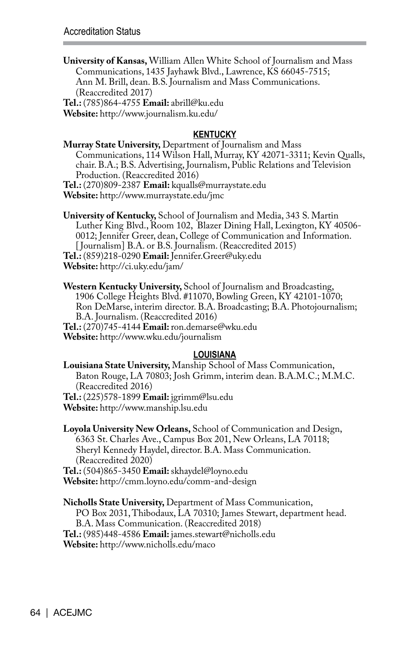**University of Kansas,** William Allen White School of Journalism and Mass Communications, 1435 Jayhawk Blvd., Lawrence, KS 66045-7515; Ann M. Brill, dean. B.S. Journalism and Mass Communications. (Reaccredited 2017)

**Tel.:** (785)864-4755 **Email:** abrill@ku.edu

**Website:** http://www.journalism.ku.edu/

### **KENTUCKY**

**Murray State University,** Department of Journalism and Mass Communications, 114 Wilson Hall, Murray, KY 42071-3311; Kevin Qualls, chair. B.A.; B.S. Advertising, Journalism, Public Relations and Television Production. (Reaccredited 2016) **Tel.:** (270)809-2387 **Email:** kqualls@murraystate.edu

**Website:** http://www.murraystate.edu/jmc

**University of Kentucky,** School of Journalism and Media, 343 S. Martin Luther King Blvd., Room 102, Blazer Dining Hall, Lexington, KY 40506- 0012; Jennifer Greer, dean, College of Communication and Information. [Journalism] B.A. or B.S. Journalism. (Reaccredited 2015)

**Tel.:** (859)218-0290 **Email:** Jennifer.Greer@uky.edu **Website:** http://ci.uky.edu/jam/

**Western Kentucky University,** School of Journalism and Broadcasting, 1906 College Heights Blvd. #11070, Bowling Green, KY 42101-1070; Ron DeMarse, interim director. B.A. Broadcasting; B.A. Photojournalism; B.A. Journalism. (Reaccredited 2016) **Tel.:** (270)745-4144 **Email:** ron.demarse@wku.edu **Website:** http://www.wku.edu/journalism

### **LOUISIANA**

**Louisiana State University,** Manship School of Mass Communication, Baton Rouge, LA 70803; Josh Grimm, interim dean. B.A.M.C.; M.M.C. (Reaccredited 2016) **Tel.:** (225)578-1899 **Email:** jgrimm@lsu.edu

**Website:** http://www.manship.lsu.edu

**Loyola University New Orleans,** School of Communication and Design, 6363 St. Charles Ave., Campus Box 201, New Orleans, LA 70118; Sheryl Kennedy Haydel, director. B.A. Mass Communication. (Reaccredited 2020)

**Tel.:** (504)865-3450 **Email:** skhaydel@loyno.edu **Website:** http://cmm.loyno.edu/comm-and-design

**Nicholls State University,** Department of Mass Communication, PO Box 2031, Thibodaux, LA 70310; James Stewart, department head. B.A. Mass Communication. (Reaccredited 2018) **Tel.:** (985)448-4586 **Email:** james.stewart@nicholls.edu **Website:** http://www.nicholls.edu/maco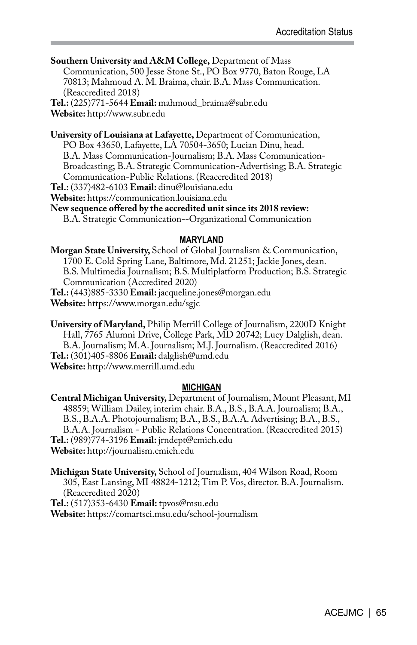**Southern University and A&M College,** Department of Mass Communication, 500 Jesse Stone St., PO Box 9770, Baton Rouge, LA 70813; Mahmoud A. M. Braima, chair. B.A. Mass Communication. (Reaccredited 2018)

**Tel.:** (225)771-5644 **Email:** mahmoud\_braima@subr.edu **Website:** http://www.subr.edu

**University of Louisiana at Lafayette,** Department of Communication, PO Box 43650, Lafayette, LA 70504-3650; Lucian Dinu, head. B.A. Mass Communication-Journalism; B.A. Mass Communication-Broadcasting; B.A. Strategic Communication-Advertising; B.A. Strategic Communication-Public Relations. (Reaccredited 2018) **Tel.:** (337)482-6103 **Email:** dinu@louisiana.edu

**Website:** https://communication.louisiana.edu

**New sequence offered by the accredited unit since its 2018 review:** 

B.A. Strategic Communication--Organizational Communication

#### **MARYLAND**

**Morgan State University,** School of Global Journalism & Communication, 1700 E. Cold Spring Lane, Baltimore, Md. 21251; Jackie Jones, dean. B.S. Multimedia Journalism; B.S. Multiplatform Production; B.S. Strategic Communication (Accredited 2020) **Tel.:** (443)885-3330 **Email:** jacqueline.jones@morgan.edu

**Website:** https://www.morgan.edu/sgjc

**University of Maryland,** Philip Merrill College of Journalism, 2200D Knight Hall, 7765 Alumni Drive, College Park, MD 20742; Lucy Dalglish, dean. B.A. Journalism; M.A. Journalism; M.J. Journalism. (Reaccredited 2016) **Tel.:** (301)405-8806 **Email:** dalglish@umd.edu **Website:** http://www.merrill.umd.edu

#### **MICHIGAN**

**Central Michigan University,** Department of Journalism, Mount Pleasant, MI 48859; William Dailey, interim chair. B.A., B.S., B.A.A. Journalism; B.A., B.S., B.A.A. Photojournalism; B.A., B.S., B.A.A. Advertising; B.A., B.S., B.A.A. Journalism - Public Relations Concentration. (Reaccredited 2015) **Tel.:** (989)774-3196 **Email:** jrndept@cmich.edu **Website:** http://journalism.cmich.edu

**Michigan State University,** School of Journalism, 404 Wilson Road, Room 305, East Lansing, MI 48824-1212; Tim P. Vos, director. B.A. Journalism. (Reaccredited 2020)

**Tel.:** (517)353-6430 **Email:** tpvos@msu.edu

**Website:** https://comartsci.msu.edu/school-journalism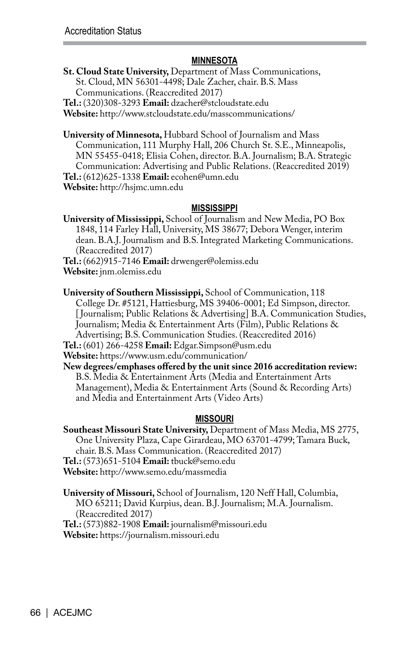### **MINNESOTA**

**St. Cloud State University,** Department of Mass Communications, St. Cloud, MN 56301-4498; Dale Zacher, chair. B.S. Mass Communications. (Reaccredited 2017)

**Tel.:** (320)308-3293 **Email:** dzacher@stcloudstate.edu

**Website:** http://www.stcloudstate.edu/masscommunications/

**University of Minnesota,** Hubbard School of Journalism and Mass Communication, 111 Murphy Hall, 206 Church St. S.E., Minneapolis, MN 55455-0418; Elisia Cohen, director. B.A. Journalism; B.A. Strategic Communication: Advertising and Public Relations. (Reaccredited 2019) **Tel.:** (612)625-1338 **Email:** ecohen@umn.edu **Website:** http://hsjmc.umn.edu

#### **MISSISSIPPI**

**University of Mississippi,** School of Journalism and New Media, PO Box 1848, 114 Farley Hall, University, MS 38677; Debora Wenger, interim dean. B.A.J. Journalism and B.S. Integrated Marketing Communications. (Reaccredited 2017)

**Tel.:** (662)915-7146 **Email:** drwenger@olemiss.edu

**Website:** jnm.olemiss.edu

**University of Southern Mississippi,** School of Communication, 118 College Dr. #5121, Hattiesburg, MS 39406-0001; Ed Simpson, director. [ Journalism; Public Relations & Advertising] B.A. Communication Studies, Journalism; Media & Entertainment Arts (Film), Public Relations & Advertising; B.S. Communication Studies. (Reaccredited 2016)

**Tel.:** (601) 266-4258 **Email:** Edgar.Simpson@usm.edu

**Website:** https://www.usm.edu/communication/

**New degrees/emphases offered by the unit since 2016 accreditation review:** B.S. Media & Entertainment Arts (Media and Entertainment Arts Management), Media & Entertainment Arts (Sound & Recording Arts) and Media and Entertainment Arts (Video Arts)

### **MISSOURI**

**Southeast Missouri State University,** Department of Mass Media, MS 2775, One University Plaza, Cape Girardeau, MO 63701-4799; Tamara Buck, chair. B.S. Mass Communication. (Reaccredited 2017) **Tel.:** (573)651-5104 **Email:** tbuck@semo.edu **Website:** http://www.semo.edu/massmedia

**University of Missouri,** School of Journalism, 120 Neff Hall, Columbia, MO 65211; David Kurpius, dean. B.J. Journalism; M.A. Journalism. (Reaccredited 2017) **Tel.:** (573)882-1908 **Email:** journalism@missouri.edu

**Website:** https://journalism.missouri.edu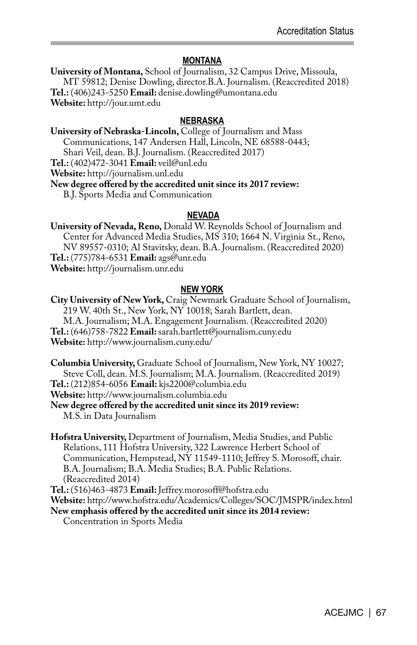### **MONTANA**

**University of Montana,** School of Journalism, 32 Campus Drive, Missoula, MT 59812; Denise Dowling, director.B.A. Journalism. (Reaccredited 2018) **Tel.:** (406)243-5250 **Email:** denise.dowling@umontana.edu **Website:** http://jour.umt.edu

### **NEBRASKA**

**University of Nebraska-Lincoln,** College of Journalism and Mass Communications, 147 Andersen Hall, Lincoln, NE 68588-0443;

Shari Veil, dean. B.J. Journalism. (Reaccredited 2017)

**Tel.:** (402)472-3041 **Email:** veil@unl.edu

**Website:** http://journalism.unl.edu

**New degree offered by the accredited unit since its 2017 review:** 

B.J. Sports Media and Communication

### **NEVADA**

**University of Nevada, Reno,** Donald W. Reynolds School of Journalism and Center for Advanced Media Studies, MS 310; 1664 N. Virginia St., Reno, NV 89557-0310; Al Stavitsky, dean. B.A. Journalism. (Reaccredited 2020) **Tel.:** (775)784-6531 **Email:** ags@unr.edu **Website:** http://journalism.unr.edu

### **NEW YORK**

**City University of New York,** Craig Newmark Graduate School of Journalism, 219 W. 40th St., New York, NY 10018; Sarah Bartlett, dean. M.A. Journalism; M.A. Engagement Journalism. (Reaccredited 2020) **Tel.:** (646)758-7822 **Email:** sarah.bartlett@journalism.cuny.edu **Website:** http://www.journalism.cuny.edu/

**Columbia University,** Graduate School of Journalism, New York, NY 10027; Steve Coll, dean. M.S. Journalism; M.A. Journalism. (Reaccredited 2019) **Tel.:** (212)854-6056 **Email:** kjs2200@columbia.edu **Website:** http://www.journalism.columbia.edu

**New degree offered by the accredited unit since its 2019 review:**  M.S. in Data Journalism

**Hofstra University,** Department of Journalism, Media Studies, and Public Relations, 111 Hofstra University, 322 Lawrence Herbert School of Communication, Hempstead, NY 11549-1110; Jeffrey S. Morosoff, chair. B.A. Journalism; B.A. Media Studies; B.A. Public Relations. (Reaccredited 2014)

**Tel.:** (516)463-4873 **Email:** Jeffrey.morosoff@hofstra.edu

**Website:** http://www.hofstra.edu/Academics/Colleges/SOC/JMSPR/index.html

**New emphasis offered by the accredited unit since its 2014 review:** Concentration in Sports Media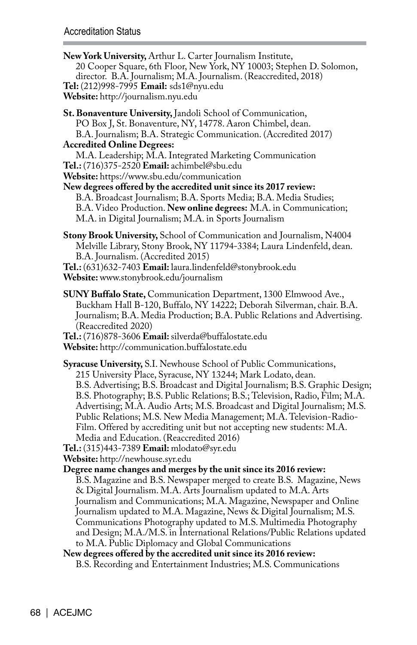**New York University,** Arthur L. Carter Journalism Institute, 20 Cooper Square, 6th Floor, New York, NY 10003; Stephen D. Solomon, director. B.A. Journalism; M.A. Journalism. (Reaccredited, 2018) **Tel:** (212)998-7995 **Email:** sds1@nyu.edu **Website:** http://journalism.nyu.edu **St. Bonaventure University,** Jandoli School of Communication, PO Box J, St. Bonaventure, NY, 14778. Aaron Chimbel, dean. B.A. Journalism; B.A. Strategic Communication. (Accredited 2017) **Accredited Online Degrees:**  M.A. Leadership; M.A. Integrated Marketing Communication **Tel.:** (716)375-2520 **Email:** achimbel@sbu.edu **Website:** https://www.sbu.edu/communication **New degrees offered by the accredited unit since its 2017 review:**  B.A. Broadcast Journalism; B.A. Sports Media; B.A. Media Studies; B.A. Video Production. **New online degrees:** M.A. in Communication; M.A. in Digital Journalism; M.A. in Sports Journalism **Stony Brook University,** School of Communication and Journalism, N4004 Melville Library, Stony Brook, NY 11794-3384; Laura Lindenfeld, dean. B.A. Journalism. (Accredited 2015) **Tel.:** (631)632-7403 **Email:** laura.lindenfeld@stonybrook.edu **Website:** www.stonybrook.edu/journalism **SUNY Buffalo State,** Communication Department, 1300 Elmwood Ave., Buckham Hall B-120, Buffalo, NY 14222; Deborah Silverman, chair. B.A. Journalism; B.A. Media Production; B.A. Public Relations and Advertising. (Reaccredited 2020) **Tel.:** (716)878-3606 **Email:** silverda@buffalostate.edu **Website:** http://communication.buffalostate.edu **Syracuse University,** S.I. Newhouse School of Public Communications, 215 University Place, Syracuse, NY 13244; Mark Lodato, dean. B.S. Advertising; B.S. Broadcast and Digital Journalism; B.S. Graphic Design; B.S. Photography; B.S. Public Relations; B.S.; Television, Radio, Film; M.A. Advertising; M.A. Audio Arts; M.S. Broadcast and Digital Journalism; M.S. Public Relations; M.S. New Media Management; M.A. Television-Radio-Film. Offered by accrediting unit but not accepting new students: M.A. Media and Education. (Reaccredited 2016) **Tel.:** (315)443-7389 **Email:** mlodato@syr.edu **Website:** http://newhouse.syr.edu **Degree name changes and merges by the unit since its 2016 review:**  B.S. Magazine and B.S. Newspaper merged to create B.S. Magazine, News & Digital Journalism. M.A. Arts Journalism updated to M.A. Arts Journalism and Communications; M.A. Magazine, Newspaper and Online Journalism updated to M.A. Magazine, News & Digital Journalism; M.S. Communications Photography updated to M.S. Multimedia Photography and Design; M.A./M.S. in International Relations/Public Relations updated to M.A. Public Diplomacy and Global Communications **New degrees offered by the accredited unit since its 2016 review:**  B.S. Recording and Entertainment Industries; M.S. Communications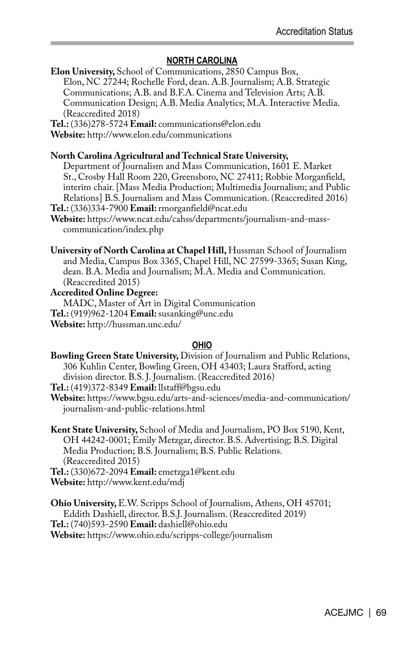### **NORTH CAROLINA**

**Elon University,** School of Communications, 2850 Campus Box, Elon, NC 27244; Rochelle Ford, dean. A.B. Journalism; A.B. Strategic Communications; A.B. and B.F.A. Cinema and Television Arts; A.B. Communication Design; A.B. Media Analytics; M.A. Interactive Media. (Reaccredited 2018)

**Tel.:** (336)278-5724 **Email:** communications@elon.edu

**Website:** http://www.elon.edu/communications

### **North Carolina Agricultural and Technical State University,**

Department of Journalism and Mass Communication, 1601 E. Market St., Crosby Hall Room 220, Greensboro, NC 27411; Robbie Morganfield, interim chair. [Mass Media Production; Multimedia Journalism; and Public Relations] B.S. Journalism and Mass Communication. (Reaccredited 2016) **Tel.:** (336)334-7900 **Email:** rmorganfield@ncat.edu

**Website:** https://www.ncat.edu/cahss/departments/journalism-and-masscommunication/index.php

**University of North Carolina at Chapel Hill,** Hussman School of Journalism and Media, Campus Box 3365, Chapel Hill, NC 27599-3365; Susan King, dean. B.A. Media and Journalism; M.A. Media and Communication. (Reaccredited 2015)

**Accredited Online Degree:**  MADC, Master of Art in Digital Communication

**Tel.:** (919)962-1204 **Email:** susanking@unc.edu

**Website:** http://hussman.unc.edu/

### **OHIO**

**Bowling Green State University,** Division of Journalism and Public Relations, 306 Kuhlin Center, Bowling Green, OH 43403; Laura Stafford, acting division director. B.S. J. Journalism. (Reaccredited 2016)

**Tel.:** (419)372-8349 **Email:** llstaff@bgsu.edu

**Website:** https://www.bgsu.edu/arts-and-sciences/media-and-communication/ journalism-and-public-relations.html

**Kent State University,** School of Media and Journalism, PO Box 5190, Kent, OH 44242-0001; Emily Metzgar, director. B.S. Advertising; B.S. Digital Media Production; B.S. Journalism; B.S. Public Relations. (Reaccredited 2015)

**Tel.:** (330)672-2094 **Email:** emetzga1@kent.edu **Website:** http://www.kent.edu/mdj

**Ohio University,** E.W. Scripps School of Journalism, Athens, OH 45701; Eddith Dashiell, director. B.S.J. Journalism. (Reaccredited 2019) **Tel.:** (740)593-2590 **Email:** dashiell@ohio.edu **Website:** https://www.ohio.edu/scripps-college/journalism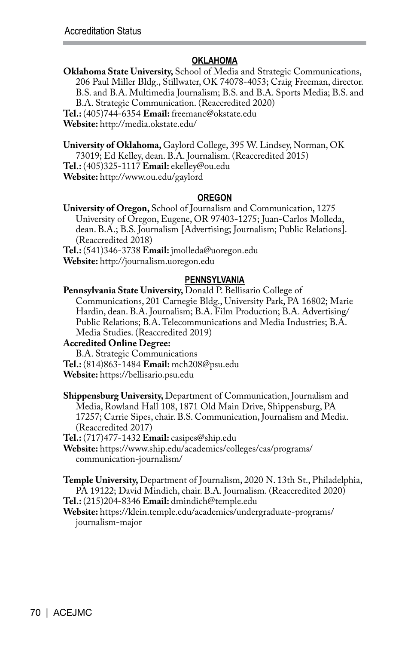### **OKLAHOMA**

**Oklahoma State University,** School of Media and Strategic Communications, 206 Paul Miller Bldg., Stillwater, OK 74078-4053; Craig Freeman, director. B.S. and B.A. Multimedia Journalism; B.S. and B.A. Sports Media; B.S. and B.A. Strategic Communication. (Reaccredited 2020) **Tel.:** (405)744-6354 **Email:** freemanc@okstate.edu **Website:** http://media.okstate.edu/

**University of Oklahoma,** Gaylord College, 395 W. Lindsey, Norman, OK 73019; Ed Kelley, dean. B.A. Journalism. (Reaccredited 2015) **Tel.:** (405)325-1117 **Email:** ekelley@ou.edu

**Website:** http://www.ou.edu/gaylord

### **OREGON**

**University of Oregon,** School of Journalism and Communication, 1275 University of Oregon, Eugene, OR 97403-1275; Juan-Carlos Molleda, dean. B.A.; B.S. Journalism [Advertising; Journalism; Public Relations]. (Reaccredited 2018)

**Tel.:** (541)346-3738 **Email:** jmolleda@uoregon.edu **Website:** http://journalism.uoregon.edu

### **PENNSYLVANIA**

**Pennsylvania State University,** Donald P. Bellisario College of Communications, 201 Carnegie Bldg., University Park, PA 16802; Marie Hardin, dean. B.A. Journalism; B.A. Film Production; B.A. Advertising/ Public Relations; B.A. Telecommunications and Media Industries; B.A. Media Studies. (Reaccredited 2019)

#### **Accredited Online Degree:**

B.A. Strategic Communications **Tel.:** (814)863-1484 **Email:** mch208@psu.edu **Website:** https://bellisario.psu.edu

**Shippensburg University,** Department of Communication, Journalism and Media, Rowland Hall 108, 1871 Old Main Drive, Shippensburg, PA 17257; Carrie Sipes, chair. B.S. Communication, Journalism and Media. (Reaccredited 2017)

**Tel.:** (717)477-1432 **Email:** casipes@ship.edu

**Website:** https://www.ship.edu/academics/colleges/cas/programs/ communication-journalism/

**Temple University,** Department of Journalism, 2020 N. 13th St., Philadelphia, PA 19122; David Mindich, chair. B.A. Journalism. (Reaccredited 2020) **Tel.:** (215)204-8346 **Email:** dmindich@temple.edu

**Website:** https://klein.temple.edu/academics/undergraduate-programs/ journalism-major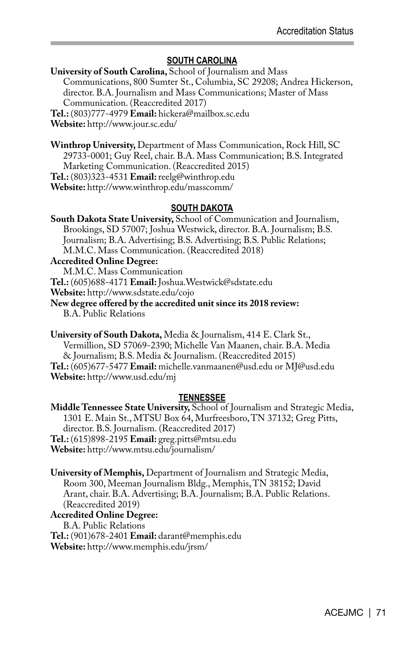### **SOUTH CAROLINA**

**University of South Carolina,** School of Journalism and Mass Communications, 800 Sumter St., Columbia, SC 29208; Andrea Hickerson, director. B.A. Journalism and Mass Communications; Master of Mass Communication. (Reaccredited 2017) **Tel.:** (803)777-4979 **Email:** hickera@mailbox.sc.edu

**Website:** http://www.jour.sc.edu/

**Winthrop University,** Department of Mass Communication, Rock Hill, SC 29733-0001; Guy Reel, chair. B.A. Mass Communication; B.S. Integrated Marketing Communication. (Reaccredited 2015) **Tel.:** (803)323-4531 **Email:** reelg@winthrop.edu **Website:** http://www.winthrop.edu/masscomm/

### **SOUTH DAKOTA**

**South Dakota State University,** School of Communication and Journalism, Brookings, SD 57007; Joshua Westwick, director. B.A. Journalism; B.S. Journalism; B.A. Advertising; B.S. Advertising; B.S. Public Relations; M.M.C. Mass Communication. (Reaccredited 2018)

**Accredited Online Degree:**  M.M.C. Mass Communication **Tel.:** (605)688-4171 **Email:** Joshua.Westwick@sdstate.edu

**Website:** http://www.sdstate.edu/cojo

**New degree offered by the accredited unit since its 2018 review:**  B.A. Public Relations

**University of South Dakota,** Media & Journalism, 414 E. Clark St., Vermillion, SD 57069-2390; Michelle Van Maanen, chair. B.A. Media & Journalism; B.S. Media & Journalism. (Reaccredited 2015) **Tel.:** (605)677-5477 **Email:** michelle.vanmaanen@usd.edu or MJ@usd.edu **Website:** http://www.usd.edu/mj

### **TENNESSEE**

**Middle Tennessee State University,** School of Journalism and Strategic Media, 1301 E. Main St., MTSU Box 64, Murfreesboro, TN 37132; Greg Pitts, director. B.S. Journalism. (Reaccredited 2017) **Tel.:** (615)898-2195 **Email:** greg.pitts@mtsu.edu **Website:** http://www.mtsu.edu/journalism/

**University of Memphis,** Department of Journalism and Strategic Media, Room 300, Meeman Journalism Bldg., Memphis, TN 38152; David Arant, chair. B.A. Advertising; B.A. Journalism; B.A. Public Relations. (Reaccredited 2019)

### **Accredited Online Degree:**

B.A. Public Relations **Tel.:** (901)678-2401 **Email:** darant@memphis.edu **Website:** http://www.memphis.edu/jrsm/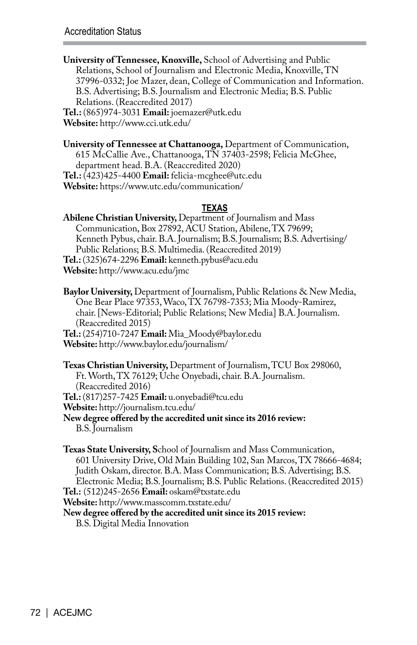**University of Tennessee, Knoxville,** School of Advertising and Public Relations, School of Journalism and Electronic Media, Knoxville, TN 37996-0332; Joe Mazer, dean, College of Communication and Information. B.S. Advertising; B.S. Journalism and Electronic Media; B.S. Public Relations. (Reaccredited 2017) **Tel.:** (865)974-3031 **Email:** joemazer@utk.edu

**Website:** http://www.cci.utk.edu/

**University of Tennessee at Chattanooga,** Department of Communication, 615 McCallie Ave., Chattanooga, TN 37403-2598; Felicia McGhee, department head. B.A. (Reaccredited 2020) **Tel.:** (423)425-4400 **Email:** felicia-mcghee@utc.edu **Website:** https://www.utc.edu/communication/

### **TEXAS**

**Abilene Christian University,** Department of Journalism and Mass Communication, Box 27892, ACU Station, Abilene, TX 79699; Kenneth Pybus, chair. B.A. Journalism; B.S. Journalism; B.S. Advertising/ Public Relations; B.S. Multimedia. (Reaccredited 2019) **Tel.:** (325)674-2296 **Email:** kenneth.pybus@acu.edu **Website:** http://www.acu.edu/jmc

**Baylor University,** Department of Journalism, Public Relations & New Media, One Bear Place 97353, Waco, TX 76798-7353; Mia Moody-Ramirez, chair. [News-Editorial; Public Relations; New Media] B.A. Journalism. (Reaccredited 2015)

**Tel.:** (254)710-7247 **Email:** Mia\_Moody@baylor.edu **Website:** http://www.baylor.edu/journalism/

**Texas Christian University,** Department of Journalism, TCU Box 298060, Ft. Worth, TX 76129; Uche Onyebadi, chair. B.A. Journalism. (Reaccredited 2016) **Tel.:** (817)257-7425 **Email:** u.onyebadi@tcu.edu

**Website:** http://journalism.tcu.edu/

**New degree offered by the accredited unit since its 2016 review:**  B.S. Journalism

**Texas State University, S**chool of Journalism and Mass Communication, 601 University Drive, Old Main Building 102, San Marcos, TX 78666-4684; Judith Oskam, director. B.A. Mass Communication; B.S. Advertising; B.S. Electronic Media; B.S. Journalism; B.S. Public Relations. (Reaccredited 2015)

**Tel.:** (512)245-2656 **Email:** oskam@txstate.edu **Website:** http://www.masscomm.txstate.edu/

**New degree offered by the accredited unit since its 2015 review:** 

B.S. Digital Media Innovation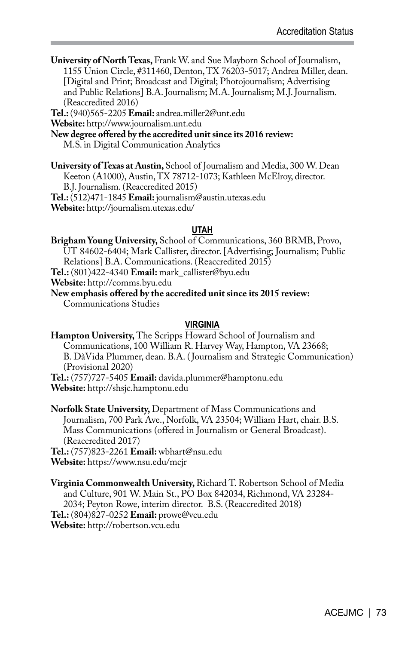**University of North Texas,** Frank W. and Sue Mayborn School of Journalism, 1155 Union Circle, #311460, Denton, TX 76203-5017; Andrea Miller, dean. [Digital and Print; Broadcast and Digital; Photojournalism; Advertising and Public Relations] B.A. Journalism; M.A. Journalism; M.J. Journalism. (Reaccredited 2016)

**Tel.:** (940)565-2205 **Email:** andrea.miller2@unt.edu

**Website:** http://www.journalism.unt.edu

**New degree offered by the accredited unit since its 2016 review:** 

M.S. in Digital Communication Analytics

**University of Texas at Austin,** School of Journalism and Media, 300 W. Dean Keeton (A1000), Austin, TX 78712-1073; Kathleen McElroy, director. B.J. Journalism. (Reaccredited 2015) **Tel.:** (512)471-1845 **Email:** journalism@austin.utexas.edu **Website:** http://journalism.utexas.edu/

#### **UTAH**

**Brigham Young University,** School of Communications, 360 BRMB, Provo, UT 84602-6404; Mark Callister, director. [Advertising; Journalism; Public Relations] B.A. Communications. (Reaccredited 2015) **Tel.:** (801)422-4340 **Email:** mark\_callister@byu.edu **Website:** http://comms.byu.edu

**New emphasis offered by the accredited unit since its 2015 review:**  Communications Studies

#### **VIRGINIA**

**Hampton University,** The Scripps Howard School of Journalism and Communications, 100 William R. Harvey Way, Hampton, VA 23668; B. DàVida Plummer, dean. B.A. ( Journalism and Strategic Communication) (Provisional 2020)

**Tel.:** (757)727-5405 **Email:** davida.plummer@hamptonu.edu **Website:** http://shsjc.hamptonu.edu

**Norfolk State University,** Department of Mass Communications and Journalism, 700 Park Ave., Norfolk, VA 23504; William Hart, chair. B.S. Mass Communications (offered in Journalism or General Broadcast). (Reaccredited 2017)

**Tel.:** (757)823-2261 **Email:** wbhart@nsu.edu **Website:** https://www.nsu.edu/mcjr

**Virginia Commonwealth University,** Richard T. Robertson School of Media and Culture, 901 W. Main St., PO Box 842034, Richmond, VA 23284- 2034; Peyton Rowe, interim director. B.S. (Reaccredited 2018) **Tel.:** (804)827-0252 **Email:** prowe@vcu.edu **Website:** http://robertson.vcu.edu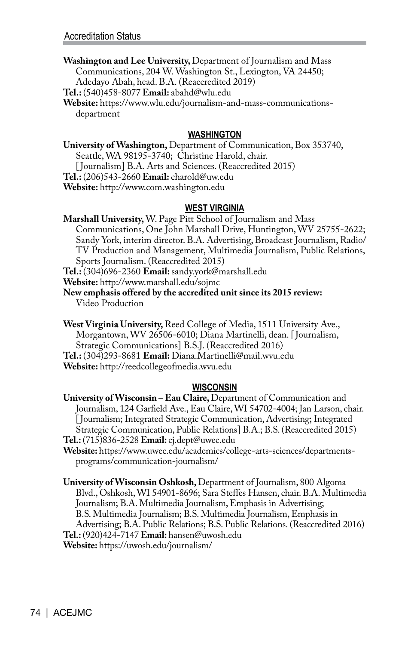**Washington and Lee University,** Department of Journalism and Mass Communications, 204 W. Washington St., Lexington, VA 24450; Adedayo Abah, head. B.A. (Reaccredited 2019)

**Tel.:** (540)458-8077 **Email:** abahd@wlu.edu

**Website:** https://www.wlu.edu/journalism-and-mass-communicationsdepartment

#### **WASHINGTON**

**University of Washington,** Department of Communication, Box 353740, Seattle, WA 98195-3740; Christine Harold, chair. [ Journalism] B.A. Arts and Sciences. (Reaccredited 2015) **Tel.:** (206)543-2660 **Email:** charold@uw.edu **Website:** http://www.com.washington.edu

#### **WEST VIRGINIA**

**Marshall University,** W. Page Pitt School of Journalism and Mass Communications, One John Marshall Drive, Huntington, WV 25755-2622; Sandy York, interim director. B.A. Advertising, Broadcast Journalism, Radio/ TV Production and Management, Multimedia Journalism, Public Relations, Sports Journalism. (Reaccredited 2015)

**Tel.:** (304)696-2360 **Email:** sandy.york@marshall.edu

**Website:** http://www.marshall.edu/sojmc

**New emphasis offered by the accredited unit since its 2015 review:**  Video Production

**West Virginia University,** Reed College of Media, 1511 University Ave., Morgantown, WV 26506-6010; Diana Martinelli, dean. [ Journalism, Strategic Communications] B.S.J. (Reaccredited 2016) **Tel.:** (304)293-8681 **Email:** Diana.Martinelli@mail.wvu.edu **Website:** http://reedcollegeofmedia.wvu.edu

#### **WISCONSIN**

**University of Wisconsin – Eau Claire,** Department of Communication and Journalism, 124 Garfield Ave., Eau Claire, WI 54702-4004; Jan Larson, chair. [Journalism; Integrated Strategic Communication, Advertising; Integrated Strategic Communication, Public Relations] B.A.; B.S. (Reaccredited 2015) **Tel.:** (715)836-2528 **Email:** cj.dept@uwec.edu

**Website:** https://www.uwec.edu/academics/college-arts-sciences/departmentsprograms/communication-journalism/

**University of Wisconsin Oshkosh,** Department of Journalism, 800 Algoma Blvd., Oshkosh, WI 54901-8696; Sara Steffes Hansen, chair. B.A. Multimedia Journalism; B.A. Multimedia Journalism, Emphasis in Advertising; B.S. Multimedia Journalism; B.S. Multimedia Journalism, Emphasis in Advertising; B.A. Public Relations; B.S. Public Relations. (Reaccredited 2016) **Tel.:** (920)424-7147 **Email:** hansen@uwosh.edu **Website:** https://uwosh.edu/journalism/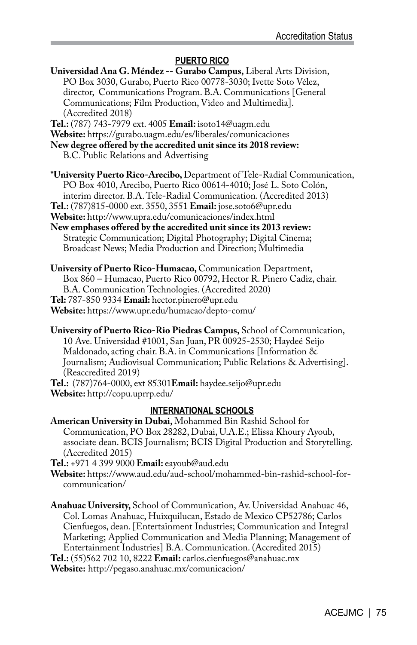#### **PUERTO RICO**

- **Universidad Ana G. Méndez -- Gurabo Campus,** Liberal Arts Division, PO Box 3030, Gurabo, Puerto Rico 00778-3030; Ivette Soto Vélez, director, Communications Program. B.A. Communications [General Communications; Film Production, Video and Multimedia]. (Accredited 2018)
- **Tel.:** (787) 743-7979 ext. 4005 **Email:** isoto14@uagm.edu
- **Website:** https://gurabo.uagm.edu/es/liberales/comunicaciones
- **New degree offered by the accredited unit since its 2018 review:**
	- B.C. Public Relations and Advertising
- **\*University Puerto Rico-Arecibo,** Department of Tele-Radial Communication, PO Box 4010, Arecibo, Puerto Rico 00614-4010; José L. Soto Colón, interim director. B.A. Tele-Radial Communication. (Accredited 2013)
- **Tel.:** (787)815-0000 ext. 3550, 3551 **Email:** jose.soto6@upr.edu
- **Website:** http://www.upra.edu/comunicaciones/index.html
- **New emphases offered by the accredited unit since its 2013 review:**  Strategic Communication; Digital Photography; Digital Cinema; Broadcast News; Media Production and Direction; Multimedia
- **University of Puerto Rico-Humacao,** Communication Department, Box 860 – Humacao, Puerto Rico 00792, Hector R. Pinero Cadiz, chair. B.A. Communication Technologies. (Accredited 2020) **Tel:** 787-850 9334 **Email:** hector.pinero@upr.edu **Website:** https://www.upr.edu/humacao/depto-comu/
- **University of Puerto Rico-Rio Piedras Campus,** School of Communication, 10 Ave. Universidad #1001, San Juan, PR 00925-2530; Haydeé Seijo Maldonado, acting chair. B.A. in Communications [Information & Journalism; Audiovisual Communication; Public Relations & Advertising]. (Reaccredited 2019)
- **Tel.:** (787)764-0000, ext 85301**Email:** haydee.seijo@upr.edu **Website:** http://copu.uprrp.edu/

#### **INTERNATIONAL SCHOOLS**

- **American University in Dubai,** Mohammed Bin Rashid School for Communication, PO Box 28282, Dubai, U.A.E.; Elissa Khoury Ayoub, associate dean. BCIS Journalism; BCIS Digital Production and Storytelling. (Accredited 2015)
- **Tel.:** +971 4 399 9000 **Email:** eayoub@aud.edu
- **Website:** https://www.aud.edu/aud-school/mohammed-bin-rashid-school-forcommunication/

**Anahuac University,** School of Communication, Av. Universidad Anahuac 46, Col. Lomas Anahuac, Huixquilucan, Estado de Mexico CP52786; Carlos Cienfuegos, dean. [Entertainment Industries; Communication and Integral Marketing; Applied Communication and Media Planning; Management of Entertainment Industries] B.A. Communication. (Accredited 2015) **Tel.:** (55)562 702 10, 8222 **Email:** carlos.cienfuegos@anahuac.mx

**Website:** http://pegaso.anahuac.mx/comunicacion/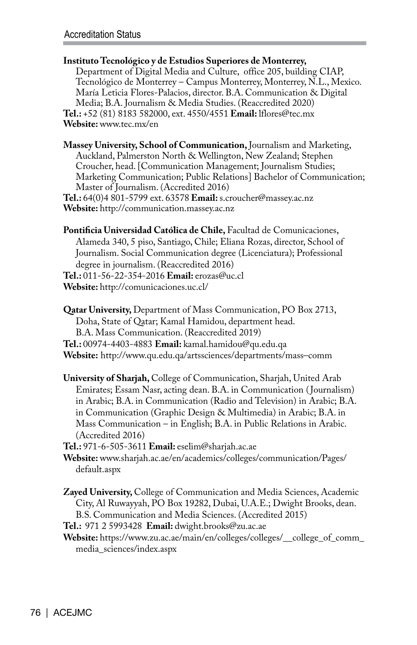**Instituto Tecnológico y de Estudios Superiores de Monterrey,**  Department of Digital Media and Culture, office 205, building CIAP, Tecnológico de Monterrey – Campus Monterrey, Monterrey, N.L., Mexico. María Leticia Flores-Palacios, director. B.A. Communication & Digital Media; B.A. Journalism & Media Studies. (Reaccredited 2020) **Tel.:** +52 (81) 8183 582000, ext. 4550/4551 **Email:** lflores@tec.mx **Website:** www.tec.mx/en

**Massey University, School of Communication,** Journalism and Marketing, Auckland, Palmerston North & Wellington, New Zealand; Stephen Croucher, head. [Communication Management; Journalism Studies; Marketing Communication; Public Relations] Bachelor of Communication; Master of Journalism. (Accredited 2016) **Tel.:** 64(0)4 801-5799 ext. 63578 **Email:** s.croucher@massey.ac.nz

**Website:** http://communication.massey.ac.nz

**Pontificia Universidad Católica de Chile,** Facultad de Comunicaciones, Alameda 340, 5 piso, Santiago, Chile; Eliana Rozas, director, School of Journalism. Social Communication degree (Licenciatura); Professional degree in journalism. (Reaccredited 2016)

**Tel.:** 011-56-22-354-2016 **Email:** erozas@uc.cl

**Website:** http://comunicaciones.uc.cl/

**Qatar University,** Department of Mass Communication, PO Box 2713, Doha, State of Qatar; Kamal Hamidou, department head. B.A. Mass Communication. (Reaccredited 2019) **Tel.:** 00974-4403-4883 **Email:** kamal.hamidou@qu.edu.qa

**Website:** http://www.qu.edu.qa/artssciences/departments/mass–comm

**University of Sharjah,** College of Communication, Sharjah, United Arab Emirates; Essam Nasr, acting dean. B.A. in Communication ( Journalism) in Arabic; B.A. in Communication (Radio and Television) in Arabic; B.A. in Communication (Graphic Design & Multimedia) in Arabic; B.A. in Mass Communication – in English; B.A. in Public Relations in Arabic. (Accredited 2016)

**Tel.:** 971-6-505-3611 **Email:** eselim@sharjah.ac.ae

**Website:** www.sharjah.ac.ae/en/academics/colleges/communication/Pages/ default.aspx

**Zayed University,** College of Communication and Media Sciences, Academic City, Al Ruwayyah, PO Box 19282, Dubai, U.A.E.; Dwight Brooks, dean. B.S. Communication and Media Sciences. (Accredited 2015)

**Tel.:** 971 2 5993428 **Email:** dwight.brooks@zu.ac.ae

**Website:** https://www.zu.ac.ae/main/en/colleges/colleges/\_\_college\_of\_comm\_ media\_sciences/index.aspx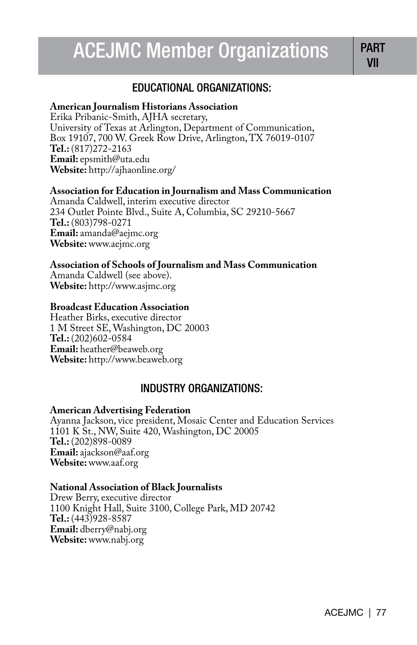# ACEJMC Member Organizations PART

## EDUCATIONAL ORGANIZATIONS:

## **American Journalism Historians Association**

Erika Pribanic-Smith, AJHA secretary, University of Texas at Arlington, Department of Communication, Box 19107, 700 W. Greek Row Drive, Arlington, TX 76019-0107 **Tel.:** (817)272-2163 **Email:** epsmith@uta.edu **Website:** http://ajhaonline.org/

## **Association for Education in Journalism and Mass Communication**

Amanda Caldwell, interim executive director 234 Outlet Pointe Blvd., Suite A, Columbia, SC 29210-5667 **Tel.:** (803)798-0271 **Email:** amanda@aejmc.org **Website:** www.aejmc.org

## **Association of Schools of Journalism and Mass Communication**

Amanda Caldwell (see above). **Website:** http://www.asjmc.org

## **Broadcast Education Association**

Heather Birks, executive director 1 M Street SE, Washington, DC 20003 **Tel.:** (202)602-0584 **Email:** heather@beaweb.org **Website:** http://www.beaweb.org

## INDUSTRY ORGANIZATIONS:

## **American Advertising Federation**

Ayanna Jackson, vice president, Mosaic Center and Education Services 1101 K St., NW, Suite 420, Washington, DC 20005 **Tel.:** (202)898-0089 **Email:** ajackson@aaf.org **Website:** www.aaf.org

## **National Association of Black Journalists**

Drew Berry, executive director 1100 Knight Hall, Suite 3100, College Park, MD 20742 **Tel.:** (443)928-8587 **Email:** dberry@nabj.org **Website:** www.nabj.org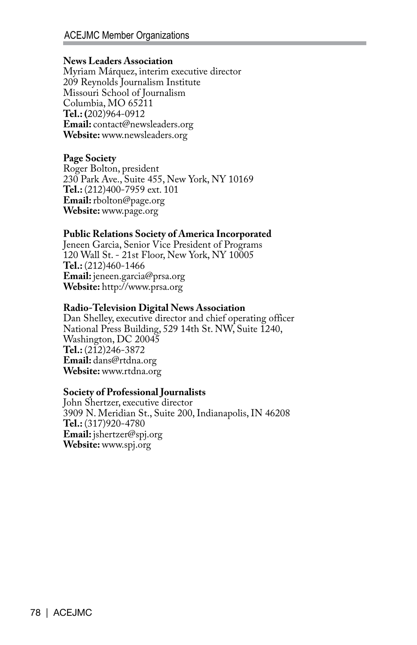#### **News Leaders Association**

Myriam Márquez, interim executive director 209 Reynolds Journalism Institute Missouri School of Journalism Columbia, MO 65211 **Tel.: (**202)964-0912 **Email:** contact@newsleaders.org **Website:** www.newsleaders.org

### **Page Society**

Roger Bolton, president 230 Park Ave., Suite 455, New York, NY 10169 **Tel.:** (212)400-7959 ext. 101 **Email:** rbolton@page.org **Website:** www.page.org

#### **Public Relations Society of America Incorporated**

Jeneen Garcia, Senior Vice President of Programs 120 Wall St. - 21st Floor, New York, NY 10005 **Tel.:** (212)460-1466 **Email:** jeneen.garcia@prsa.org **Website:** http://www.prsa.org

#### **Radio-Television Digital News Association**

Dan Shelley, executive director and chief operating officer National Press Building, 529 14th St. NW, Suite 1240, Washington, DC 20045 **Tel.:** (212)246-3872 **Email:** dans@rtdna.org **Website:** www.rtdna.org

### **Society of Professional Journalists**

John Shertzer, executive director 3909 N. Meridian St., Suite 200, Indianapolis, IN 46208 **Tel.:** (317)920-4780 **Email:** jshertzer@spj.org **Website:** www.spj.org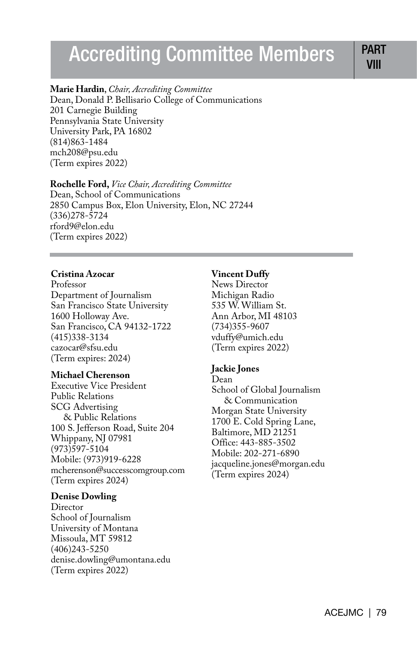# Accrediting Committee Members | PART

VIII

### **Marie Hardin**, *Chair, Accrediting Committee*

Dean, Donald P. Bellisario College of Communications 201 Carnegie Building Pennsylvania State University University Park, PA 16802 (814)863-1484 mch208@psu.edu (Term expires 2022)

## **Rochelle Ford,** *Vice Chair, Accrediting Committee*

Dean, School of Communications 2850 Campus Box, Elon University, Elon, NC 27244 (336)278-5724 rford9@elon.edu (Term expires 2022)

### **Cristina Azocar**

Professor Department of Journalism San Francisco State University 1600 Holloway Ave. San Francisco, CA 94132-1722 (415)338-3134 cazocar@sfsu.edu (Term expires: 2024)

### **Michael Cherenson**

Executive Vice President Public Relations SCG Advertising & Public Relations 100 S. Jefferson Road, Suite 204 Whippany, NJ 07981 (973)597-5104 Mobile: (973)919-6228 mcherenson@successcomgroup.com (Term expires 2024)

## **Denise Dowling**

**Director** School of Journalism University of Montana Missoula, MT 59812 (406)243-5250 denise.dowling@umontana.edu (Term expires 2022)

#### **Vincent Duffy**

News Director Michigan Radio 535 W. William St. Ann Arbor, MI 48103 (734)355-9607 vduffy@umich.edu (Term expires 2022)

#### **Jackie Jones**

Dean School of Global Journalism & Communication Morgan State University 1700 E. Cold Spring Lane, Baltimore, MD 21251 Office: 443-885-3502 Mobile: 202-271-6890 jacqueline.jones@morgan.edu (Term expires 2024)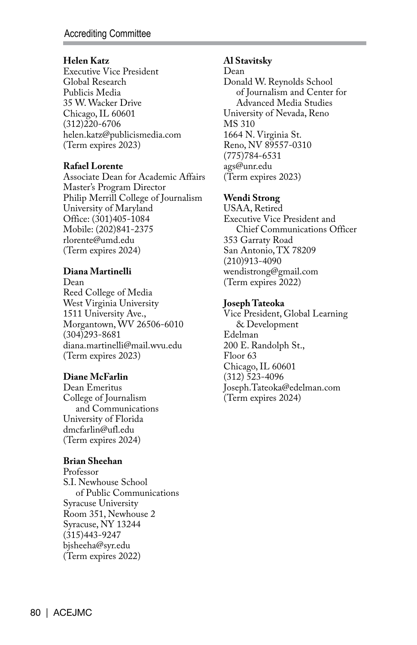### **Helen Katz**

Executive Vice President Global Research Publicis Media 35 W. Wacker Drive Chicago, IL 60601 (312)220-6706 helen.katz@publicismedia.com (Term expires 2023)

## **Rafael Lorente**

Associate Dean for Academic Affairs Master's Program Director Philip Merrill College of Journalism University of Maryland Office: (301)405-1084 Mobile: (202)841-2375 rlorente@umd.edu (Term expires 2024)

## **Diana Martinelli**

Dean Reed College of Media West Virginia University 1511 University Ave., Morgantown, WV 26506-6010 (304)293-8681 diana.martinelli@mail.wvu.edu (Term expires 2023)

## **Diane McFarlin**

Dean Emeritus College of Journalism and Communications University of Florida dmcfarlin@ufl.edu (Term expires 2024)

## **Brian Sheehan**

Professor S.I. Newhouse School of Public Communications Syracuse University Room 351, Newhouse 2 Syracuse, NY 13244 (315)443-9247 bjsheeha@syr.edu (Term expires 2022)

## **Al Stavitsky**

Dean

Donald W. Reynolds School of Journalism and Center for Advanced Media Studies University of Nevada, Reno MS 310 1664 N. Virginia St. Reno, NV 89557-0310 (775)784-6531 ags@unr.edu (Term expires 2023)

## **Wendi Strong**

USAA, Retired Executive Vice President and Chief Communications Officer 353 Garraty Road San Antonio, TX 78209 (210)913-4090 wendistrong@gmail.com (Term expires 2022)

## **Joseph Tateoka**

Vice President, Global Learning & Development Edelman 200 E. Randolph St., Floor 63 Chicago, IL 60601 (312) 523-4096 Joseph.Tateoka@edelman.com (Term expires 2024)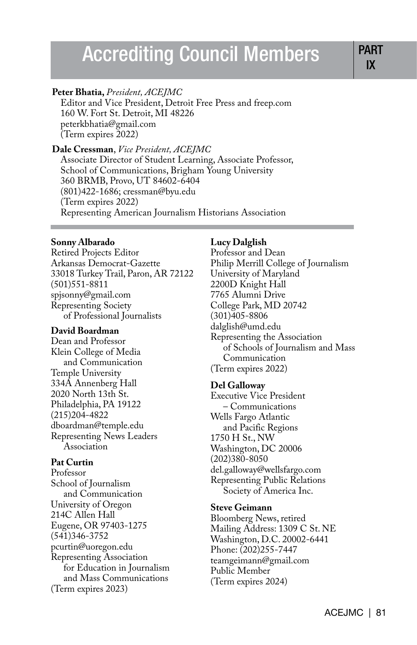# Accrediting Council Members PAR

#### **Peter Bhatia,** *President, ACEJMC*

Editor and Vice President, Detroit Free Press and freep.com 160 W. Fort St. Detroit, MI 48226 peterkbhatia@gmail.com (Term expires 2022)

#### **Dale Cressman**, *Vice President, ACEJMC* Associate Director of Student Learning, Associate Professor,

School of Communications, Brigham Young University 360 BRMB, Provo, UT 84602-6404 (801)422-1686; cressman@byu.edu (Term expires 2022) Representing American Journalism Historians Association

#### **Sonny Albarado**

Retired Projects Editor Arkansas Democrat-Gazette 33018 Turkey Trail, Paron, AR 72122 (501)551-8811 spjsonny@gmail.com Representing Society of Professional Journalists

#### **David Boardman**

Dean and Professor Klein College of Media and Communication Temple University 334A Annenberg Hall 2020 North 13th St. Philadelphia, PA 19122 (215)204-4822 dboardman@temple.edu Representing News Leaders Association

#### **Pat Curtin**

Professor School of Journalism and Communication University of Oregon 214C Allen Hall Eugene, OR 97403-1275 (541)346-3752 pcurtin@uoregon.edu Representing Association for Education in Journalism and Mass Communications (Term expires 2023)

## **Lucy Dalglish**

Professor and Dean Philip Merrill College of Journalism University of Maryland 2200D Knight Hall 7765 Alumni Drive College Park, MD 20742 (301)405-8806 dalglish@umd.edu Representing the Association of Schools of Journalism and Mass Communication (Term expires 2022)

#### **Del Galloway**

Executive Vice President – Communications Wells Fargo Atlantic and Pacific Regions 1750 H St., NW Washington, DC 20006 (202)380-8050 del.galloway@wellsfargo.com Representing Public Relations Society of America Inc.

#### **Steve Geimann**

Bloomberg News, retired Mailing Address: 1309 C St. NE Washington, D.C. 20002-6441 Phone: (202)255-7447 teamgeimann@gmail.com Public Member (Term expires 2024)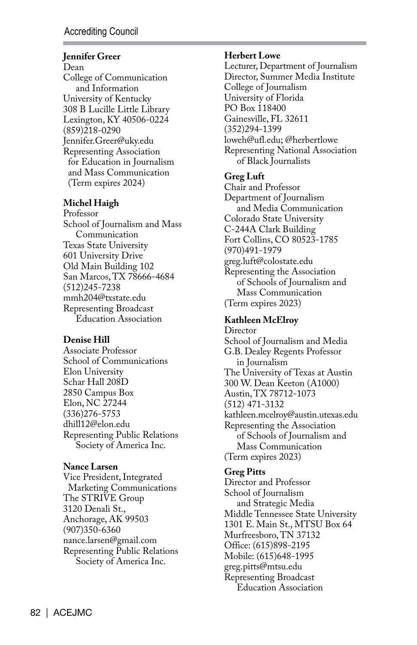## **Jennifer Greer**

Dean College of Communication and Information University of Kentucky 308 B Lucille Little Library Lexington, KY 40506-0224 (859)218-0290 Jennifer.Greer@uky.edu Representing Association for Education in Journalism and Mass Communication (Term expires 2024)

## **Michel Haigh**

Professor School of Journalism and Mass Communication Texas State University 601 University Drive Old Main Building 102 San Marcos, TX 78666-4684 (512)245-7238 mmh204@txstate.edu Representing Broadcast Education Association

### **Denise Hill**

Associate Professor School of Communications Elon University Schar Hall 208D 2850 Campus Box Elon, NC 27244 (336)276-5753 dhill12@elon.edu Representing Public Relations Society of America Inc.

### **Nance Larsen**

Vice President, Integrated Marketing Communications The STRIVE Group 3120 Denali St., Anchorage, AK 99503 (907)350-6360 nance.larsen@gmail.com Representing Public Relations Society of America Inc.

#### **Herbert Lowe**

Lecturer, Department of Journalism Director, Summer Media Institute College of Journalism University of Florida PO Box 118400 Gainesville, FL 32611 (352)294-1399 loweh@ufl.edu; @herbertlowe Representing National Association of Black Journalists

## **Greg Luft**

Chair and Professor Department of Journalism and Media Communication Colorado State University C-244A Clark Building Fort Collins, CO 80523-1785 (970)491-1979 greg.luft@colostate.edu Representing the Association of Schools of Journalism and Mass Communication (Term expires 2023)

## **Kathleen McElroy**

Director School of Journalism and Media G.B. Dealey Regents Professor in Journalism The University of Texas at Austin 300 W. Dean Keeton (A1000) Austin, TX 78712-1073 (512) 471-3132 kathleen.mcelroy@austin.utexas.edu Representing the Association of Schools of Journalism and Mass Communication (Term expires 2023)

## **Greg Pitts**

Director and Professor School of Journalism and Strategic Media Middle Tennessee State University 1301 E. Main St., MTSU Box 64 Murfreesboro, TN 37132 Office: (615)898-2195 Mobile: (615)648-1995 greg.pitts@mtsu.edu Representing Broadcast Education Association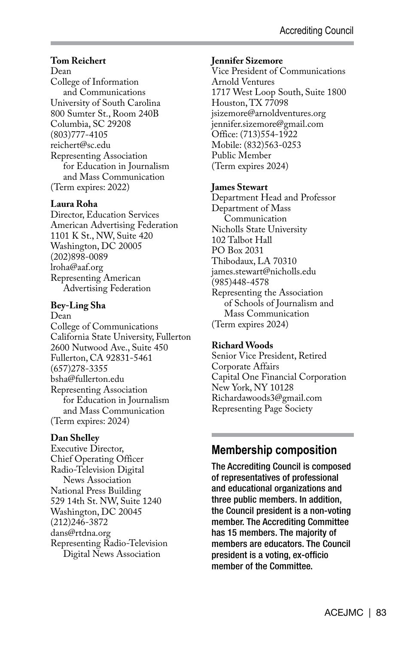### **Tom Reichert**

Dean College of Information and Communications University of South Carolina 800 Sumter St., Room 240B Columbia, SC 29208 (803)777-4105 reichert@sc.edu Representing Association for Education in Journalism and Mass Communication (Term expires: 2022)

#### **Laura Roha**

Director, Education Services American Advertising Federation 1101 K St., NW, Suite 420 Washington, DC 20005 (202)898-0089 lroha@aaf.org Representing American Advertising Federation

#### **Bey-Ling Sha**

Dean College of Communications California State University, Fullerton 2600 Nutwood Ave., Suite 450 Fullerton, CA 92831-5461 (657)278-3355 bsha@fullerton.edu Representing Association for Education in Journalism and Mass Communication (Term expires: 2024)

### **Dan Shelley**

Executive Director, Chief Operating Officer Radio-Television Digital News Association National Press Building 529 14th St. NW, Suite 1240 Washington, DC 20045 (212)246-3872 dans@rtdna.org Representing Radio-Television Digital News Association

#### **Jennifer Sizemore**

Vice President of Communications Arnold Ventures 1717 West Loop South, Suite 1800 Houston, TX 77098 jsizemore@arnoldventures.org jennifer.sizemore@gmail.com Office: (713)554-1922 Mobile: (832)563-0253 Public Member (Term expires 2024)

### **James Stewart**

Department Head and Professor Department of Mass Communication Nicholls State University 102 Talbot Hall PO Box 2031 Thibodaux, LA 70310 james.stewart@nicholls.edu (985)448-4578 Representing the Association of Schools of Journalism and Mass Communication (Term expires 2024)

### **Richard Woods**

Senior Vice President, Retired Corporate Affairs Capital One Financial Corporation New York, NY 10128 Richardawoods3@gmail.com Representing Page Society

# **Membership composition**

The Accrediting Council is composed of representatives of professional and educational organizations and three public members. In addition, the Council president is a non-voting member. The Accrediting Committee has 15 members. The majority of members are educators. The Council president is a voting, ex-officio member of the Committee.